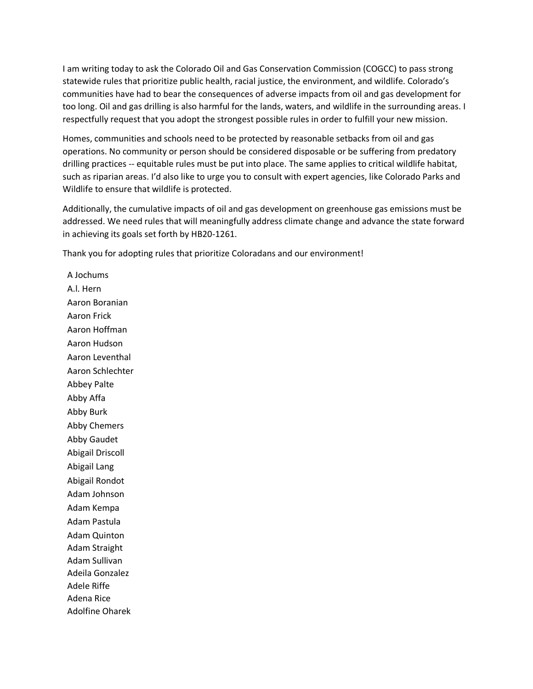I am writing today to ask the Colorado Oil and Gas Conservation Commission (COGCC) to pass strong statewide rules that prioritize public health, racial justice, the environment, and wildlife. Colorado's communities have had to bear the consequences of adverse impacts from oil and gas development for too long. Oil and gas drilling is also harmful for the lands, waters, and wildlife in the surrounding areas. I respectfully request that you adopt the strongest possible rules in order to fulfill your new mission.

Homes, communities and schools need to be protected by reasonable setbacks from oil and gas operations. No community or person should be considered disposable or be suffering from predatory drilling practices -- equitable rules must be put into place. The same applies to critical wildlife habitat, such as riparian areas. I'd also like to urge you to consult with expert agencies, like Colorado Parks and Wildlife to ensure that wildlife is protected.

Additionally, the cumulative impacts of oil and gas development on greenhouse gas emissions must be addressed. We need rules that will meaningfully address climate change and advance the state forward in achieving its goals set forth by HB20-1261.

Thank you for adopting rules that prioritize Coloradans and our environment!

A Jochums A.l. Hern Aaron Boranian Aaron Frick Aaron Hoffman Aaron Hudson Aaron Leventhal Aaron Schlechter Abbey Palte Abby Affa Abby Burk Abby Chemers Abby Gaudet Abigail Driscoll Abigail Lang Abigail Rondot Adam Johnson Adam Kempa Adam Pastula Adam Quinton Adam Straight Adam Sullivan Adeila Gonzalez Adele Riffe Adena Rice Adolfine Oharek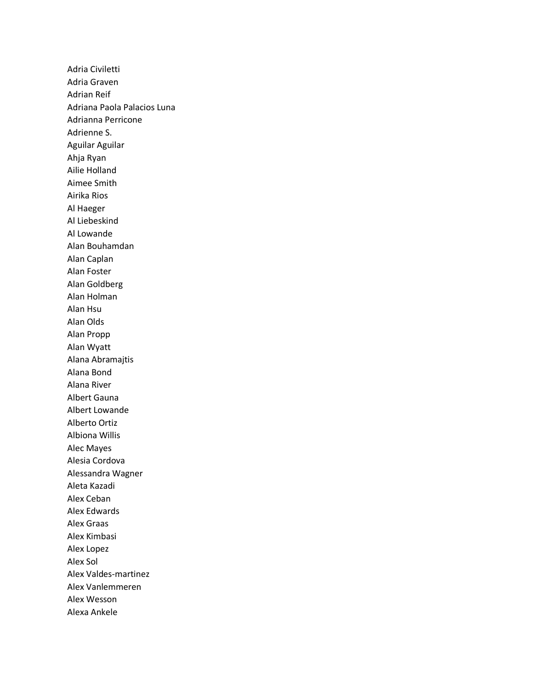Adria Civiletti Adria Graven Adrian Reif Adriana Paola Palacios Luna Adrianna Perricone Adrienne S. Aguilar Aguilar Ahja Ryan Ailie Holland Aimee Smith Airika Rios Al Haeger Al Liebeskind Al Lowande Alan Bouhamdan Alan Caplan Alan Foster Alan Goldberg Alan Holman Alan Hsu Alan Olds Alan Propp Alan Wyatt Alana Abramajtis Alana Bond Alana River Albert Gauna Albert Lowande Alberto Ortiz Albiona Willis Alec Mayes Alesia Cordova Alessandra Wagner Aleta Kazadi Alex Ceban Alex Edwards Alex Graas Alex Kimbasi Alex Lopez Alex Sol Alex Valdes-martinez Alex Vanlemmeren Alex Wesson Alexa Ankele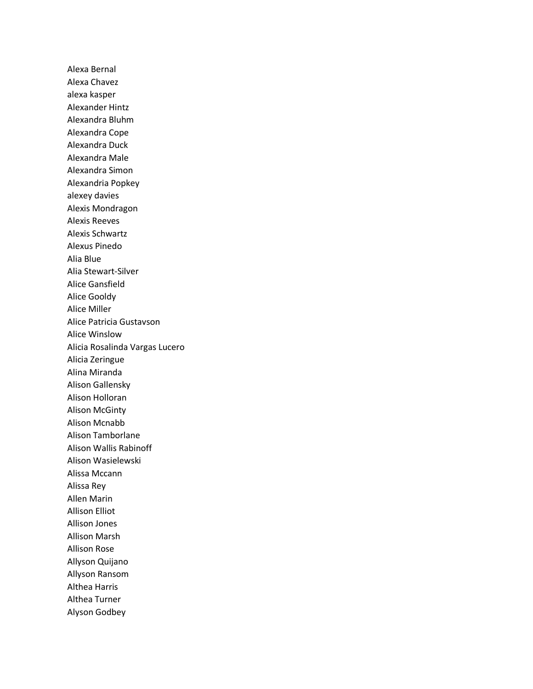Alexa Bernal Alexa Chavez alexa kasper Alexander Hintz Alexandra Bluhm Alexandra Cope Alexandra Duck Alexandra Male Alexandra Simon Alexandria Popkey alexey davies Alexis Mondragon Alexis Reeves Alexis Schwartz Alexus Pinedo Alia Blue Alia Stewart-Silver Alice Gansfield Alice Gooldy Alice Miller Alice Patricia Gustavson Alice Winslow Alicia Rosalinda Vargas Lucero Alicia Zeringue Alina Miranda Alison Gallensky Alison Holloran Alison McGinty Alison Mcnabb Alison Tamborlane Alison Wallis Rabinoff Alison Wasielewski Alissa Mccann Alissa Rey Allen Marin Allison Elliot Allison Jones Allison Marsh Allison Rose Allyson Quijano Allyson Ransom Althea Harris Althea Turner Alyson Godbey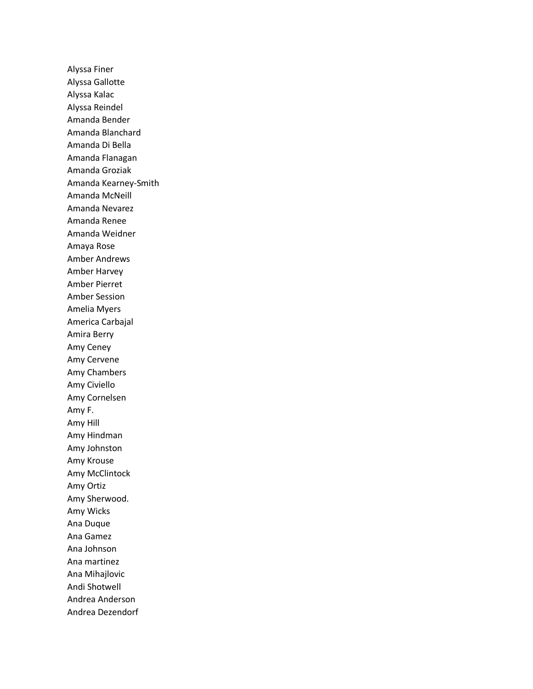Alyssa Finer Alyssa Gallotte Alyssa Kalac Alyssa Reindel Amanda Bender Amanda Blanchard Amanda Di Bella Amanda Flanagan Amanda Groziak Amanda Kearney-Smith Amanda McNeill Amanda Nevarez Amanda Renee Amanda Weidner Amaya Rose Amber Andrews Amber Harvey Amber Pierret Amber Session Amelia Myers America Carbajal Amira Berry Amy Ceney Amy Cervene Amy Chambers Amy Civiello Amy Cornelsen Amy F. Amy Hill Amy Hindman Amy Johnston Amy Krouse Amy McClintock Amy Ortiz Amy Sherwood. Amy Wicks Ana Duque Ana Gamez Ana Johnson Ana martinez Ana Mihajlovic Andi Shotwell Andrea Anderson Andrea Dezendorf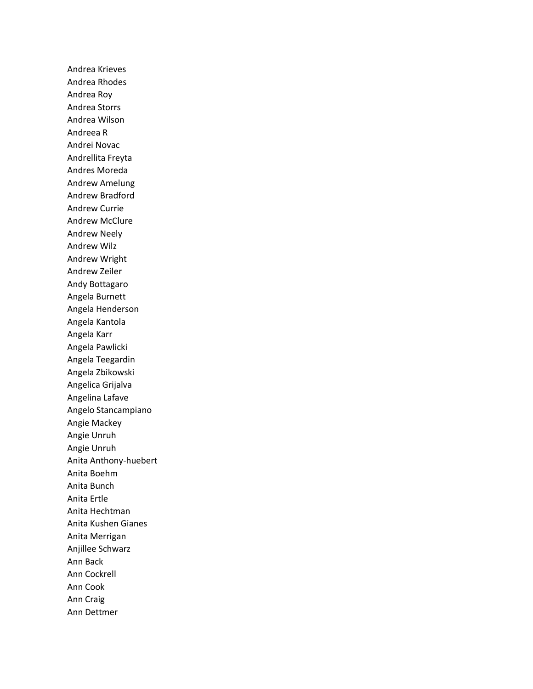Andrea Krieves Andrea Rhodes Andrea Roy Andrea Storrs Andrea Wilson Andreea R Andrei Novac Andrellita Freyta Andres Moreda Andrew Amelung Andrew Bradford Andrew Currie Andrew McClure Andrew Neely Andrew Wilz Andrew Wright Andrew Zeiler Andy Bottagaro Angela Burnett Angela Henderson Angela Kantola Angela Karr Angela Pawlicki Angela Teegardin Angela Zbikowski Angelica Grijalva Angelina Lafave Angelo Stancampiano Angie Mackey Angie Unruh Angie Unruh Anita Anthony-huebert Anita Boehm Anita Bunch Anita Ertle Anita Hechtman Anita Kushen Gianes Anita Merrigan Anjillee Schwarz Ann Back Ann Cockrell Ann Cook Ann Craig Ann Dettmer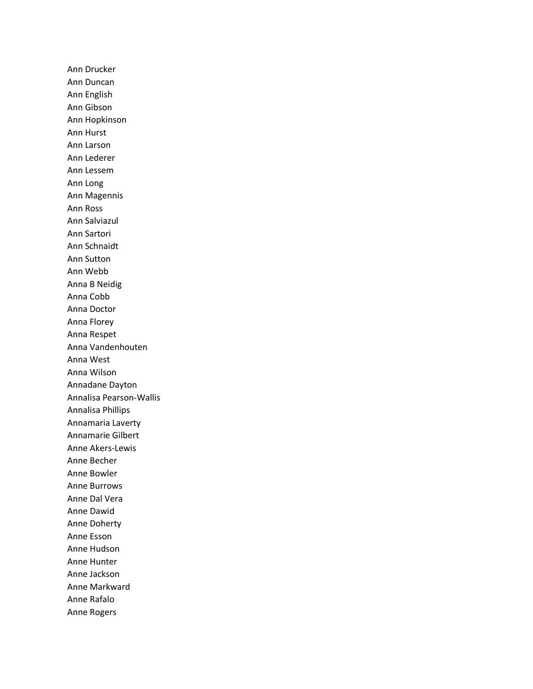Ann Drucker Ann Duncan Ann English Ann Gibson Ann Hopkinson Ann Hurst Ann Larson Ann Lederer Ann Lessem Ann Long Ann Magennis Ann Ross Ann Salviazul Ann Sartori Ann Schnaidt Ann Sutton Ann Webb Anna B Neidig Anna Cobb Anna Doctor Anna Florey Anna Respet Anna Vandenhouten Anna West Anna Wilson Annadane Dayton Annalisa Pearson-Wallis Annalisa Phillips Annamaria Laverty Annamarie Gilbert Anne Akers-Lewis Anne Becher Anne Bowler Anne Burrows Anne Dal Vera Anne Dawid Anne Doherty Anne Esson Anne Hudson Anne Hunter Anne Jackson Anne Markward Anne Rafalo Anne Rogers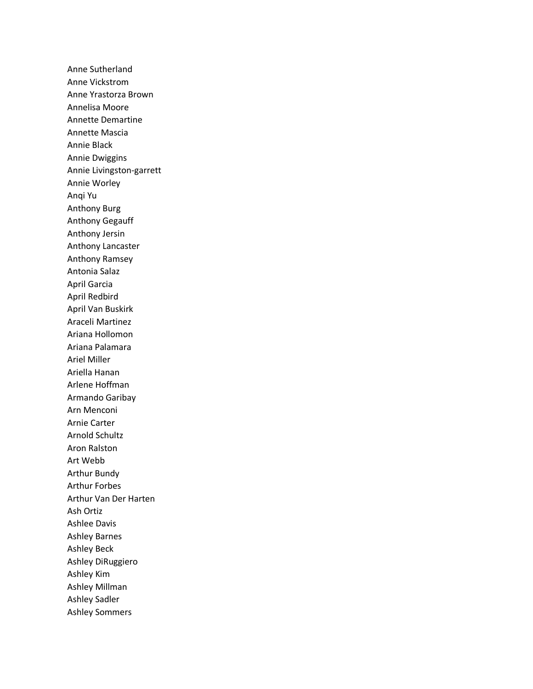Anne Sutherland Anne Vickstrom Anne Yrastorza Brown Annelisa Moore Annette Demartine Annette Mascia Annie Black Annie Dwiggins Annie Livingston-garrett Annie Worley Anqi Yu Anthony Burg Anthony Gegauff Anthony Jersin Anthony Lancaster Anthony Ramsey Antonia Salaz April Garcia April Redbird April Van Buskirk Araceli Martinez Ariana Hollomon Ariana Palamara Ariel Miller Ariella Hanan Arlene Hoffman Armando Garibay Arn Menconi Arnie Carter Arnold Schultz Aron Ralston Art Webb Arthur Bundy Arthur Forbes Arthur Van Der Harten Ash Ortiz Ashlee Davis Ashley Barnes Ashley Beck Ashley DiRuggiero Ashley Kim Ashley Millman Ashley Sadler Ashley Sommers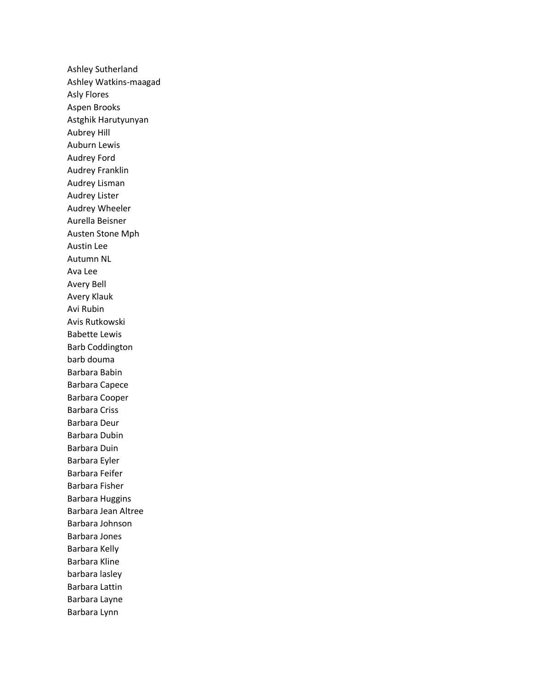Ashley Sutherland Ashley Watkins-maagad Asly Flores Aspen Brooks Astghik Harutyunyan Aubrey Hill Auburn Lewis Audrey Ford Audrey Franklin Audrey Lisman Audrey Lister Audrey Wheeler Aurella Beisner Austen Stone Mph Austin Lee Autumn NL Ava Lee Avery Bell Avery Klauk Avi Rubin Avis Rutkowski Babette Lewis Barb Coddington barb douma Barbara Babin Barbara Capece Barbara Cooper Barbara Criss Barbara Deur Barbara Dubin Barbara Duin Barbara Eyler Barbara Feifer Barbara Fisher Barbara Huggins Barbara Jean Altree Barbara Johnson Barbara Jones Barbara Kelly Barbara Kline barbara lasley Barbara Lattin Barbara Layne Barbara Lynn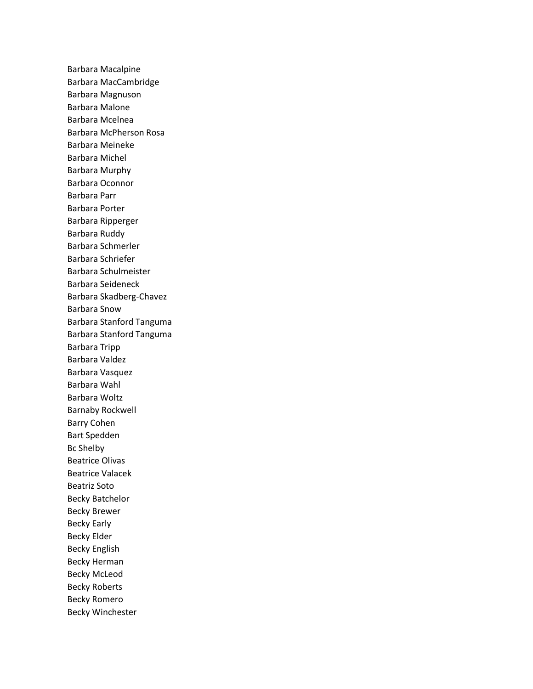Barbara Macalpine Barbara MacCambridge Barbara Magnuson Barbara Malone Barbara Mcelnea Barbara McPherson Rosa Barbara Meineke Barbara Michel Barbara Murphy Barbara Oconnor Barbara Parr Barbara Porter Barbara Ripperger Barbara Ruddy Barbara Schmerler Barbara Schriefer Barbara Schulmeister Barbara Seideneck Barbara Skadberg-Chavez Barbara Snow Barbara Stanford Tanguma Barbara Stanford Tanguma Barbara Tripp Barbara Valdez Barbara Vasquez Barbara Wahl Barbara Woltz Barnaby Rockwell Barry Cohen Bart Spedden Bc Shelby Beatrice Olivas Beatrice Valacek Beatriz Soto Becky Batchelor Becky Brewer Becky Early Becky Elder Becky English Becky Herman Becky McLeod Becky Roberts Becky Romero Becky Winchester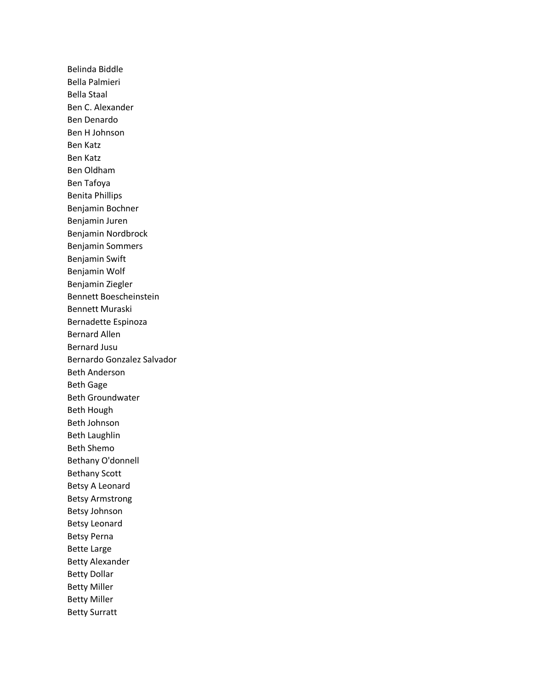Belinda Biddle Bella Palmieri Bella Staal Ben C. Alexander Ben Denardo Ben H Johnson Ben Katz Ben Katz Ben Oldham Ben Tafoya Benita Phillips Benjamin Bochner Benjamin Juren Benjamin Nordbrock Benjamin Sommers Benjamin Swift Benjamin Wolf Benjamin Ziegler Bennett Boescheinstein Bennett Muraski Bernadette Espinoza Bernard Allen Bernard Jusu Bernardo Gonzalez Salvador Beth Anderson Beth Gage Beth Groundwater Beth Hough Beth Johnson Beth Laughlin Beth Shemo Bethany O'donnell Bethany Scott Betsy A Leonard Betsy Armstrong Betsy Johnson Betsy Leonard Betsy Perna Bette Large Betty Alexander Betty Dollar Betty Miller Betty Miller Betty Surratt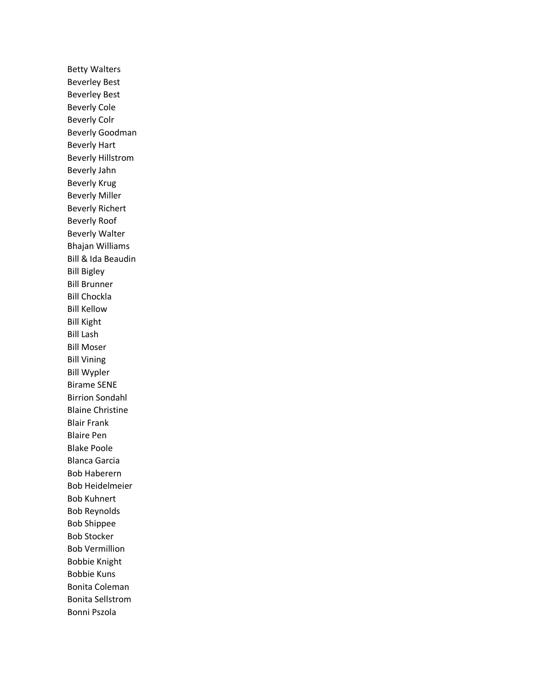Betty Walters Beverley Best Beverley Best Beverly Cole Beverly Colr Beverly Goodman Beverly Hart Beverly Hillstrom Beverly Jahn Beverly Krug Beverly Miller Beverly Richert Beverly Roof Beverly Walter Bhajan Williams Bill & Ida Beaudin Bill Bigley Bill Brunner Bill Chockla Bill Kellow Bill Kight Bill Lash Bill Moser Bill Vining Bill Wypler Birame SENE Birrion Sondahl Blaine Christine Blair Frank Blaire Pen Blake Poole Blanca Garcia Bob Haberern Bob Heidelmeier Bob Kuhnert Bob Reynolds Bob Shippee Bob Stocker Bob Vermillion Bobbie Knight Bobbie Kuns Bonita Coleman Bonita Sellstrom Bonni Pszola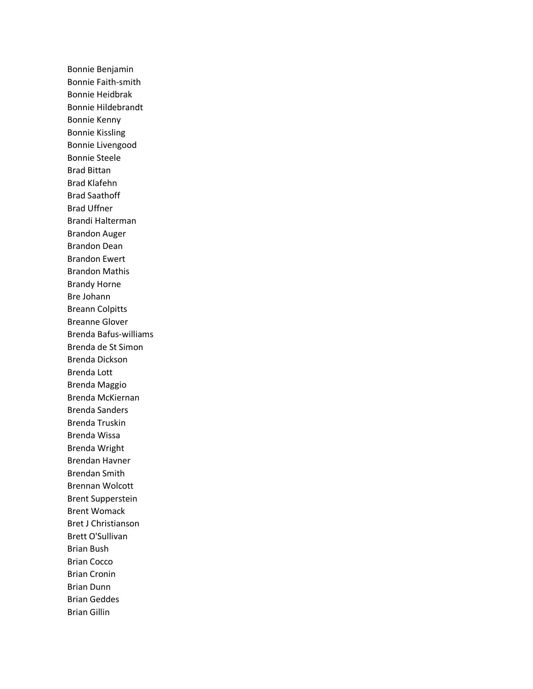Bonnie Benjamin Bonnie Faith-smith Bonnie Heidbrak Bonnie Hildebrandt Bonnie Kenny Bonnie Kissling Bonnie Livengood Bonnie Steele Brad Bittan Brad Klafehn Brad Saathoff Brad Uffner Brandi Halterman Brandon Auger Brandon Dean Brandon Ewert Brandon Mathis Brandy Horne Bre Johann Breann Colpitts Breanne Glover Brenda Bafus-williams Brenda de St Simon Brenda Dickson Brenda Lott Brenda Maggio Brenda McKiernan Brenda Sanders Brenda Truskin Brenda Wissa Brenda Wright Brendan Havner Brendan Smith Brennan Wolcott Brent Supperstein Brent Womack Bret J Christianson Brett O'Sullivan Brian Bush Brian Cocco Brian Cronin Brian Dunn Brian Geddes Brian Gillin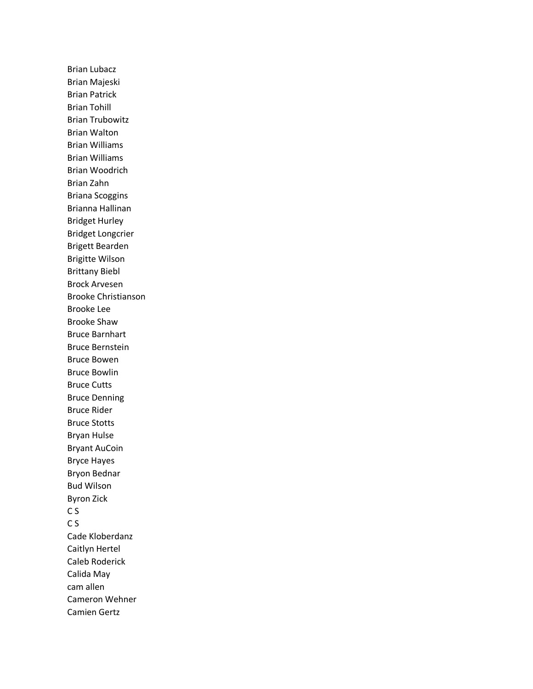Brian Lubacz Brian Majeski Brian Patrick Brian Tohill Brian Trubowitz Brian Walton Brian Williams Brian Williams Brian Woodrich Brian Zahn Briana Scoggins Brianna Hallinan Bridget Hurley Bridget Longcrier Brigett Bearden Brigitte Wilson Brittany Biebl Brock Arvesen Brooke Christianson Brooke Lee Brooke Shaw Bruce Barnhart Bruce Bernstein Bruce Bowen Bruce Bowlin Bruce Cutts Bruce Denning Bruce Rider Bruce Stotts Bryan Hulse Bryant AuCoin Bryce Hayes Bryon Bednar Bud Wilson Byron Zick C S C S Cade Kloberdanz Caitlyn Hertel Caleb Roderick Calida May cam allen Cameron Wehner Camien Gertz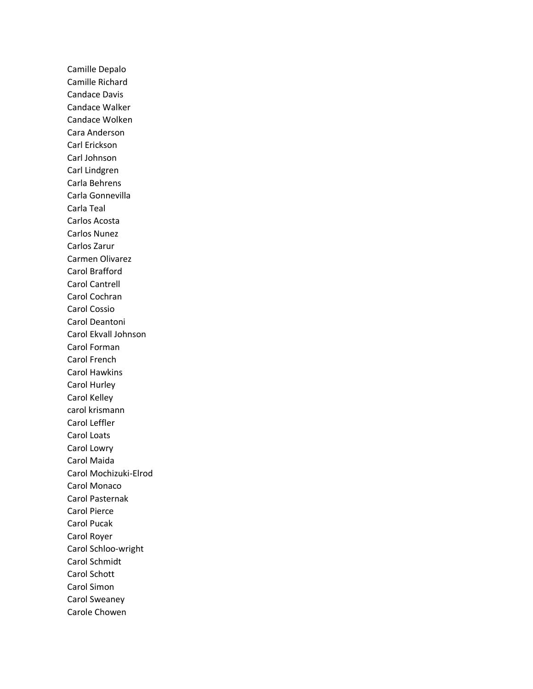Camille Depalo Camille Richard Candace Davis Candace Walker Candace Wolken Cara Anderson Carl Erickson Carl Johnson Carl Lindgren Carla Behrens Carla Gonnevilla Carla Teal Carlos Acosta Carlos Nunez Carlos Zarur Carmen Olivarez Carol Brafford Carol Cantrell Carol Cochran Carol Cossio Carol Deantoni Carol Ekvall Johnson Carol Forman Carol French Carol Hawkins Carol Hurley Carol Kelley carol krismann Carol Leffler Carol Loats Carol Lowry Carol Maida Carol Mochizuki-Elrod Carol Monaco Carol Pasternak Carol Pierce Carol Pucak Carol Royer Carol Schloo-wright Carol Schmidt Carol Schott Carol Simon Carol Sweaney Carole Chowen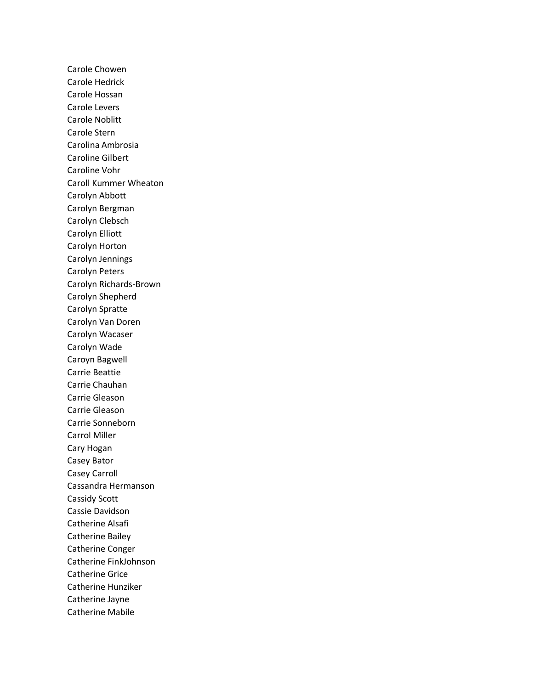Carole Chowen Carole Hedrick Carole Hossan Carole Levers Carole Noblitt Carole Stern Carolina Ambrosia Caroline Gilbert Caroline Vohr Caroll Kummer Wheaton Carolyn Abbott Carolyn Bergman Carolyn Clebsch Carolyn Elliott Carolyn Horton Carolyn Jennings Carolyn Peters Carolyn Richards-Brown Carolyn Shepherd Carolyn Spratte Carolyn Van Doren Carolyn Wacaser Carolyn Wade Caroyn Bagwell Carrie Beattie Carrie Chauhan Carrie Gleason Carrie Gleason Carrie Sonneborn Carrol Miller Cary Hogan Casey Bator Casey Carroll Cassandra Hermanson Cassidy Scott Cassie Davidson Catherine Alsafi Catherine Bailey Catherine Conger Catherine FinkJohnson Catherine Grice Catherine Hunziker Catherine Jayne Catherine Mabile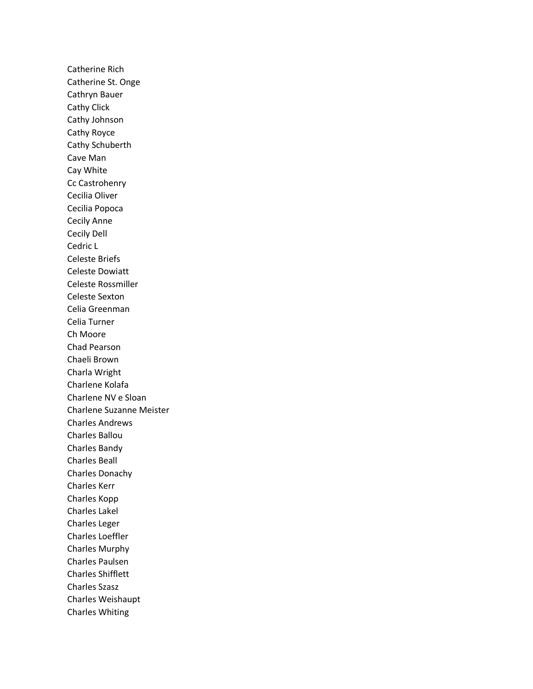Catherine Rich Catherine St. Onge Cathryn Bauer Cathy Click Cathy Johnson Cathy Royce Cathy Schuberth Cave Man Cay White Cc Castrohenry Cecilia Oliver Cecilia Popoca Cecily Anne Cecily Dell Cedric L Celeste Briefs Celeste Dowiatt Celeste Rossmiller Celeste Sexton Celia Greenman Celia Turner Ch Moore Chad Pearson Chaeli Brown Charla Wright Charlene Kolafa Charlene NV e Sloan Charlene Suzanne Meister Charles Andrews Charles Ballou Charles Bandy Charles Beall Charles Donachy Charles Kerr Charles Kopp Charles Lakel Charles Leger Charles Loeffler Charles Murphy Charles Paulsen Charles Shifflett Charles Szasz Charles Weishaupt Charles Whiting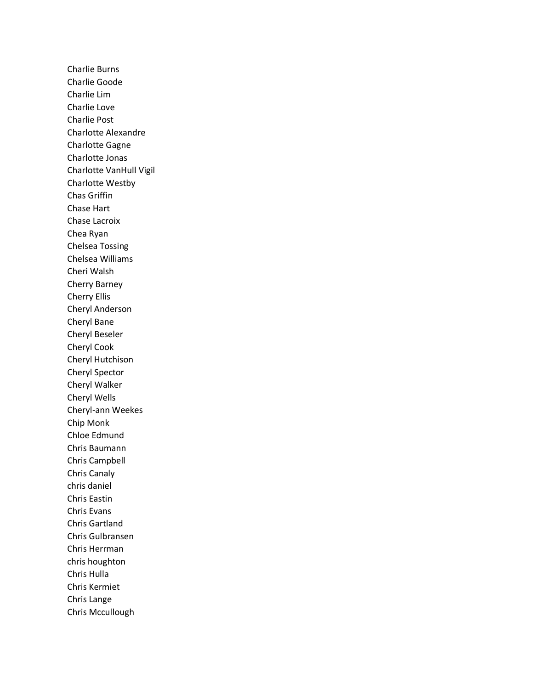Charlie Burns Charlie Goode Charlie Lim Charlie Love Charlie Post Charlotte Alexandre Charlotte Gagne Charlotte Jonas Charlotte VanHull Vigil Charlotte Westby Chas Griffin Chase Hart Chase Lacroix Chea Ryan Chelsea Tossing Chelsea Williams Cheri Walsh Cherry Barney Cherry Ellis Cheryl Anderson Cheryl Bane Cheryl Beseler Cheryl Cook Cheryl Hutchison Cheryl Spector Cheryl Walker Cheryl Wells Cheryl-ann Weekes Chip Monk Chloe Edmund Chris Baumann Chris Campbell Chris Canaly chris daniel Chris Eastin Chris Evans Chris Gartland Chris Gulbransen Chris Herrman chris houghton Chris Hulla Chris Kermiet Chris Lange Chris Mccullough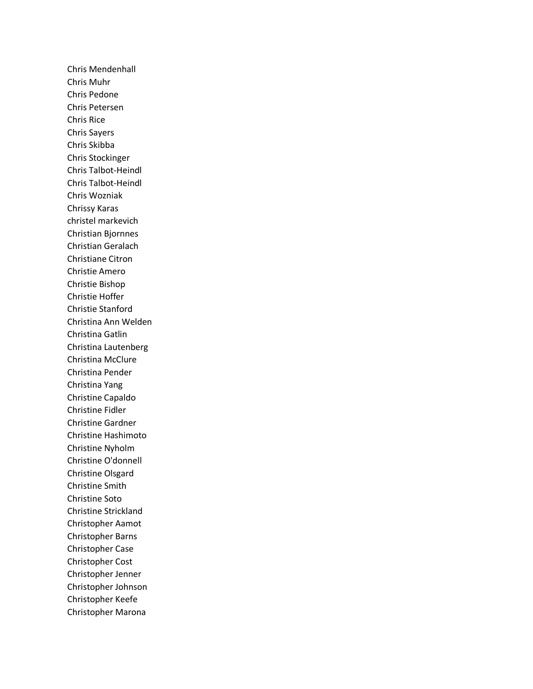Chris Mendenhall Chris Muhr Chris Pedone Chris Petersen Chris Rice Chris Sayers Chris Skibba Chris Stockinger Chris Talbot-Heindl Chris Talbot-Heindl Chris Wozniak Chrissy Karas christel markevich Christian Bjornnes Christian Geralach Christiane Citron Christie Amero Christie Bishop Christie Hoffer Christie Stanford Christina Ann Welden Christina Gatlin Christina Lautenberg Christina McClure Christina Pender Christina Yang Christine Capaldo Christine Fidler Christine Gardner Christine Hashimoto Christine Nyholm Christine O'donnell Christine Olsgard Christine Smith Christine Soto Christine Strickland Christopher Aamot Christopher Barns Christopher Case Christopher Cost Christopher Jenner Christopher Johnson Christopher Keefe Christopher Marona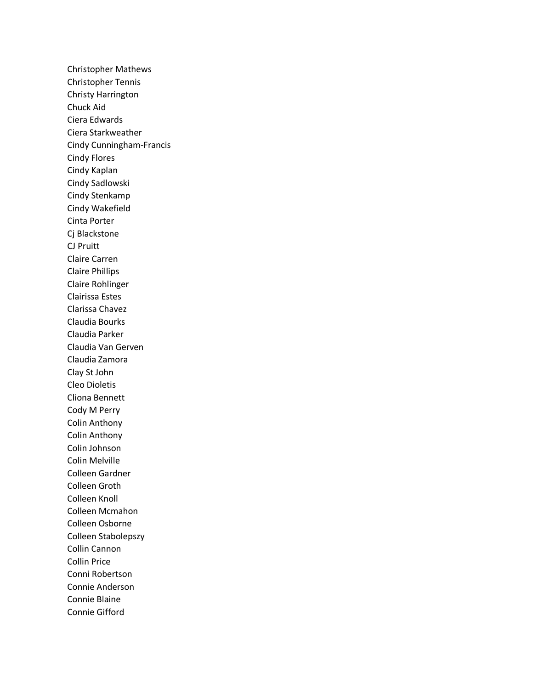Christopher Mathews Christopher Tennis Christy Harrington Chuck Aid Ciera Edwards Ciera Starkweather Cindy Cunningham-Francis Cindy Flores Cindy Kaplan Cindy Sadlowski Cindy Stenkamp Cindy Wakefield Cinta Porter Cj Blackstone CJ Pruitt Claire Carren Claire Phillips Claire Rohlinger Clairissa Estes Clarissa Chavez Claudia Bourks Claudia Parker Claudia Van Gerven Claudia Zamora Clay St John Cleo Dioletis Cliona Bennett Cody M Perry Colin Anthony Colin Anthony Colin Johnson Colin Melville Colleen Gardner Colleen Groth Colleen Knoll Colleen Mcmahon Colleen Osborne Colleen Stabolepszy Collin Cannon Collin Price Conni Robertson Connie Anderson Connie Blaine Connie Gifford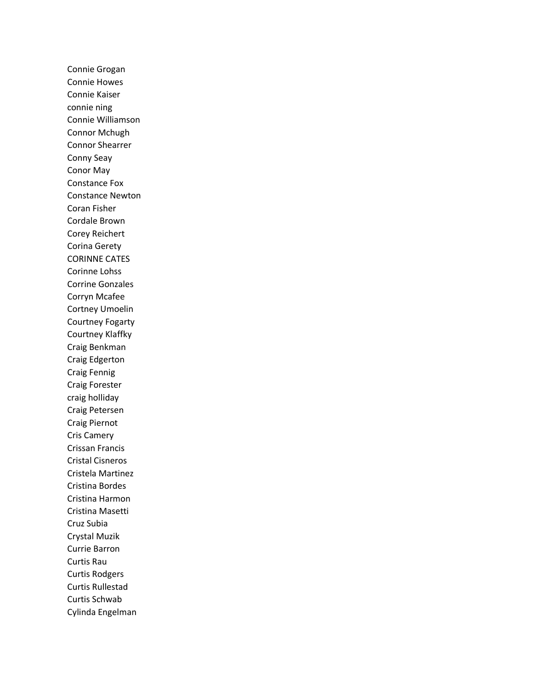Connie Grogan Connie Howes Connie Kaiser connie ning Connie Williamson Connor Mchugh Connor Shearrer Conny Seay Conor May Constance Fox Constance Newton Coran Fisher Cordale Brown Corey Reichert Corina Gerety CORINNE CATES Corinne Lohss Corrine Gonzales Corryn Mcafee Cortney Umoelin Courtney Fogarty Courtney Klaffky Craig Benkman Craig Edgerton Craig Fennig Craig Forester craig holliday Craig Petersen Craig Piernot Cris Camery Crissan Francis Cristal Cisneros Cristela Martinez Cristina Bordes Cristina Harmon Cristina Masetti Cruz Subia Crystal Muzik Currie Barron Curtis Rau Curtis Rodgers Curtis Rullestad Curtis Schwab Cylinda Engelman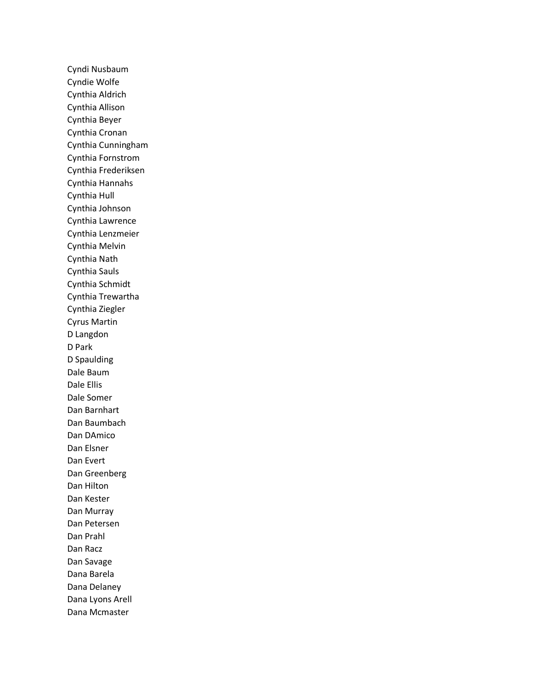Cyndi Nusbaum Cyndie Wolfe Cynthia Aldrich Cynthia Allison Cynthia Beyer Cynthia Cronan Cynthia Cunningham Cynthia Fornstrom Cynthia Frederiksen Cynthia Hannahs Cynthia Hull Cynthia Johnson Cynthia Lawrence Cynthia Lenzmeier Cynthia Melvin Cynthia Nath Cynthia Sauls Cynthia Schmidt Cynthia Trewartha Cynthia Ziegler Cyrus Martin D Langdon D Park D Spaulding Dale Baum Dale Ellis Dale Somer Dan Barnhart Dan Baumbach Dan DAmico Dan Elsner Dan Evert Dan Greenberg Dan Hilton Dan Kester Dan Murray Dan Petersen Dan Prahl Dan Racz Dan Savage Dana Barela Dana Delaney Dana Lyons Arell Dana Mcmaster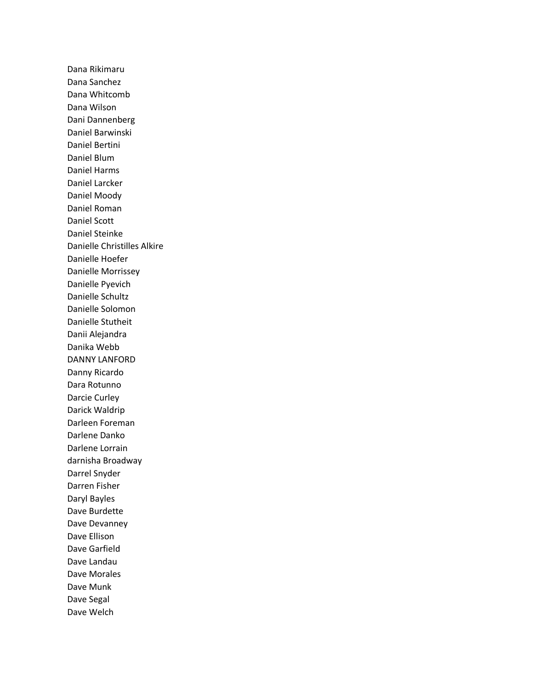Dana Rikimaru Dana Sanchez Dana Whitcomb Dana Wilson Dani Dannenberg Daniel Barwinski Daniel Bertini Daniel Blum Daniel Harms Daniel Larcker Daniel Moody Daniel Roman Daniel Scott Daniel Steinke Danielle Christilles Alkire Danielle Hoefer Danielle Morrissey Danielle Pyevich Danielle Schultz Danielle Solomon Danielle Stutheit Danii Alejandra Danika Webb DANNY LANFORD Danny Ricardo Dara Rotunno Darcie Curley Darick Waldrip Darleen Foreman Darlene Danko Darlene Lorrain darnisha Broadway Darrel Snyder Darren Fisher Daryl Bayles Dave Burdette Dave Devanney Dave Ellison Dave Garfield Dave Landau Dave Morales Dave Munk Dave Segal Dave Welch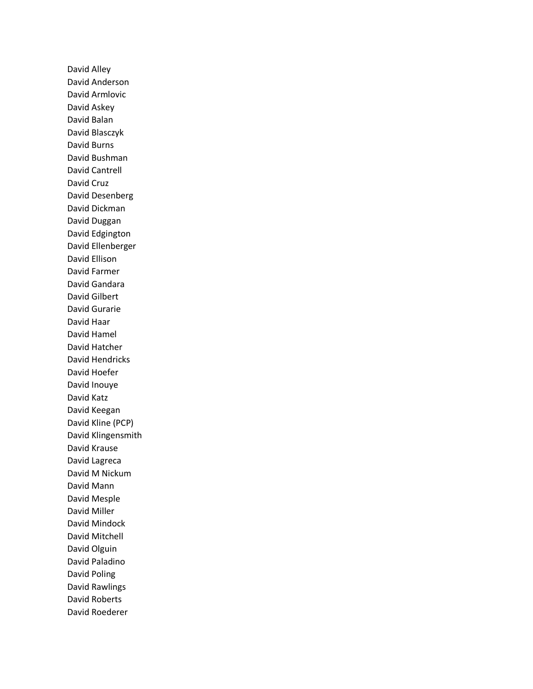David Alley David Anderson David Armlovic David Askey David Balan David Blasczyk David Burns David Bushman David Cantrell David Cruz David Desenberg David Dickman David Duggan David Edgington David Ellenberger David Ellison David Farmer David Gandara David Gilbert David Gurarie David Haar David Hamel David Hatcher David Hendricks David Hoefer David Inouye David Katz David Keegan David Kline (PCP) David Klingensmith David Krause David Lagreca David M Nickum David Mann David Mesple David Miller David Mindock David Mitchell David Olguin David Paladino David Poling David Rawlings David Roberts David Roederer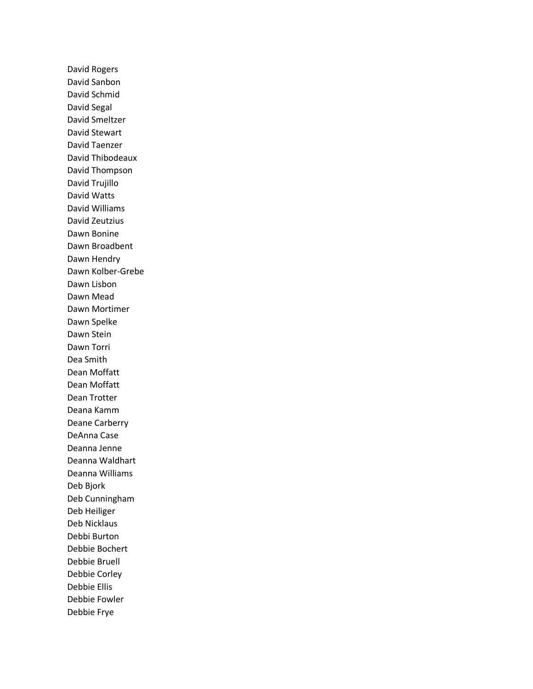David Rogers David Sanbon David Schmid David Segal David Smeltzer David Stewart David Taenzer David Thibodeaux David Thompson David Trujillo David Watts David Williams David Zeutzius Dawn Bonine Dawn Broadbent Dawn Hendry Dawn Kolber-Grebe Dawn Lisbon Dawn Mead Dawn Mortimer Dawn Spelke Dawn Stein Dawn Torri Dea Smith Dean Moffatt Dean Moffatt Dean Trotter Deana Kamm Deane Carberry DeAnna Case Deanna Jenne Deanna Waldhart Deanna Williams Deb Bjork Deb Cunningham Deb Heiliger Deb Nicklaus Debbi Burton Debbie Bochert Debbie Bruell Debbie Corley Debbie Ellis Debbie Fowler Debbie Frye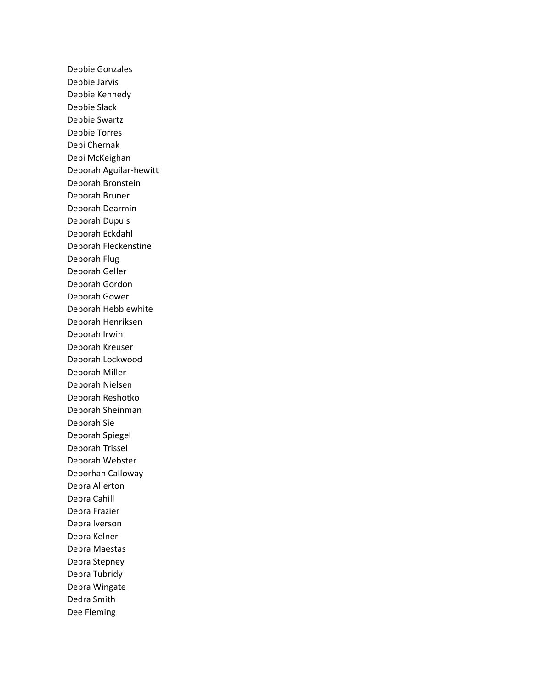Debbie Gonzales Debbie Jarvis Debbie Kennedy Debbie Slack Debbie Swartz Debbie Torres Debi Chernak Debi McKeighan Deborah Aguilar-hewitt Deborah Bronstein Deborah Bruner Deborah Dearmin Deborah Dupuis Deborah Eckdahl Deborah Fleckenstine Deborah Flug Deborah Geller Deborah Gordon Deborah Gower Deborah Hebblewhite Deborah Henriksen Deborah Irwin Deborah Kreuser Deborah Lockwood Deborah Miller Deborah Nielsen Deborah Reshotko Deborah Sheinman Deborah Sie Deborah Spiegel Deborah Trissel Deborah Webster Deborhah Calloway Debra Allerton Debra Cahill Debra Frazier Debra Iverson Debra Kelner Debra Maestas Debra Stepney Debra Tubridy Debra Wingate Dedra Smith Dee Fleming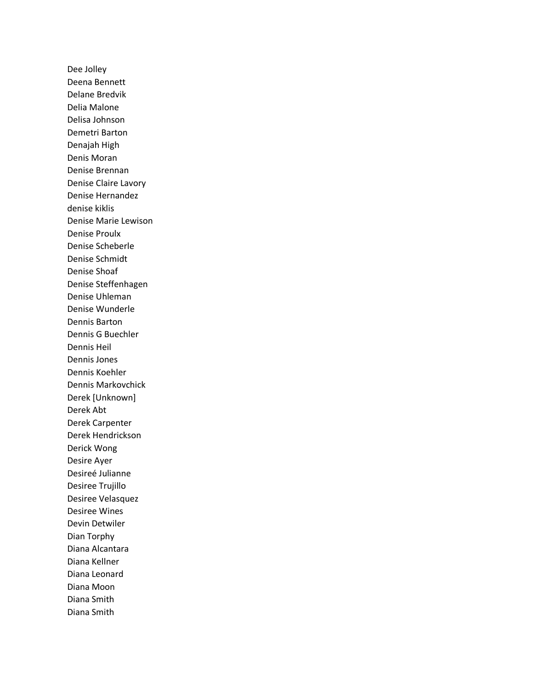Dee Jolley Deena Bennett Delane Bredvik Delia Malone Delisa Johnson Demetri Barton Denajah High Denis Moran Denise Brennan Denise Claire Lavory Denise Hernandez denise kiklis Denise Marie Lewison Denise Proulx Denise Scheberle Denise Schmidt Denise Shoaf Denise Steffenhagen Denise Uhleman Denise Wunderle Dennis Barton Dennis G Buechler Dennis Heil Dennis Jones Dennis Koehler Dennis Markovchick Derek [Unknown] Derek Abt Derek Carpenter Derek Hendrickson Derick Wong Desire Ayer Desireé Julianne Desiree Trujillo Desiree Velasquez Desiree Wines Devin Detwiler Dian Torphy Diana Alcantara Diana Kellner Diana Leonard Diana Moon Diana Smith Diana Smith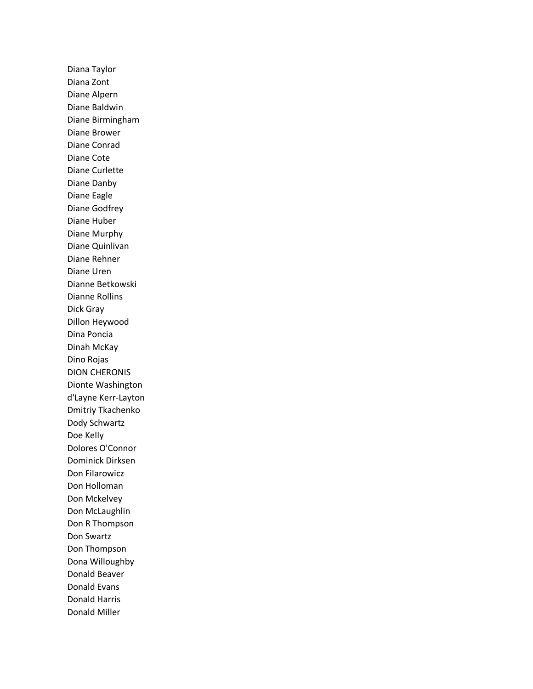Diana Taylor Diana Zont Diane Alpern Diane Baldwin Diane Birmingham Diane Brower Diane Conrad Diane Cote Diane Curlette Diane Danby Diane Eagle Diane Godfrey Diane Huber Diane Murphy Diane Quinlivan Diane Rehner Diane Uren Dianne Betkowski Dianne Rollins Dick Gray Dillon Heywood Dina Poncia Dinah McKay Dino Rojas DION CHERONIS Dionte Washington d'Layne Kerr-Layton Dmitriy Tkachenko Dody Schwartz Doe Kelly Dolores O'Connor Dominick Dirksen Don Filarowicz Don Holloman Don Mckelvey Don McLaughlin Don R Thompson Don Swartz Don Thompson Dona Willoughby Donald Beaver Donald Evans Donald Harris Donald Miller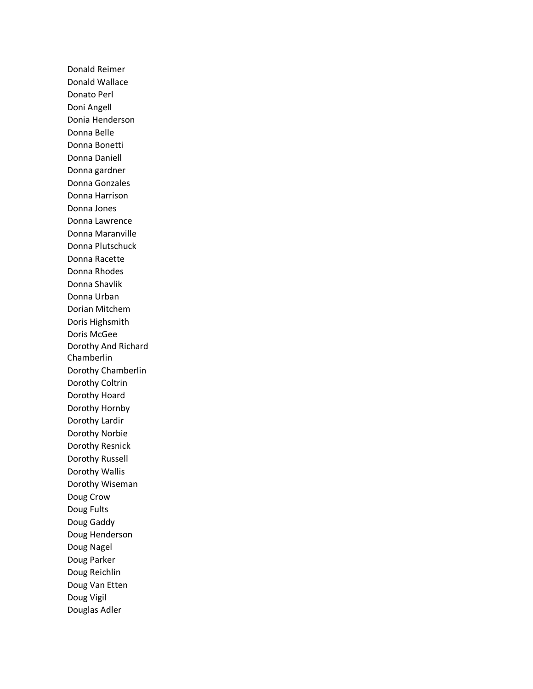Donald Reimer Donald Wallace Donato Perl Doni Angell Donia Henderson Donna Belle Donna Bonetti Donna Daniell Donna gardner Donna Gonzales Donna Harrison Donna Jones Donna Lawrence Donna Maranville Donna Plutschuck Donna Racette Donna Rhodes Donna Shavlik Donna Urban Dorian Mitchem Doris Highsmith Doris McGee Dorothy And Richard Chamberlin Dorothy Chamberlin Dorothy Coltrin Dorothy Hoard Dorothy Hornby Dorothy Lardir Dorothy Norbie Dorothy Resnick Dorothy Russell Dorothy Wallis Dorothy Wiseman Doug Crow Doug Fults Doug Gaddy Doug Henderson Doug Nagel Doug Parker Doug Reichlin Doug Van Etten Doug Vigil Douglas Adler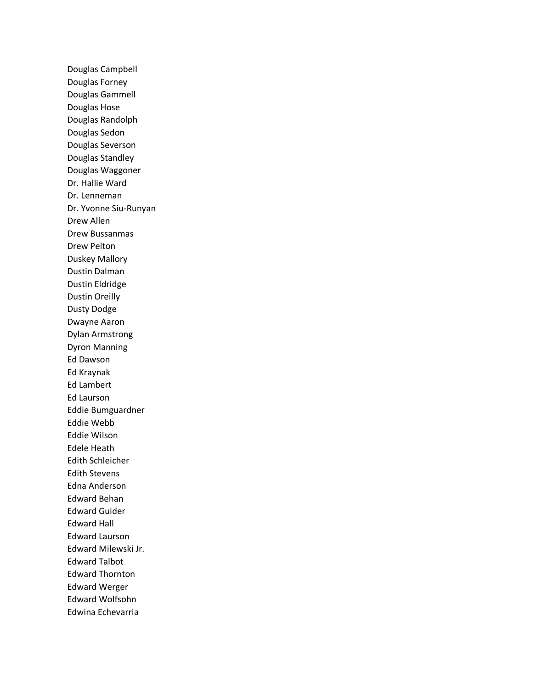Douglas Campbell Douglas Forney Douglas Gammell Douglas Hose Douglas Randolph Douglas Sedon Douglas Severson Douglas Standley Douglas Waggoner Dr. Hallie Ward Dr. Lenneman Dr. Yvonne Siu-Runyan Drew Allen Drew Bussanmas Drew Pelton Duskey Mallory Dustin Dalman Dustin Eldridge Dustin Oreilly Dusty Dodge Dwayne Aaron Dylan Armstrong Dyron Manning Ed Dawson Ed Kraynak Ed Lambert Ed Laurson Eddie Bumguardner Eddie Webb Eddie Wilson Edele Heath Edith Schleicher Edith Stevens Edna Anderson Edward Behan Edward Guider Edward Hall Edward Laurson Edward Milewski Jr. Edward Talbot Edward Thornton Edward Werger Edward Wolfsohn Edwina Echevarria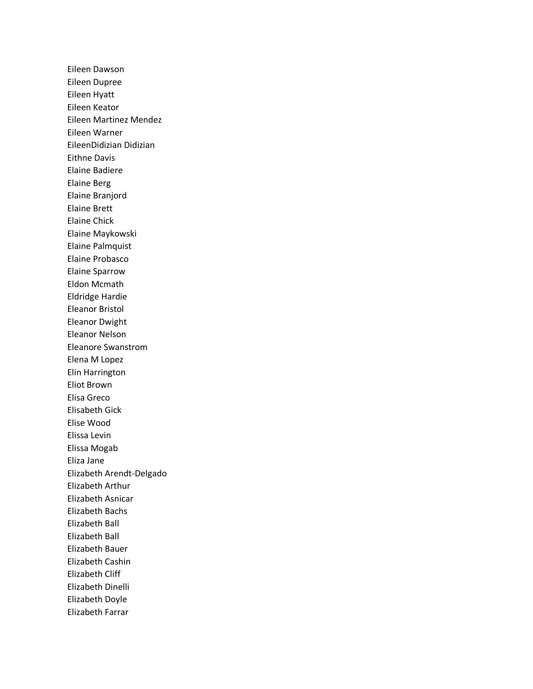Eileen Dawson Eileen Dupree Eileen Hyatt Eileen Keator Eileen Martinez Mendez Eileen Warner EileenDidizian Didizian Eithne Davis Elaine Badiere Elaine Berg Elaine Branjord Elaine Brett Elaine Chick Elaine Maykowski Elaine Palmquist Elaine Probasco Elaine Sparrow Eldon Mcmath Eldridge Hardie Eleanor Bristol Eleanor Dwight Eleanor Nelson Eleanore Swanstrom Elena M Lopez Elin Harrington Eliot Brown Elisa Greco Elisabeth Gick Elise Wood Elissa Levin Elissa Mogab Eliza Jane Elizabeth Arendt-Delgado Elizabeth Arthur Elizabeth Asnicar Elizabeth Bachs Elizabeth Ball Elizabeth Ball Elizabeth Bauer Elizabeth Cashin Elizabeth Cliff Elizabeth Dinelli Elizabeth Doyle Elizabeth Farrar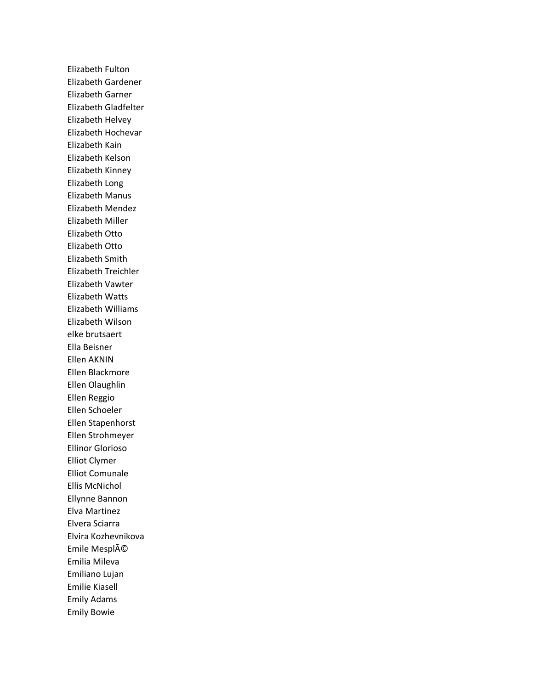Elizabeth Fulton Elizabeth Gardener Elizabeth Garner Elizabeth Gladfelter Elizabeth Helvey Elizabeth Hochevar Elizabeth Kain Elizabeth Kelson Elizabeth Kinney Elizabeth Long Elizabeth Manus Elizabeth Mendez Elizabeth Miller Elizabeth Otto Elizabeth Otto Elizabeth Smith Elizabeth Treichler Elizabeth Vawter Elizabeth Watts Elizabeth Williams Elizabeth Wilson elke brutsaert Ella Beisner Ellen AKNIN Ellen Blackmore Ellen Olaughlin Ellen Reggio Ellen Schoeler Ellen Stapenhorst Ellen Strohmeyer Ellinor Glorioso Elliot Clymer Elliot Comunale Ellis McNichol Ellynne Bannon Elva Martinez Elvera Sciarra Elvira Kozhevnikova Emile Mesplé Emilia Mileva Emiliano Lujan Emilie Kiasell Emily Adams Emily Bowie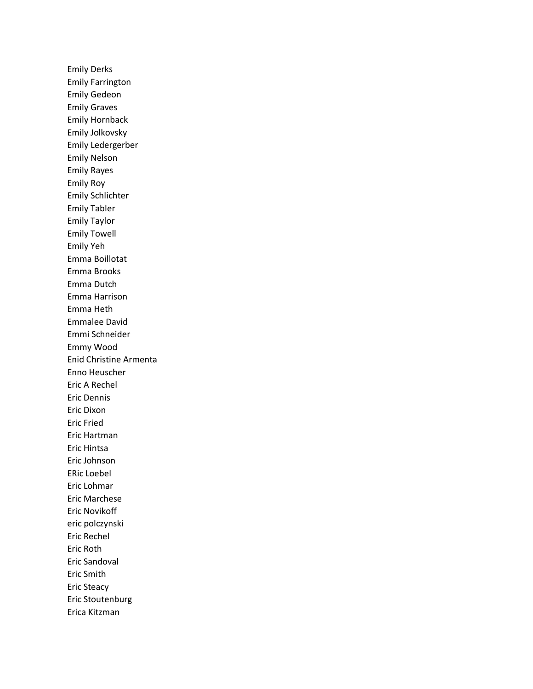Emily Derks Emily Farrington Emily Gedeon Emily Graves Emily Hornback Emily Jolkovsky Emily Ledergerber Emily Nelson Emily Rayes Emily Roy Emily Schlichter Emily Tabler Emily Taylor Emily Towell Emily Yeh Emma Boillotat Emma Brooks Emma Dutch Emma Harrison Emma Heth Emmalee David Emmi Schneider Emmy Wood Enid Christine Armenta Enno Heuscher Eric A Rechel Eric Dennis Eric Dixon Eric Fried Eric Hartman Eric Hintsa Eric Johnson ERic Loebel Eric Lohmar Eric Marchese Eric Novikoff eric polczynski Eric Rechel Eric Roth Eric Sandoval Eric Smith Eric Steacy Eric Stoutenburg Erica Kitzman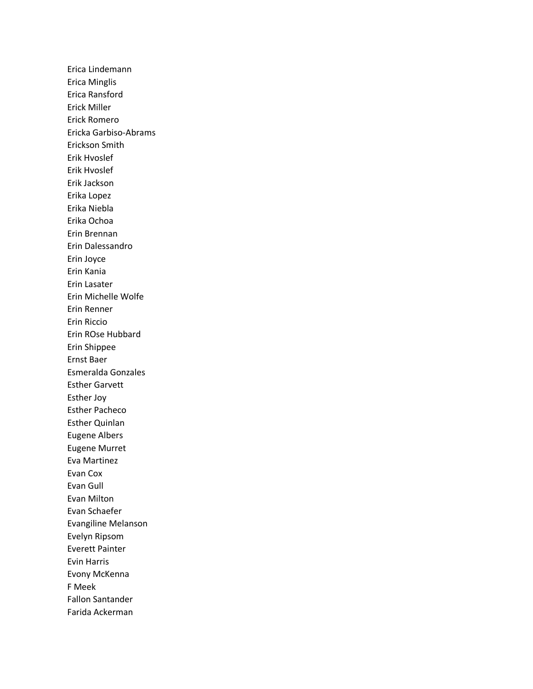Erica Lindemann Erica Minglis Erica Ransford Erick Miller Erick Romero Ericka Garbiso-Abrams Erickson Smith Erik Hvoslef Erik Hvoslef Erik Jackson Erika Lopez Erika Niebla Erika Ochoa Erin Brennan Erin Dalessandro Erin Joyce Erin Kania Erin Lasater Erin Michelle Wolfe Erin Renner Erin Riccio Erin ROse Hubbard Erin Shippee Ernst Baer Esmeralda Gonzales Esther Garvett Esther Joy Esther Pacheco Esther Quinlan Eugene Albers Eugene Murret Eva Martinez Evan Cox Evan Gull Evan Milton Evan Schaefer Evangiline Melanson Evelyn Ripsom Everett Painter Evin Harris Evony McKenna F Meek Fallon Santander Farida Ackerman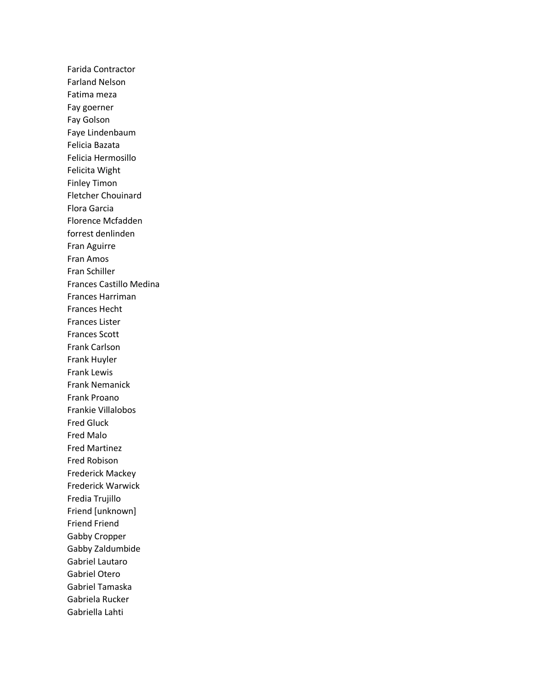Farida Contractor Farland Nelson Fatima meza Fay goerner Fay Golson Faye Lindenbaum Felicia Bazata Felicia Hermosillo Felicita Wight Finley Timon Fletcher Chouinard Flora Garcia Florence Mcfadden forrest denlinden Fran Aguirre Fran Amos Fran Schiller Frances Castillo Medina Frances Harriman Frances Hecht Frances Lister Frances Scott Frank Carlson Frank Huyler Frank Lewis Frank Nemanick Frank Proano Frankie Villalobos Fred Gluck Fred Malo Fred Martinez Fred Robison Frederick Mackey Frederick Warwick Fredia Trujillo Friend [unknown] Friend Friend Gabby Cropper Gabby Zaldumbide Gabriel Lautaro Gabriel Otero Gabriel Tamaska Gabriela Rucker Gabriella Lahti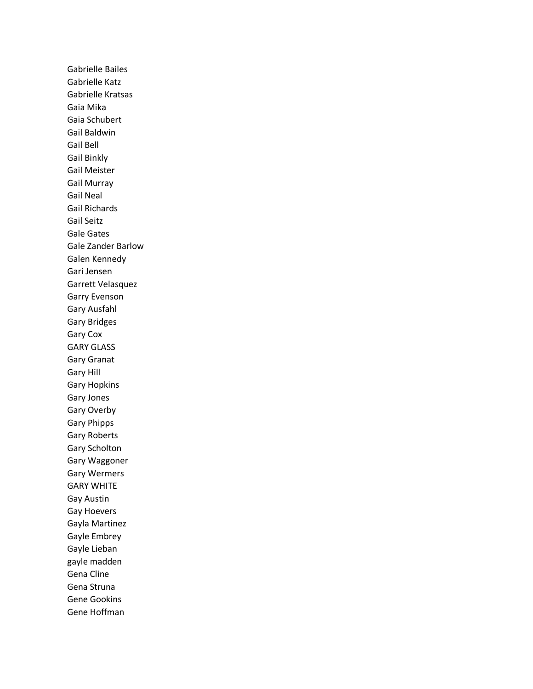Gabrielle Bailes Gabrielle Katz Gabrielle Kratsas Gaia Mika Gaia Schubert Gail Baldwin Gail Bell Gail Binkly Gail Meister Gail Murray Gail Neal Gail Richards Gail Seitz Gale Gates Gale Zander Barlow Galen Kennedy Gari Jensen Garrett Velasquez Garry Evenson Gary Ausfahl Gary Bridges Gary Cox GARY GLASS Gary Granat Gary Hill Gary Hopkins Gary Jones Gary Overby Gary Phipps Gary Roberts Gary Scholton Gary Waggoner Gary Wermers GARY WHITE Gay Austin Gay Hoevers Gayla Martinez Gayle Embrey Gayle Lieban gayle madden Gena Cline Gena Struna Gene Gookins Gene Hoffman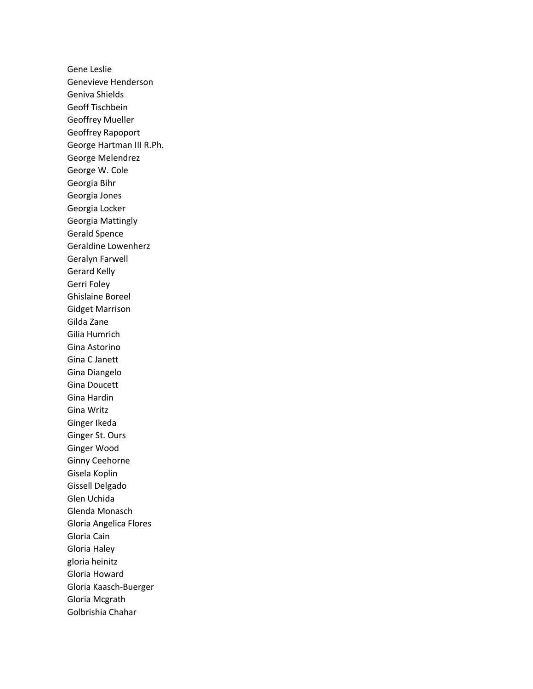Gene Leslie Genevieve Henderson Geniva Shields Geoff Tischbein Geoffrey Mueller Geoffrey Rapoport George Hartman III R.Ph. George Melendrez George W. Cole Georgia Bihr Georgia Jones Georgia Locker Georgia Mattingly Gerald Spence Geraldine Lowenherz Geralyn Farwell Gerard Kelly Gerri Foley Ghislaine Boreel Gidget Marrison Gilda Zane Gilia Humrich Gina Astorino Gina C Janett Gina Diangelo Gina Doucett Gina Hardin Gina Writz Ginger Ikeda Ginger St. Ours Ginger Wood Ginny Ceehorne Gisela Koplin Gissell Delgado Glen Uchida Glenda Monasch Gloria Angelica Flores Gloria Cain Gloria Haley gloria heinitz Gloria Howard Gloria Kaasch-Buerger Gloria Mcgrath Golbrishia Chahar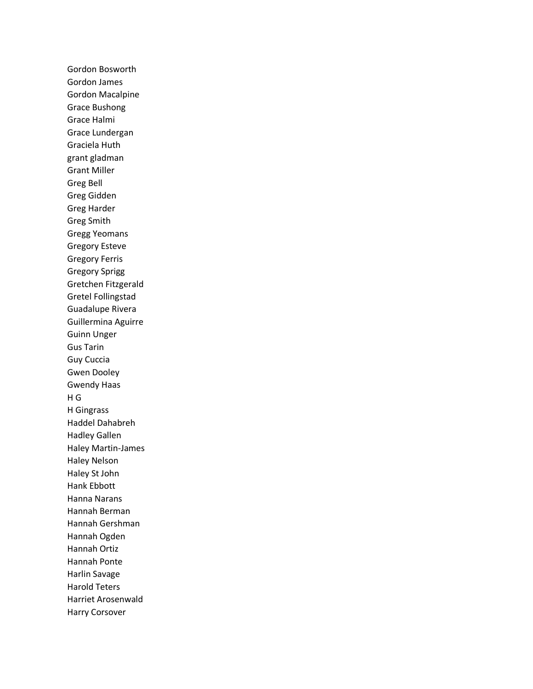Gordon Bosworth Gordon James Gordon Macalpine Grace Bushong Grace Halmi Grace Lundergan Graciela Huth grant gladman Grant Miller Greg Bell Greg Gidden Greg Harder Greg Smith Gregg Yeomans Gregory Esteve Gregory Ferris Gregory Sprigg Gretchen Fitzgerald Gretel Follingstad Guadalupe Rivera Guillermina Aguirre Guinn Unger Gus Tarin Guy Cuccia Gwen Dooley Gwendy Haas H G H Gingrass Haddel Dahabreh Hadley Gallen Haley Martin-James Haley Nelson Haley St John Hank Ebbott Hanna Narans Hannah Berman Hannah Gershman Hannah Ogden Hannah Ortiz Hannah Ponte Harlin Savage Harold Teters Harriet Arosenwald Harry Corsover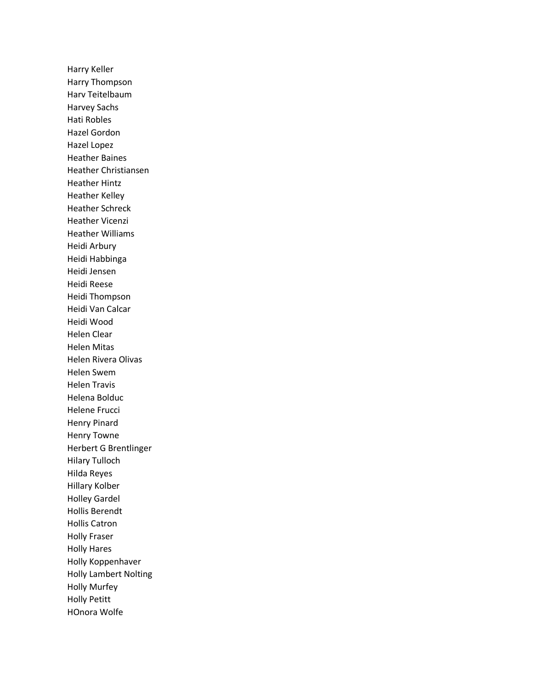Harry Keller Harry Thompson Harv Teitelbaum Harvey Sachs Hati Robles Hazel Gordon Hazel Lopez Heather Baines Heather Christiansen Heather Hintz Heather Kelley Heather Schreck Heather Vicenzi Heather Williams Heidi Arbury Heidi Habbinga Heidi Jensen Heidi Reese Heidi Thompson Heidi Van Calcar Heidi Wood Helen Clear Helen Mitas Helen Rivera Olivas Helen Swem Helen Travis Helena Bolduc Helene Frucci Henry Pinard Henry Towne Herbert G Brentlinger Hilary Tulloch Hilda Reyes Hillary Kolber Holley Gardel Hollis Berendt Hollis Catron Holly Fraser Holly Hares Holly Koppenhaver Holly Lambert Nolting Holly Murfey Holly Petitt HOnora Wolfe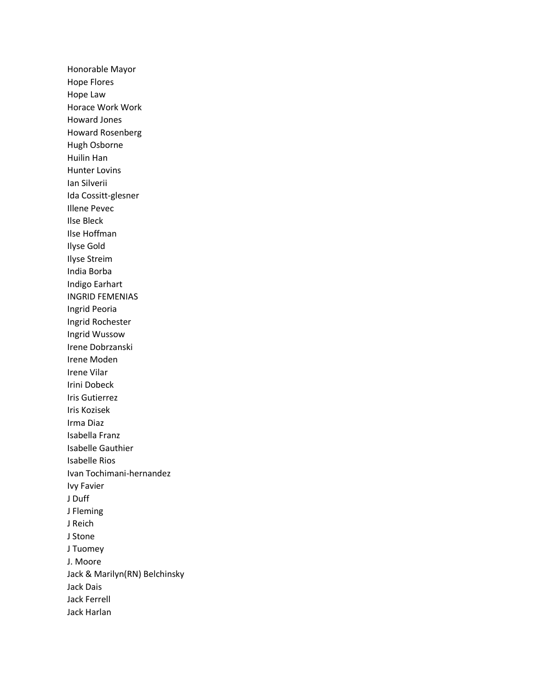Honorable Mayor Hope Flores Hope Law Horace Work Work Howard Jones Howard Rosenberg Hugh Osborne Huilin Han Hunter Lovins Ian Silverii Ida Cossitt-glesner Illene Pevec Ilse Bleck Ilse Hoffman Ilyse Gold Ilyse Streim India Borba Indigo Earhart INGRID FEMENIAS Ingrid Peoria Ingrid Rochester Ingrid Wussow Irene Dobrzanski Irene Moden Irene Vilar Irini Dobeck Iris Gutierrez Iris Kozisek Irma Diaz Isabella Franz Isabelle Gauthier Isabelle Rios Ivan Tochimani-hernandez Ivy Favier J Duff J Fleming J Reich J Stone J Tuomey J. Moore Jack & Marilyn(RN) Belchinsky Jack Dais Jack Ferrell Jack Harlan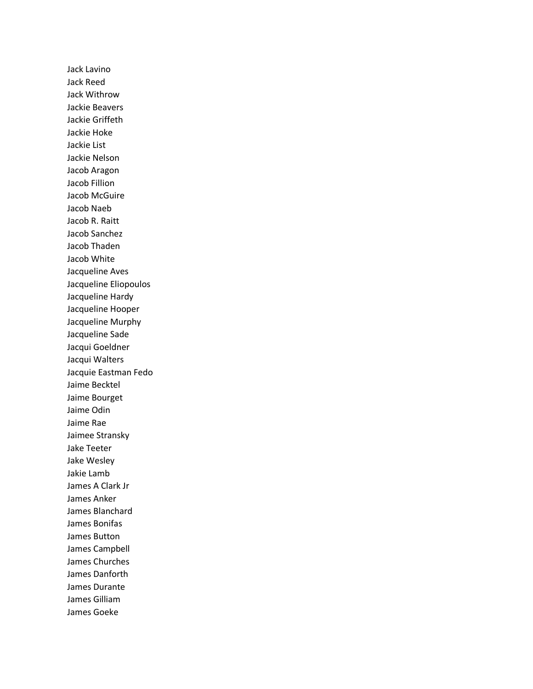Jack Lavino Jack Reed Jack Withrow Jackie Beavers Jackie Griffeth Jackie Hoke Jackie List Jackie Nelson Jacob Aragon Jacob Fillion Jacob McGuire Jacob Naeb Jacob R. Raitt Jacob Sanchez Jacob Thaden Jacob White Jacqueline Aves Jacqueline Eliopoulos Jacqueline Hardy Jacqueline Hooper Jacqueline Murphy Jacqueline Sade Jacqui Goeldner Jacqui Walters Jacquie Eastman Fedo Jaime Becktel Jaime Bourget Jaime Odin Jaime Rae Jaimee Stransky Jake Teeter Jake Wesley Jakie Lamb James A Clark Jr James Anker James Blanchard James Bonifas James Button James Campbell James Churches James Danforth James Durante James Gilliam James Goeke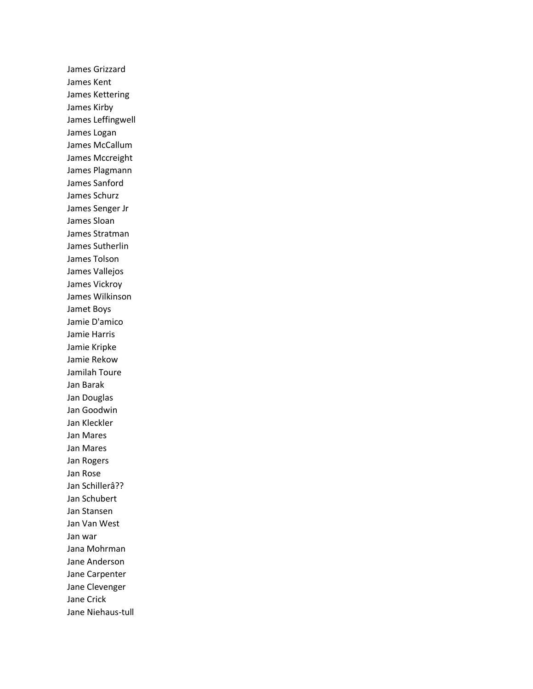James Grizzard James Kent James Kettering James Kirby James Leffingwell James Logan James McCallum James Mccreight James Plagmann James Sanford James Schurz James Senger Jr James Sloan James Stratman James Sutherlin James Tolson James Vallejos James Vickroy James Wilkinson Jamet Boys Jamie D'amico Jamie Harris Jamie Kripke Jamie Rekow Jamilah Toure Jan Barak Jan Douglas Jan Goodwin Jan Kleckler Jan Mares Jan Mares Jan Rogers Jan Rose Jan Schillerâ?? Jan Schubert Jan Stansen Jan Van West Jan war Jana Mohrman Jane Anderson Jane Carpenter Jane Clevenger Jane Crick Jane Niehaus-tull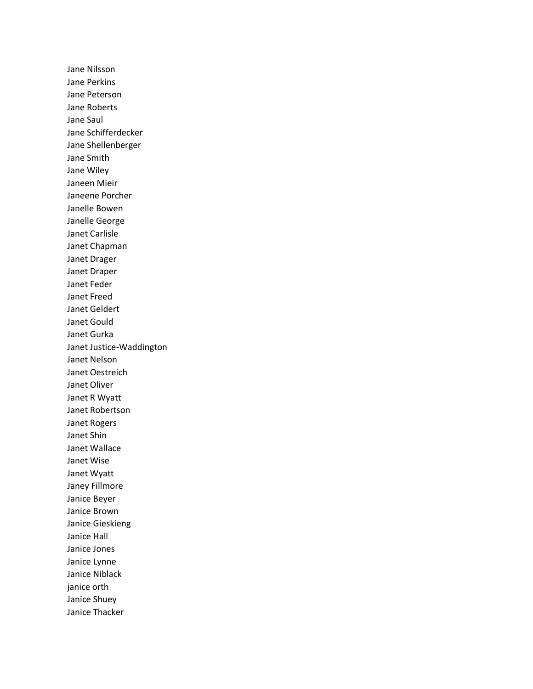Jane Nilsson Jane Perkins Jane Peterson Jane Roberts Jane Saul Jane Schifferdecker Jane Shellenberger Jane Smith Jane Wiley Janeen Mieir Janeene Porcher Janelle Bowen Janelle George Janet Carlisle Janet Chapman Janet Drager Janet Draper Janet Feder Janet Freed Janet Geldert Janet Gould Janet Gurka Janet Justice-Waddington Janet Nelson Janet Oestreich Janet Oliver Janet R Wyatt Janet Robertson Janet Rogers Janet Shin Janet Wallace Janet Wise Janet Wyatt Janey Fillmore Janice Beyer Janice Brown Janice Gieskieng Janice Hall Janice Jones Janice Lynne Janice Niblack janice orth Janice Shuey Janice Thacker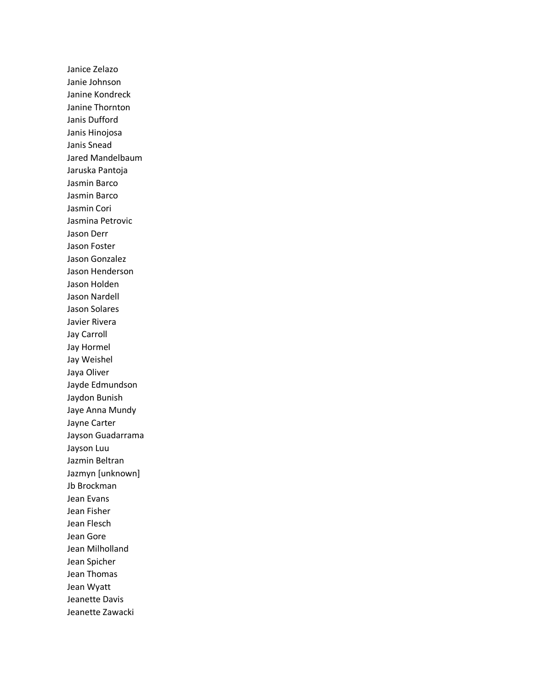Janice Zelazo Janie Johnson Janine Kondreck Janine Thornton Janis Dufford Janis Hinojosa Janis Snead Jared Mandelbaum Jaruska Pantoja Jasmin Barco Jasmin Barco Jasmin Cori Jasmina Petrovic Jason Derr Jason Foster Jason Gonzalez Jason Henderson Jason Holden Jason Nardell Jason Solares Javier Rivera Jay Carroll Jay Hormel Jay Weishel Jaya Oliver Jayde Edmundson Jaydon Bunish Jaye Anna Mundy Jayne Carter Jayson Guadarrama Jayson Luu Jazmin Beltran Jazmyn [unknown] Jb Brockman Jean Evans Jean Fisher Jean Flesch Jean Gore Jean Milholland Jean Spicher Jean Thomas Jean Wyatt Jeanette Davis Jeanette Zawacki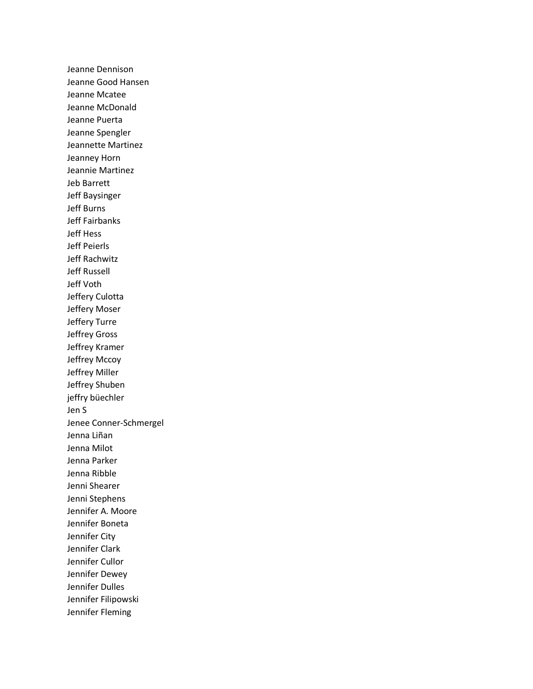Jeanne Dennison Jeanne Good Hansen Jeanne Mcatee Jeanne McDonald Jeanne Puerta Jeanne Spengler Jeannette Martinez Jeanney Horn Jeannie Martinez Jeb Barrett Jeff Baysinger Jeff Burns Jeff Fairbanks Jeff Hess Jeff Peierls Jeff Rachwitz Jeff Russell Jeff Voth Jeffery Culotta Jeffery Moser Jeffery Turre Jeffrey Gross Jeffrey Kramer Jeffrey Mccoy Jeffrey Miller Jeffrey Shuben jeffry büechler Jen S Jenee Conner-Schmergel Jenna Liñan Jenna Milot Jenna Parker Jenna Ribble Jenni Shearer Jenni Stephens Jennifer A. Moore Jennifer Boneta Jennifer City Jennifer Clark Jennifer Cullor Jennifer Dewey Jennifer Dulles Jennifer Filipowski Jennifer Fleming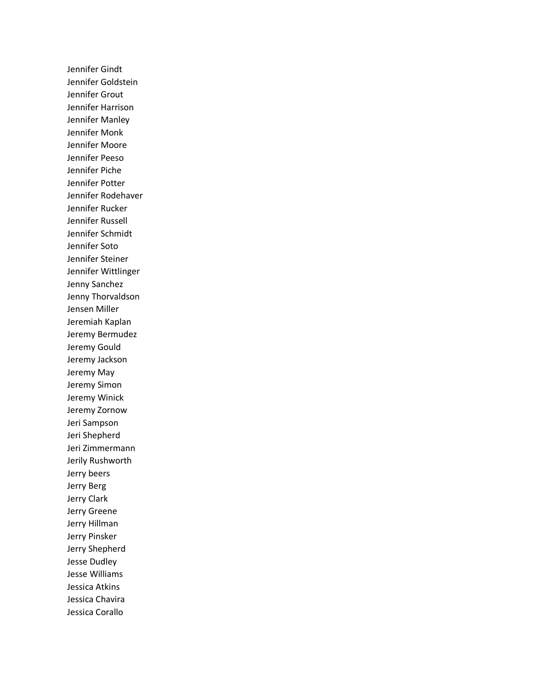Jennifer Gindt Jennifer Goldstein Jennifer Grout Jennifer Harrison Jennifer Manley Jennifer Monk Jennifer Moore Jennifer Peeso Jennifer Piche Jennifer Potter Jennifer Rodehaver Jennifer Rucker Jennifer Russell Jennifer Schmidt Jennifer Soto Jennifer Steiner Jennifer Wittlinger Jenny Sanchez Jenny Thorvaldson Jensen Miller Jeremiah Kaplan Jeremy Bermudez Jeremy Gould Jeremy Jackson Jeremy May Jeremy Simon Jeremy Winick Jeremy Zornow Jeri Sampson Jeri Shepherd Jeri Zimmermann Jerily Rushworth Jerry beers Jerry Berg Jerry Clark Jerry Greene Jerry Hillman Jerry Pinsker Jerry Shepherd Jesse Dudley Jesse Williams Jessica Atkins Jessica Chavira Jessica Corallo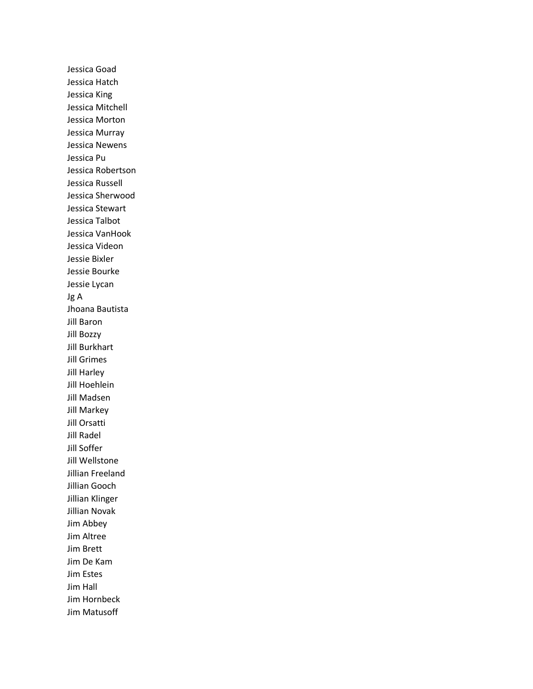Jessica Goad Jessica Hatch Jessica King Jessica Mitchell Jessica Morton Jessica Murray Jessica Newens Jessica Pu Jessica Robertson Jessica Russell Jessica Sherwood Jessica Stewart Jessica Talbot Jessica VanHook Jessica Videon Jessie Bixler Jessie Bourke Jessie Lycan Jg A Jhoana Bautista Jill Baron Jill Bozzy Jill Burkhart Jill Grimes Jill Harley Jill Hoehlein Jill Madsen Jill Markey Jill Orsatti Jill Radel Jill Soffer Jill Wellstone Jillian Freeland Jillian Gooch Jillian Klinger Jillian Novak Jim Abbey Jim Altree Jim Brett Jim De Kam Jim Estes Jim Hall Jim Hornbeck Jim Matusoff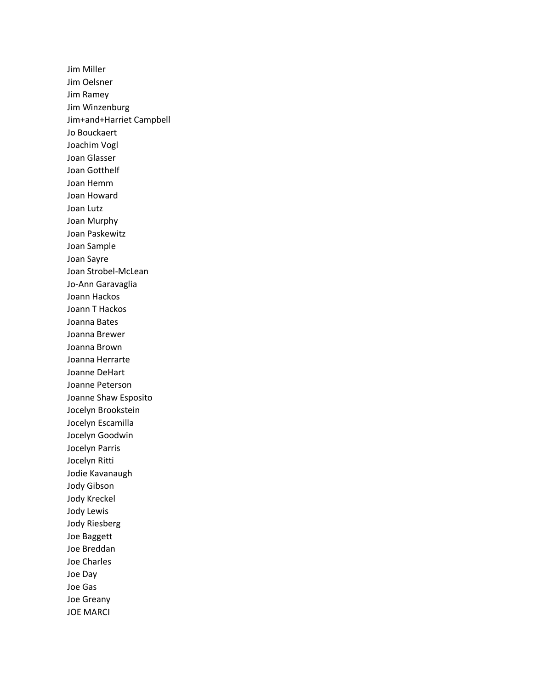Jim Miller Jim Oelsner Jim Ramey Jim Winzenburg Jim+and+Harriet Campbell Jo Bouckaert Joachim Vogl Joan Glasser Joan Gotthelf Joan Hemm Joan Howard Joan Lutz Joan Murphy Joan Paskewitz Joan Sample Joan Sayre Joan Strobel-McLean Jo-Ann Garavaglia Joann Hackos Joann T Hackos Joanna Bates Joanna Brewer Joanna Brown Joanna Herrarte Joanne DeHart Joanne Peterson Joanne Shaw Esposito Jocelyn Brookstein Jocelyn Escamilla Jocelyn Goodwin Jocelyn Parris Jocelyn Ritti Jodie Kavanaugh Jody Gibson Jody Kreckel Jody Lewis Jody Riesberg Joe Baggett Joe Breddan Joe Charles Joe Day Joe Gas Joe Greany JOE MARCI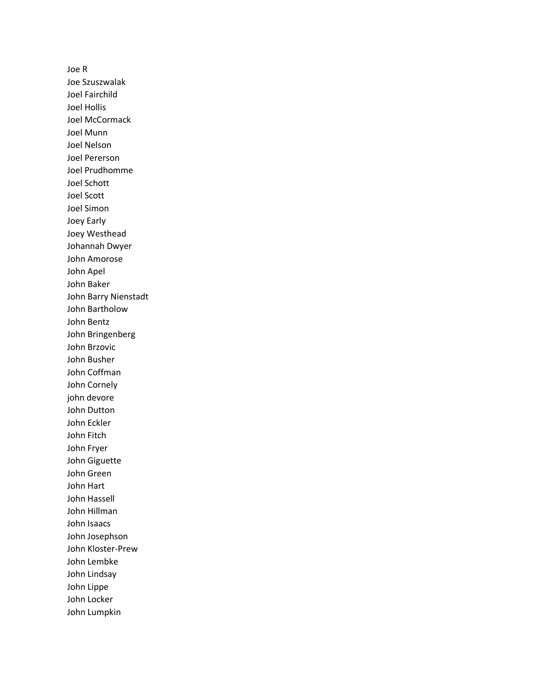Joe R Joe Szuszwalak Joel Fairchild Joel Hollis Joel McCormack Joel Munn Joel Nelson Joel Pererson Joel Prudhomme Joel Schott Joel Scott Joel Simon Joey Early Joey Westhead Johannah Dwyer John Amorose John Apel John Baker John Barry Nienstadt John Bartholow John Bentz John Bringenberg John Brzovic John Busher John Coffman John Cornely john devore John Dutton John Eckler John Fitch John Fryer John Giguette John Green John Hart John Hassell John Hillman John Isaacs John Josephson John Kloster-Prew John Lembke John Lindsay John Lippe John Locker John Lumpkin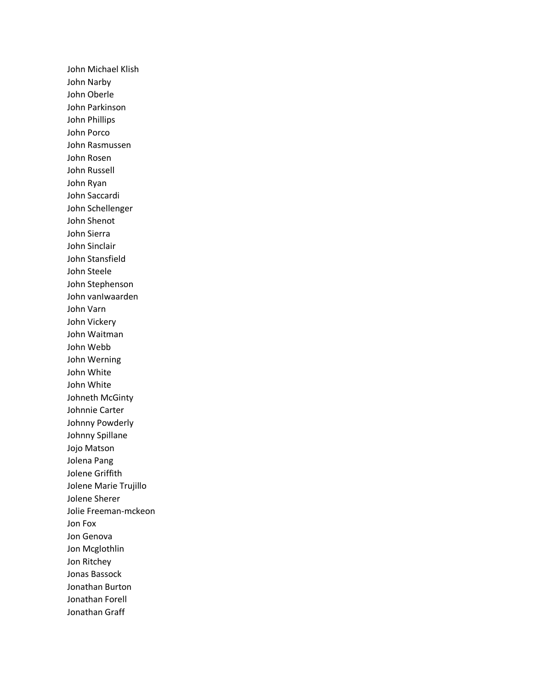John Michael Klish John Narby John Oberle John Parkinson John Phillips John Porco John Rasmussen John Rosen John Russell John Ryan John Saccardi John Schellenger John Shenot John Sierra John Sinclair John Stansfield John Steele John Stephenson John vanIwaarden John Varn John Vickery John Waitman John Webb John Werning John White John White Johneth McGinty Johnnie Carter Johnny Powderly Johnny Spillane Jojo Matson Jolena Pang Jolene Griffith Jolene Marie Trujillo Jolene Sherer Jolie Freeman-mckeon Jon Fox Jon Genova Jon Mcglothlin Jon Ritchey Jonas Bassock Jonathan Burton Jonathan Forell Jonathan Graff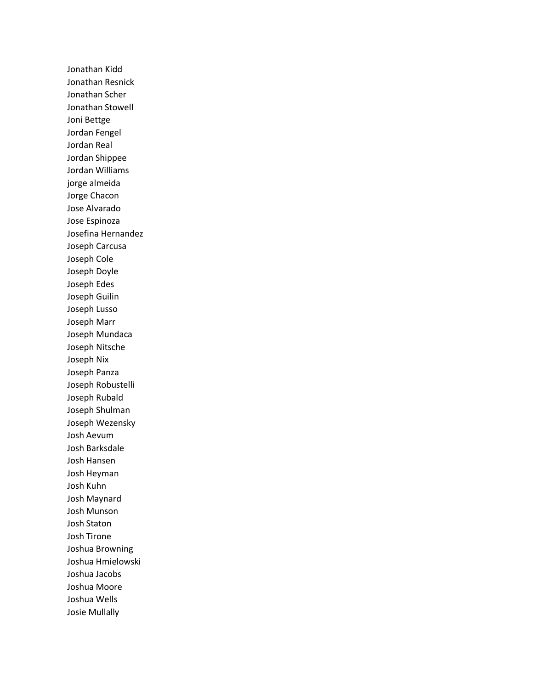Jonathan Kidd Jonathan Resnick Jonathan Scher Jonathan Stowell Joni Bettge Jordan Fengel Jordan Real Jordan Shippee Jordan Williams jorge almeida Jorge Chacon Jose Alvarado Jose Espinoza Josefina Hernandez Joseph Carcusa Joseph Cole Joseph Doyle Joseph Edes Joseph Guilin Joseph Lusso Joseph Marr Joseph Mundaca Joseph Nitsche Joseph Nix Joseph Panza Joseph Robustelli Joseph Rubald Joseph Shulman Joseph Wezensky Josh Aevum Josh Barksdale Josh Hansen Josh Heyman Josh Kuhn Josh Maynard Josh Munson Josh Staton Josh Tirone Joshua Browning Joshua Hmielowski Joshua Jacobs Joshua Moore Joshua Wells Josie Mullally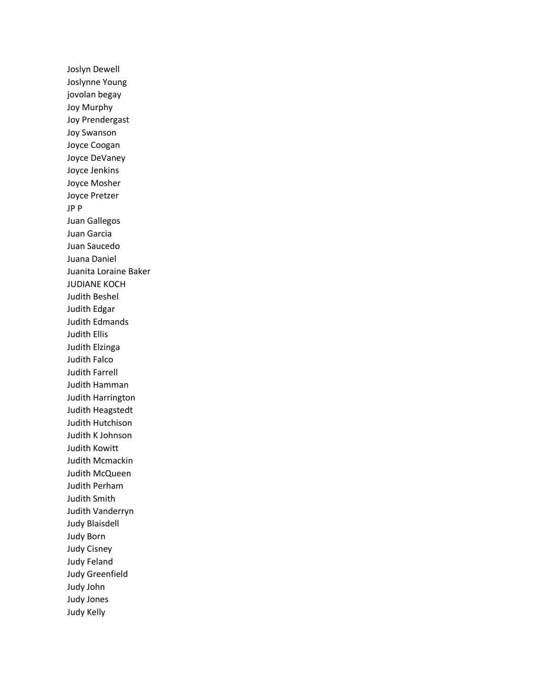Joslyn Dewell Joslynne Young jovolan begay Joy Murphy Joy Prendergast Joy Swanson Joyce Coogan Joyce DeVaney Joyce Jenkins Joyce Mosher Joyce Pretzer JP P Juan Gallegos Juan Garcia Juan Saucedo Juana Daniel Juanita Loraine Baker JUDIANE KOCH Judith Beshel Judith Edgar Judith Edmands Judith Ellis Judith Elzinga Judith Falco Judith Farrell Judith Hamman Judith Harrington Judith Heagstedt Judith Hutchison Judith K Johnson Judith Kowitt Judith Mcmackin Judith McQueen Judith Perham Judith Smith Judith Vanderryn Judy Blaisdell Judy Born Judy Cisney Judy Feland Judy Greenfield Judy John Judy Jones Judy Kelly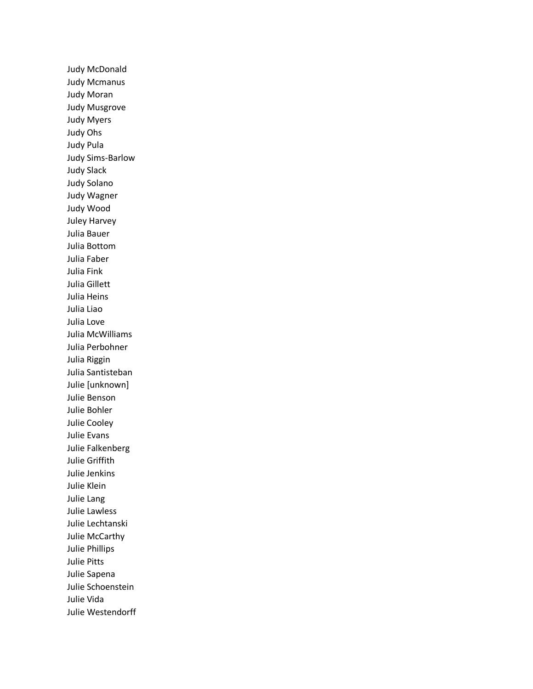Judy McDonald Judy Mcmanus Judy Moran Judy Musgrove Judy Myers Judy Ohs Judy Pula Judy Sims-Barlow Judy Slack Judy Solano Judy Wagner Judy Wood Juley Harvey Julia Bauer Julia Bottom Julia Faber Julia Fink Julia Gillett Julia Heins Julia Liao Julia Love Julia McWilliams Julia Perbohner Julia Riggin Julia Santisteban Julie [unknown] Julie Benson Julie Bohler Julie Cooley Julie Evans Julie Falkenberg Julie Griffith Julie Jenkins Julie Klein Julie Lang Julie Lawless Julie Lechtanski Julie McCarthy Julie Phillips Julie Pitts Julie Sapena Julie Schoenstein Julie Vida Julie Westendorff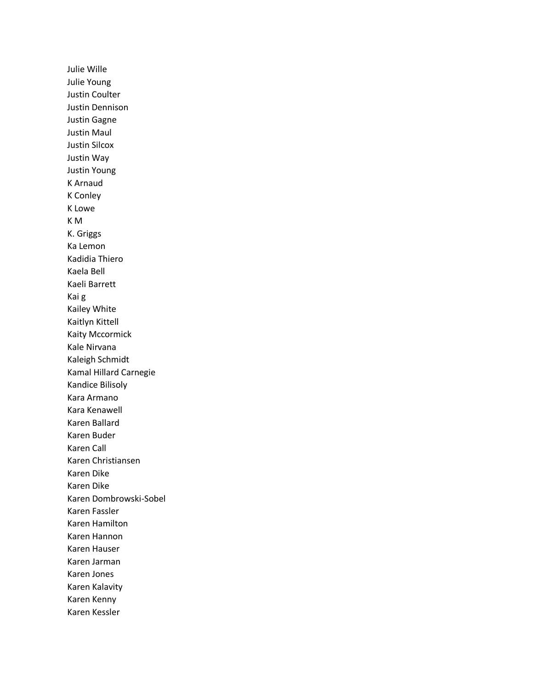Julie Wille Julie Young Justin Coulter Justin Dennison Justin Gagne Justin Maul Justin Silcox Justin Way Justin Young K Arnaud K Conley K Lowe K M K. Griggs Ka Lemon Kadidia Thiero Kaela Bell Kaeli Barrett Kai g Kailey White Kaitlyn Kittell Kaity Mccormick Kale Nirvana Kaleigh Schmidt Kamal Hillard Carnegie Kandice Bilisoly Kara Armano Kara Kenawell Karen Ballard Karen Buder Karen Call Karen Christiansen Karen Dike Karen Dike Karen Dombrowski-Sobel Karen Fassler Karen Hamilton Karen Hannon Karen Hauser Karen Jarman Karen Jones Karen Kalavity Karen Kenny Karen Kessler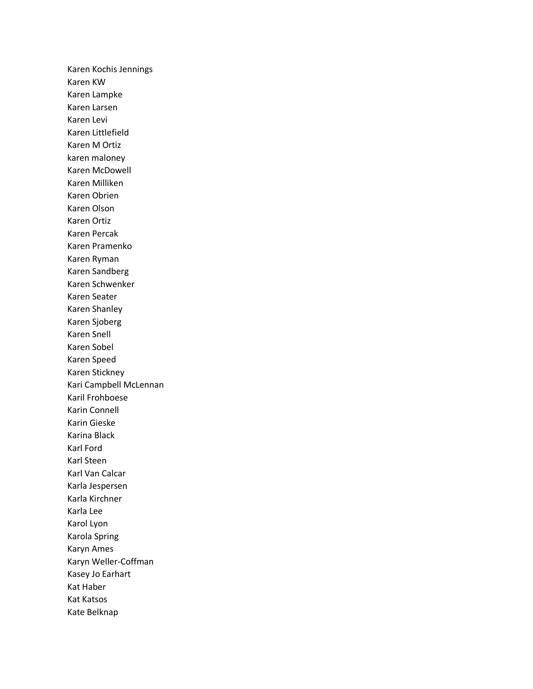Karen Kochis Jennings Karen KW Karen Lampke Karen Larsen Karen Levi Karen Littlefield Karen M Ortiz karen maloney Karen McDowell Karen Milliken Karen Obrien Karen Olson Karen Ortiz Karen Percak Karen Pramenko Karen Ryman Karen Sandberg Karen Schwenker Karen Seater Karen Shanley Karen Sjoberg Karen Snell Karen Sobel Karen Speed Karen Stickney Kari Campbell McLennan Karil Frohboese Karin Connell Karin Gieske Karina Black Karl Ford Karl Steen Karl Van Calcar Karla Jespersen Karla Kirchner Karla Lee Karol Lyon Karola Spring Karyn Ames Karyn Weller-Coffman Kasey Jo Earhart Kat Haber Kat Katsos Kate Belknap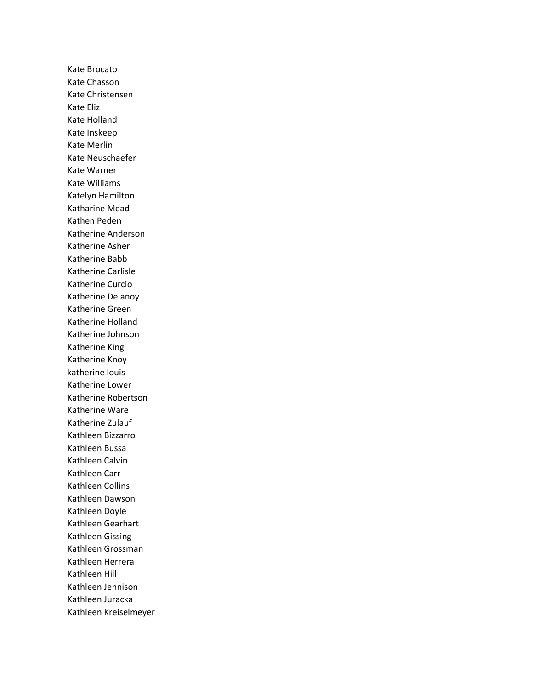Kate Brocato Kate Chasson Kate Christensen Kate Eliz Kate Holland Kate Inskeep Kate Merlin Kate Neuschaefer Kate Warner Kate Williams Katelyn Hamilton Katharine Mead Kathen Peden Katherine Anderson Katherine Asher Katherine Babb Katherine Carlisle Katherine Curcio Katherine Delanoy Katherine Green Katherine Holland Katherine Johnson Katherine King Katherine Knoy katherine louis Katherine Lower Katherine Robertson Katherine Ware Katherine Zulauf Kathleen Bizzarro Kathleen Bussa Kathleen Calvin Kathleen Carr Kathleen Collins Kathleen Dawson Kathleen Doyle Kathleen Gearhart Kathleen Gissing Kathleen Grossman Kathleen Herrera Kathleen Hill Kathleen Jennison Kathleen Juracka Kathleen Kreiselmeyer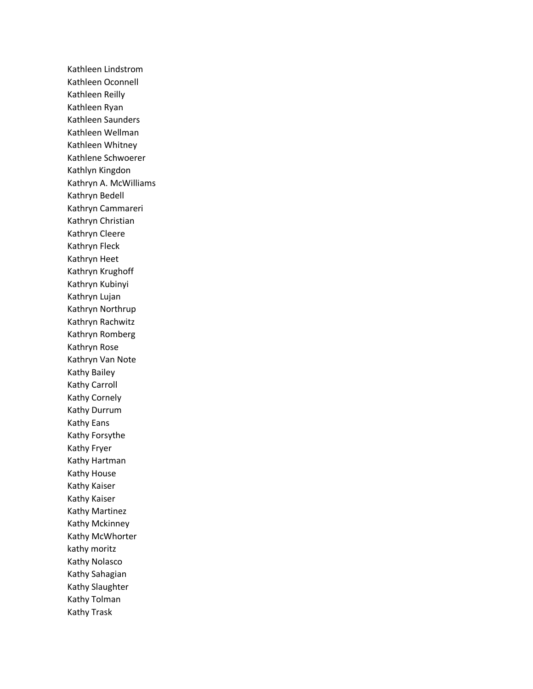Kathleen Lindstrom Kathleen Oconnell Kathleen Reilly Kathleen Ryan Kathleen Saunders Kathleen Wellman Kathleen Whitney Kathlene Schwoerer Kathlyn Kingdon Kathryn A. McWilliams Kathryn Bedell Kathryn Cammareri Kathryn Christian Kathryn Cleere Kathryn Fleck Kathryn Heet Kathryn Krughoff Kathryn Kubinyi Kathryn Lujan Kathryn Northrup Kathryn Rachwitz Kathryn Romberg Kathryn Rose Kathryn Van Note Kathy Bailey Kathy Carroll Kathy Cornely Kathy Durrum Kathy Eans Kathy Forsythe Kathy Fryer Kathy Hartman Kathy House Kathy Kaiser Kathy Kaiser Kathy Martinez Kathy Mckinney Kathy McWhorter kathy moritz Kathy Nolasco Kathy Sahagian Kathy Slaughter Kathy Tolman Kathy Trask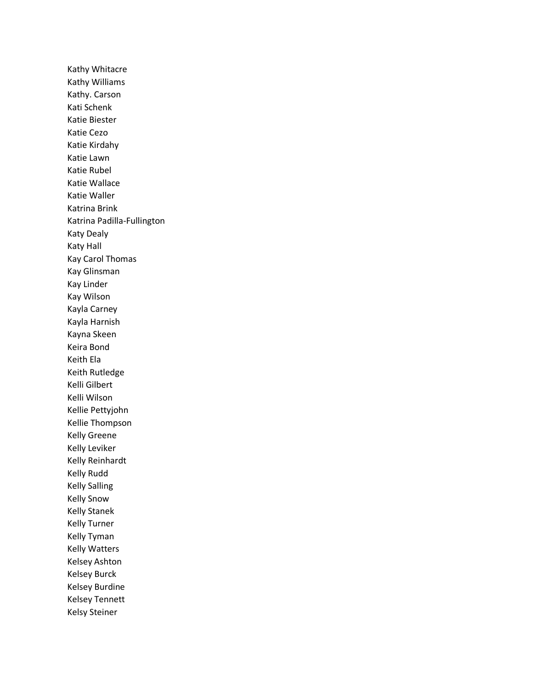Kathy Whitacre Kathy Williams Kathy. Carson Kati Schenk Katie Biester Katie Cezo Katie Kirdahy Katie Lawn Katie Rubel Katie Wallace Katie Waller Katrina Brink Katrina Padilla-Fullington Katy Dealy Katy Hall Kay Carol Thomas Kay Glinsman Kay Linder Kay Wilson Kayla Carney Kayla Harnish Kayna Skeen Keira Bond Keith Ela Keith Rutledge Kelli Gilbert Kelli Wilson Kellie Pettyjohn Kellie Thompson Kelly Greene Kelly Leviker Kelly Reinhardt Kelly Rudd Kelly Salling Kelly Snow Kelly Stanek Kelly Turner Kelly Tyman Kelly Watters Kelsey Ashton Kelsey Burck Kelsey Burdine Kelsey Tennett Kelsy Steiner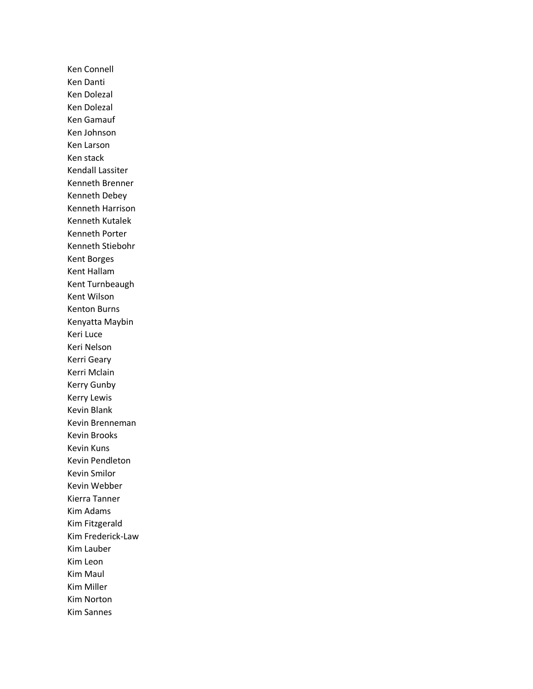Ken Connell Ken Danti Ken Dolezal Ken Dolezal Ken Gamauf Ken Johnson Ken Larson Ken stack Kendall Lassiter Kenneth Brenner Kenneth Debey Kenneth Harrison Kenneth Kutalek Kenneth Porter Kenneth Stiebohr Kent Borges Kent Hallam Kent Turnbeaugh Kent Wilson Kenton Burns Kenyatta Maybin Keri Luce Keri Nelson Kerri Geary Kerri Mclain Kerry Gunby Kerry Lewis Kevin Blank Kevin Brenneman Kevin Brooks Kevin Kuns Kevin Pendleton Kevin Smilor Kevin Webber Kierra Tanner Kim Adams Kim Fitzgerald Kim Frederick-Law Kim Lauber Kim Leon Kim Maul Kim Miller Kim Norton Kim Sannes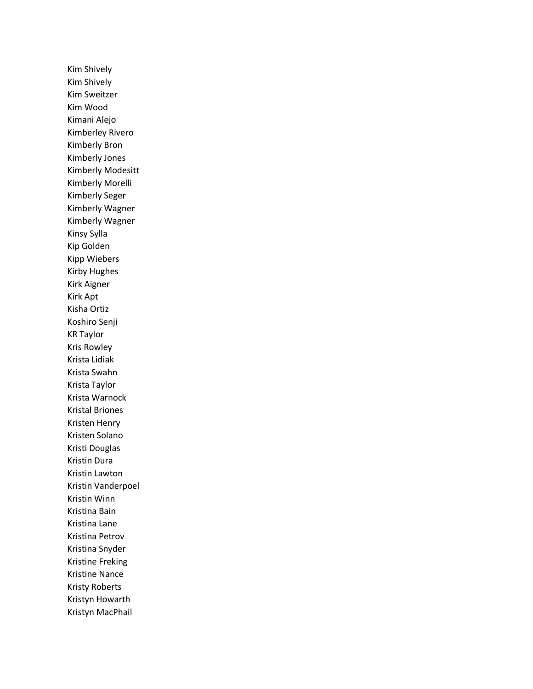Kim Shively Kim Shively Kim Sweitzer Kim Wood Kimani Alejo Kimberley Rivero Kimberly Bron Kimberly Jones Kimberly Modesitt Kimberly Morelli Kimberly Seger Kimberly Wagner Kimberly Wagner Kinsy Sylla Kip Golden Kipp Wiebers Kirby Hughes Kirk Aigner Kirk Apt Kisha Ortiz Koshiro Senji KR Taylor Kris Rowley Krista Lidiak Krista Swahn Krista Taylor Krista Warnock Kristal Briones Kristen Henry Kristen Solano Kristi Douglas Kristin Dura Kristin Lawton Kristin Vanderpoel Kristin Winn Kristina Bain Kristina Lane Kristina Petrov Kristina Snyder Kristine Freking Kristine Nance Kristy Roberts Kristyn Howarth Kristyn MacPhail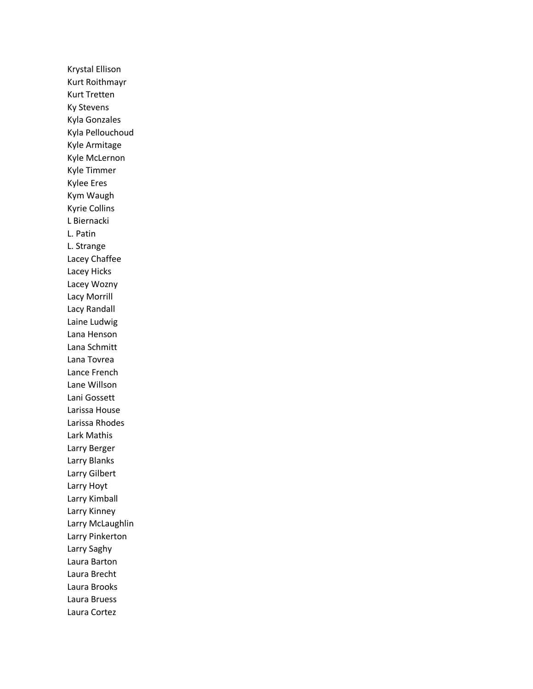Krystal Ellison Kurt Roithmayr Kurt Tretten Ky Stevens Kyla Gonzales Kyla Pellouchoud Kyle Armitage Kyle McLernon Kyle Timmer Kylee Eres Kym Waugh Kyrie Collins L Biernacki L. Patin L. Strange Lacey Chaffee Lacey Hicks Lacey Wozny Lacy Morrill Lacy Randall Laine Ludwig Lana Henson Lana Schmitt Lana Tovrea Lance French Lane Willson Lani Gossett Larissa House Larissa Rhodes Lark Mathis Larry Berger Larry Blanks Larry Gilbert Larry Hoyt Larry Kimball Larry Kinney Larry McLaughlin Larry Pinkerton Larry Saghy Laura Barton Laura Brecht Laura Brooks Laura Bruess Laura Cortez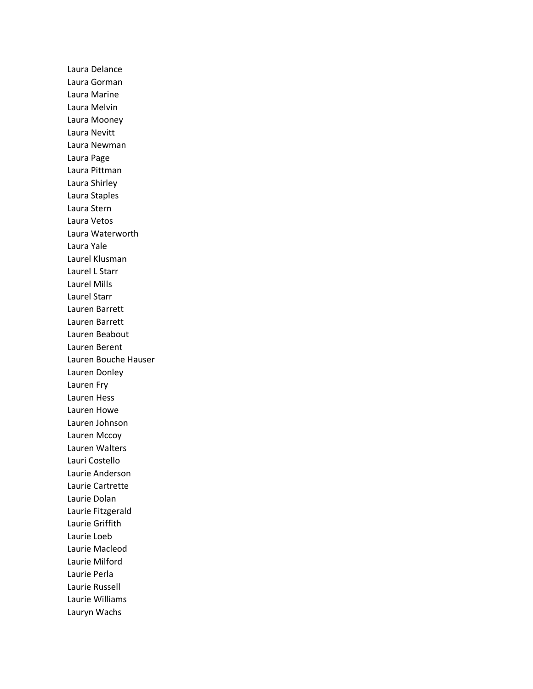Laura Delance Laura Gorman Laura Marine Laura Melvin Laura Mooney Laura Nevitt Laura Newman Laura Page Laura Pittman Laura Shirley Laura Staples Laura Stern Laura Vetos Laura Waterworth Laura Yale Laurel Klusman Laurel L Starr Laurel Mills Laurel Starr Lauren Barrett Lauren Barrett Lauren Beabout Lauren Berent Lauren Bouche Hauser Lauren Donley Lauren Fry Lauren Hess Lauren Howe Lauren Johnson Lauren Mccoy Lauren Walters Lauri Costello Laurie Anderson Laurie Cartrette Laurie Dolan Laurie Fitzgerald Laurie Griffith Laurie Loeb Laurie Macleod Laurie Milford Laurie Perla Laurie Russell Laurie Williams Lauryn Wachs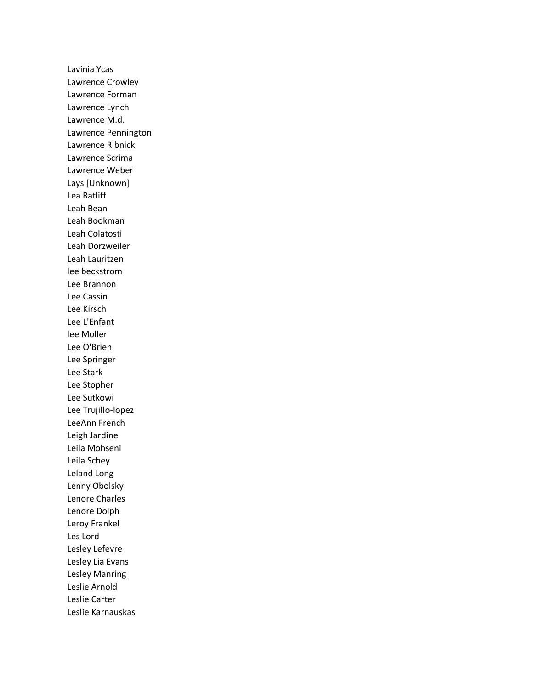Lavinia Ycas Lawrence Crowley Lawrence Forman Lawrence Lynch Lawrence M.d. Lawrence Pennington Lawrence Ribnick Lawrence Scrima Lawrence Weber Lays [Unknown] Lea Ratliff Leah Bean Leah Bookman Leah Colatosti Leah Dorzweiler Leah Lauritzen lee beckstrom Lee Brannon Lee Cassin Lee Kirsch Lee L'Enfant lee Moller Lee O'Brien Lee Springer Lee Stark Lee Stopher Lee Sutkowi Lee Trujillo-lopez LeeAnn French Leigh Jardine Leila Mohseni Leila Schey Leland Long Lenny Obolsky Lenore Charles Lenore Dolph Leroy Frankel Les Lord Lesley Lefevre Lesley Lia Evans Lesley Manring Leslie Arnold Leslie Carter Leslie Karnauskas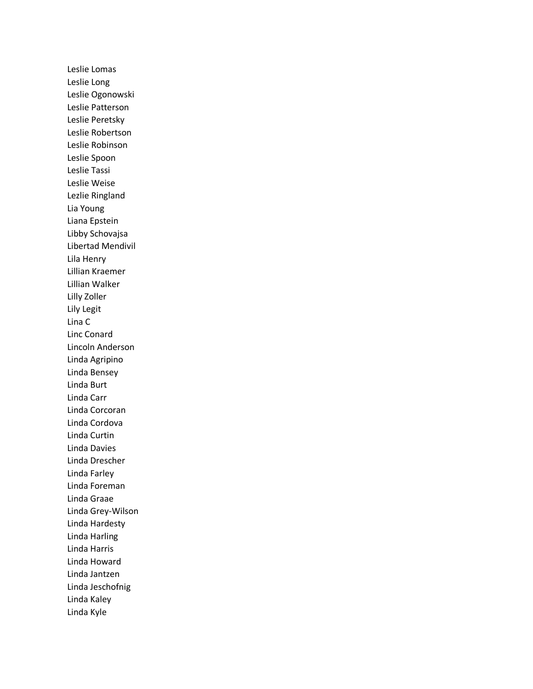Leslie Lomas Leslie Long Leslie Ogonowski Leslie Patterson Leslie Peretsky Leslie Robertson Leslie Robinson Leslie Spoon Leslie Tassi Leslie Weise Lezlie Ringland Lia Young Liana Epstein Libby Schovajsa Libertad Mendivil Lila Henry Lillian Kraemer Lillian Walker Lilly Zoller Lily Legit Lina C Linc Conard Lincoln Anderson Linda Agripino Linda Bensey Linda Burt Linda Carr Linda Corcoran Linda Cordova Linda Curtin Linda Davies Linda Drescher Linda Farley Linda Foreman Linda Graae Linda Grey-Wilson Linda Hardesty Linda Harling Linda Harris Linda Howard Linda Jantzen Linda Jeschofnig Linda Kaley Linda Kyle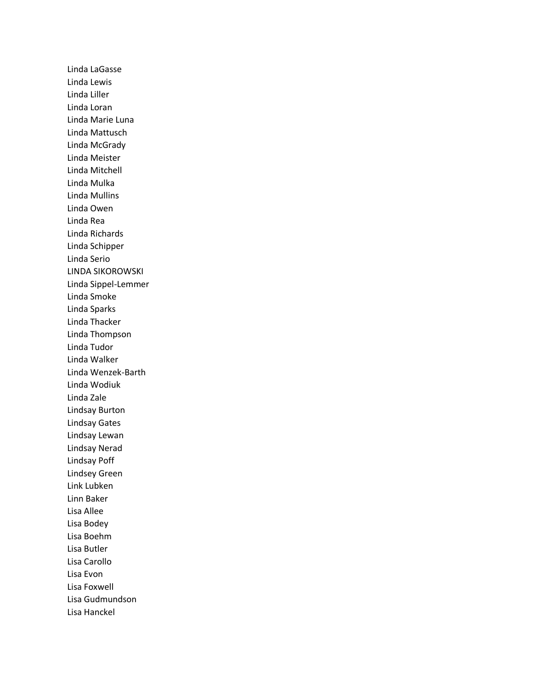Linda LaGasse Linda Lewis Linda Liller Linda Loran Linda Marie Luna Linda Mattusch Linda McGrady Linda Meister Linda Mitchell Linda Mulka Linda Mullins Linda Owen Linda Rea Linda Richards Linda Schipper Linda Serio LINDA SIKOROWSKI Linda Sippel-Lemmer Linda Smoke Linda Sparks Linda Thacker Linda Thompson Linda Tudor Linda Walker Linda Wenzek-Barth Linda Wodiuk Linda Zale Lindsay Burton Lindsay Gates Lindsay Lewan Lindsay Nerad Lindsay Poff Lindsey Green Link Lubken Linn Baker Lisa Allee Lisa Bodey Lisa Boehm Lisa Butler Lisa Carollo Lisa Evon Lisa Foxwell Lisa Gudmundson Lisa Hanckel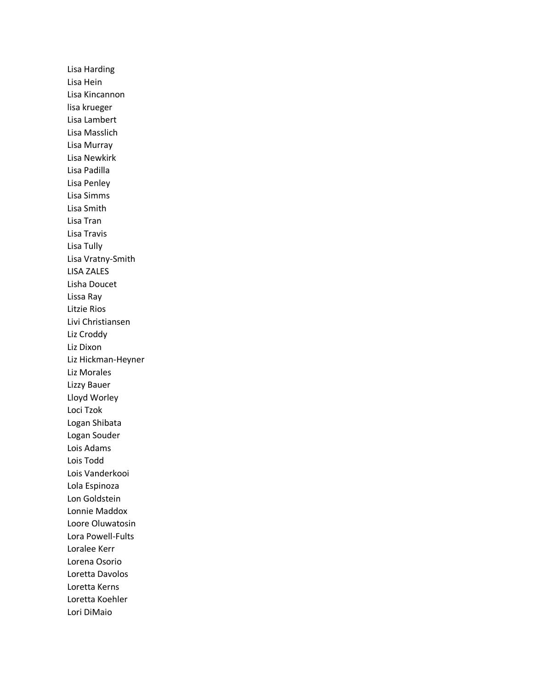Lisa Harding Lisa Hein Lisa Kincannon lisa krueger Lisa Lambert Lisa Masslich Lisa Murray Lisa Newkirk Lisa Padilla Lisa Penley Lisa Simms Lisa Smith Lisa Tran Lisa Travis Lisa Tully Lisa Vratny-Smith LISA ZALES Lisha Doucet Lissa Ray Litzie Rios Livi Christiansen Liz Croddy Liz Dixon Liz Hickman-Heyner Liz Morales Lizzy Bauer Lloyd Worley Loci Tzok Logan Shibata Logan Souder Lois Adams Lois Todd Lois Vanderkooi Lola Espinoza Lon Goldstein Lonnie Maddox Loore Oluwatosin Lora Powell-Fults Loralee Kerr Lorena Osorio Loretta Davolos Loretta Kerns Loretta Koehler Lori DiMaio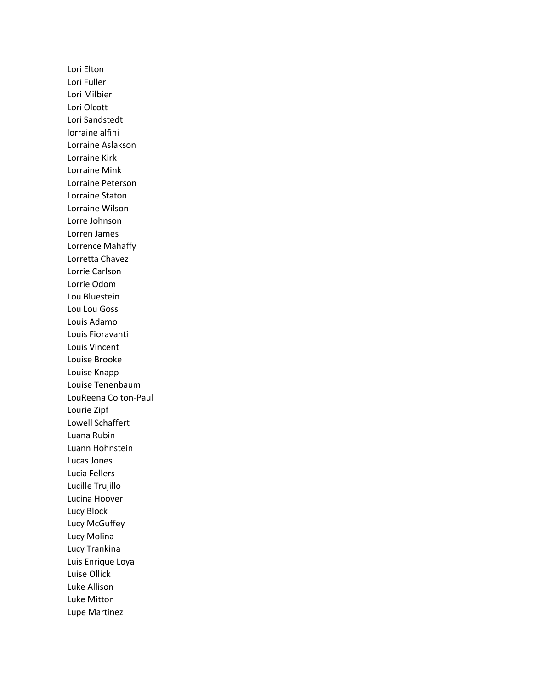Lori Elton Lori Fuller Lori Milbier Lori Olcott Lori Sandstedt lorraine alfini Lorraine Aslakson Lorraine Kirk Lorraine Mink Lorraine Peterson Lorraine Staton Lorraine Wilson Lorre Johnson Lorren James Lorrence Mahaffy Lorretta Chavez Lorrie Carlson Lorrie Odom Lou Bluestein Lou Lou Goss Louis Adamo Louis Fioravanti Louis Vincent Louise Brooke Louise Knapp Louise Tenenbaum LouReena Colton-Paul Lourie Zipf Lowell Schaffert Luana Rubin Luann Hohnstein Lucas Jones Lucia Fellers Lucille Trujillo Lucina Hoover Lucy Block Lucy McGuffey Lucy Molina Lucy Trankina Luis Enrique Loya Luise Ollick Luke Allison Luke Mitton Lupe Martinez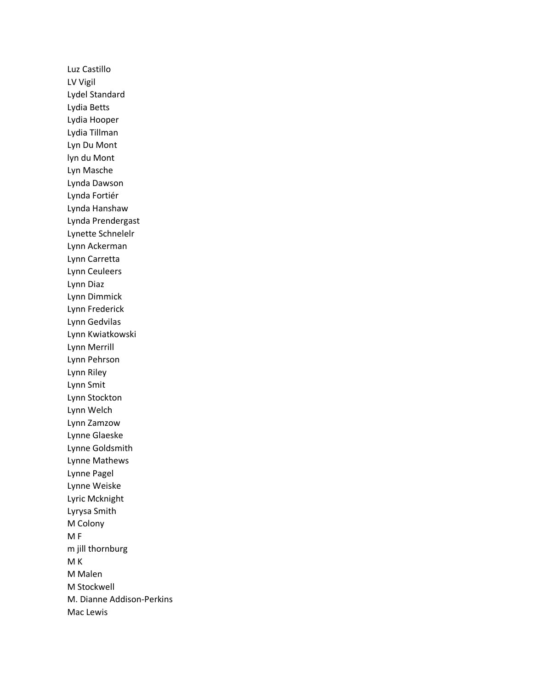Luz Castillo LV Vigil Lydel Standard Lydia Betts Lydia Hooper Lydia Tillman Lyn Du Mont lyn du Mont Lyn Masche Lynda Dawson Lynda Fortiér Lynda Hanshaw Lynda Prendergast Lynette Schnelelr Lynn Ackerman Lynn Carretta Lynn Ceuleers Lynn Diaz Lynn Dimmick Lynn Frederick Lynn Gedvilas Lynn Kwiatkowski Lynn Merrill Lynn Pehrson Lynn Riley Lynn Smit Lynn Stockton Lynn Welch Lynn Zamzow Lynne Glaeske Lynne Goldsmith Lynne Mathews Lynne Pagel Lynne Weiske Lyric Mcknight Lyrysa Smith M Colony M F m jill thornburg M K M Malen M Stockwell M. Dianne Addison-Perkins Mac Lewis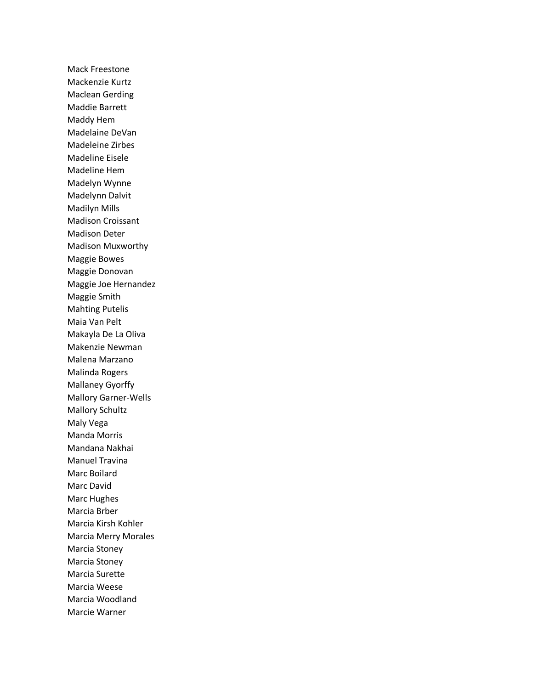Mack Freestone Mackenzie Kurtz Maclean Gerding Maddie Barrett Maddy Hem Madelaine DeVan Madeleine Zirbes Madeline Eisele Madeline Hem Madelyn Wynne Madelynn Dalvit Madilyn Mills Madison Croissant Madison Deter Madison Muxworthy Maggie Bowes Maggie Donovan Maggie Joe Hernandez Maggie Smith Mahting Putelis Maia Van Pelt Makayla De La Oliva Makenzie Newman Malena Marzano Malinda Rogers Mallaney Gyorffy Mallory Garner-Wells Mallory Schultz Maly Vega Manda Morris Mandana Nakhai Manuel Travina Marc Boilard Marc David Marc Hughes Marcia Brber Marcia Kirsh Kohler Marcia Merry Morales Marcia Stoney Marcia Stoney Marcia Surette Marcia Weese Marcia Woodland Marcie Warner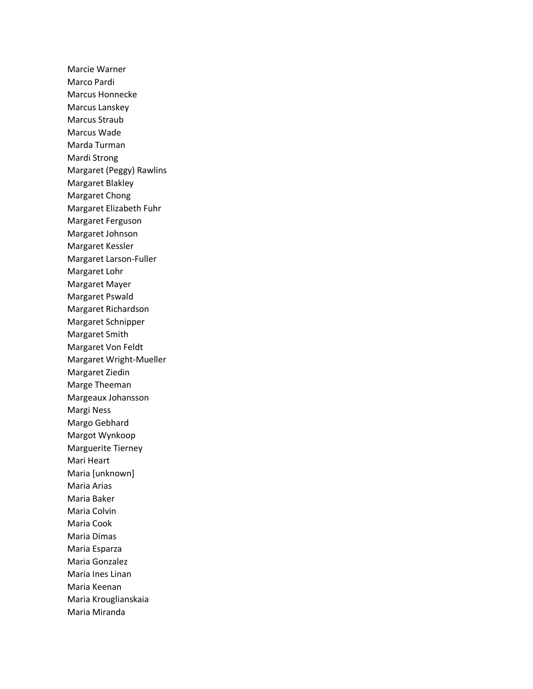Marcie Warner Marco Pardi Marcus Honnecke Marcus Lanskey Marcus Straub Marcus Wade Marda Turman Mardi Strong Margaret (Peggy) Rawlins Margaret Blakley Margaret Chong Margaret Elizabeth Fuhr Margaret Ferguson Margaret Johnson Margaret Kessler Margaret Larson-Fuller Margaret Lohr Margaret Mayer Margaret Pswald Margaret Richardson Margaret Schnipper Margaret Smith Margaret Von Feldt Margaret Wright-Mueller Margaret Ziedin Marge Theeman Margeaux Johansson Margi Ness Margo Gebhard Margot Wynkoop Marguerite Tierney Mari Heart Maria [unknown] Maria Arias Maria Baker Maria Colvin Maria Cook Maria Dimas Maria Esparza Maria Gonzalez Maria Ines Linan Maria Keenan Maria Krouglianskaia Maria Miranda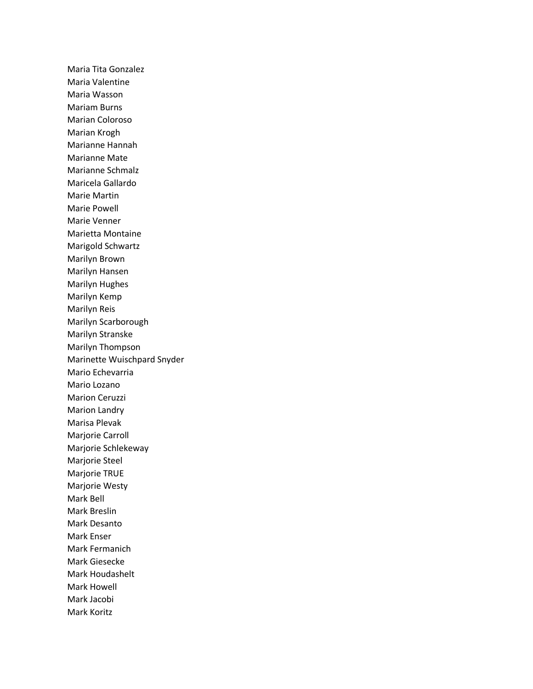Maria Tita Gonzalez Maria Valentine Maria Wasson Mariam Burns Marian Coloroso Marian Krogh Marianne Hannah Marianne Mate Marianne Schmalz Maricela Gallardo Marie Martin Marie Powell Marie Venner Marietta Montaine Marigold Schwartz Marilyn Brown Marilyn Hansen Marilyn Hughes Marilyn Kemp Marilyn Reis Marilyn Scarborough Marilyn Stranske Marilyn Thompson Marinette Wuischpard Snyder Mario Echevarria Mario Lozano Marion Ceruzzi Marion Landry Marisa Plevak Marjorie Carroll Marjorie Schlekeway Marjorie Steel Marjorie TRUE Marjorie Westy Mark Bell Mark Breslin Mark Desanto Mark Enser Mark Fermanich Mark Giesecke Mark Houdashelt Mark Howell Mark Jacobi Mark Koritz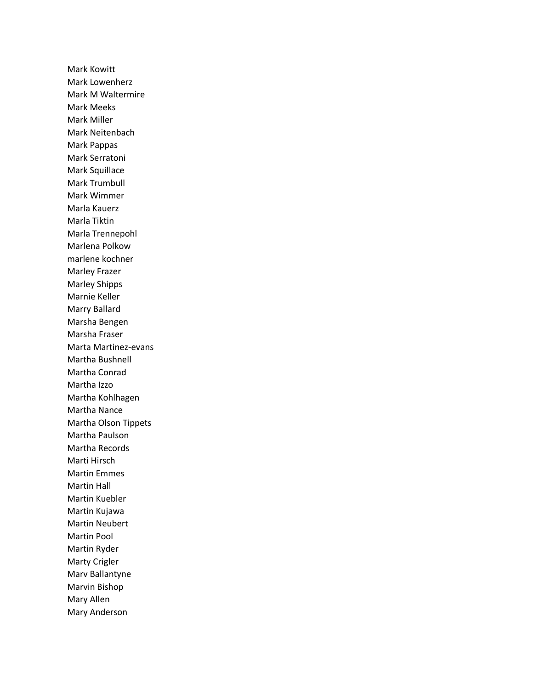Mark Kowitt Mark Lowenherz Mark M Waltermire Mark Meeks Mark Miller Mark Neitenbach Mark Pappas Mark Serratoni Mark Squillace Mark Trumbull Mark Wimmer Marla Kauerz Marla Tiktin Marla Trennepohl Marlena Polkow marlene kochner Marley Frazer Marley Shipps Marnie Keller Marry Ballard Marsha Bengen Marsha Fraser Marta Martinez-evans Martha Bushnell Martha Conrad Martha Izzo Martha Kohlhagen Martha Nance Martha Olson Tippets Martha Paulson Martha Records Marti Hirsch Martin Emmes Martin Hall Martin Kuebler Martin Kujawa Martin Neubert Martin Pool Martin Ryder Marty Crigler Marv Ballantyne Marvin Bishop Mary Allen Mary Anderson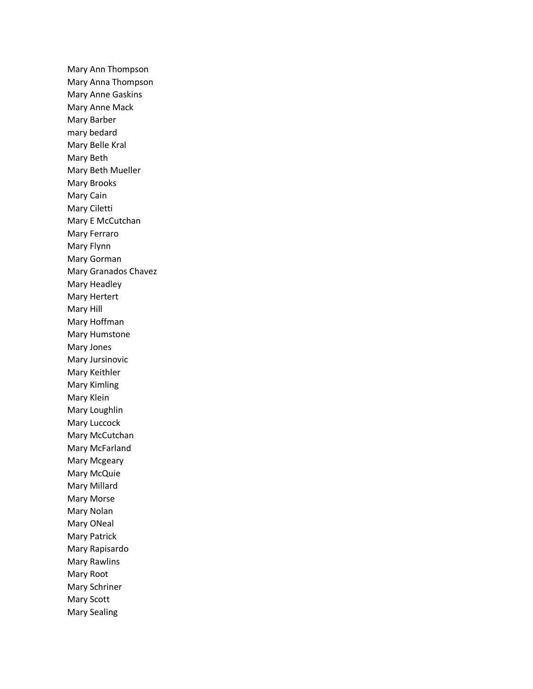Mary Ann Thompson Mary Anna Thompson Mary Anne Gaskins Mary Anne Mack Mary Barber mary bedard Mary Belle Kral Mary Beth Mary Beth Mueller Mary Brooks Mary Cain Mary Ciletti Mary E McCutchan Mary Ferraro Mary Flynn Mary Gorman Mary Granados Chavez Mary Headley Mary Hertert Mary Hill Mary Hoffman Mary Humstone Mary Jones Mary Jursinovic Mary Keithler Mary Kimling Mary Klein Mary Loughlin Mary Luccock Mary McCutchan Mary McFarland Mary Mcgeary Mary McQuie Mary Millard Mary Morse Mary Nolan Mary ONeal Mary Patrick Mary Rapisardo Mary Rawlins Mary Root Mary Schriner Mary Scott Mary Sealing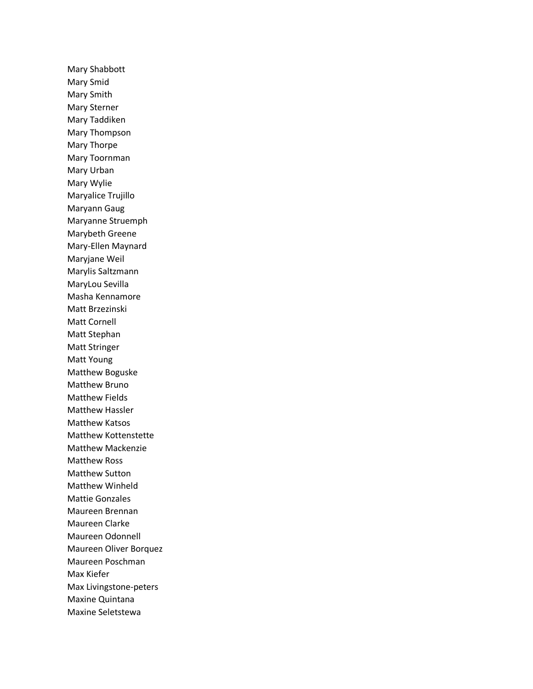Mary Shabbott Mary Smid Mary Smith Mary Sterner Mary Taddiken Mary Thompson Mary Thorpe Mary Toornman Mary Urban Mary Wylie Maryalice Trujillo Maryann Gaug Maryanne Struemph Marybeth Greene Mary-Ellen Maynard Maryjane Weil Marylis Saltzmann MaryLou Sevilla Masha Kennamore Matt Brzezinski Matt Cornell Matt Stephan Matt Stringer Matt Young Matthew Boguske Matthew Bruno Matthew Fields Matthew Hassler Matthew Katsos Matthew Kottenstette Matthew Mackenzie Matthew Ross Matthew Sutton Matthew Winheld Mattie Gonzales Maureen Brennan Maureen Clarke Maureen Odonnell Maureen Oliver Borquez Maureen Poschman Max Kiefer Max Livingstone-peters Maxine Quintana Maxine Seletstewa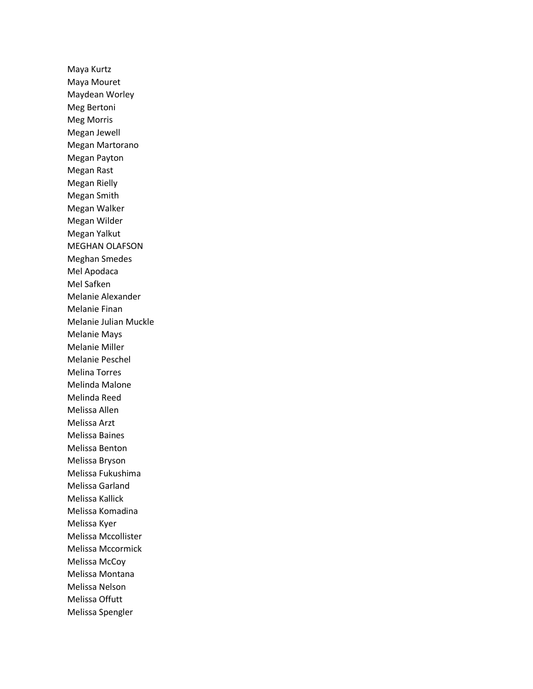Maya Kurtz Maya Mouret Maydean Worley Meg Bertoni Meg Morris Megan Jewell Megan Martorano Megan Payton Megan Rast Megan Rielly Megan Smith Megan Walker Megan Wilder Megan Yalkut MEGHAN OLAFSON Meghan Smedes Mel Apodaca Mel Safken Melanie Alexander Melanie Finan Melanie Julian Muckle Melanie Mays Melanie Miller Melanie Peschel Melina Torres Melinda Malone Melinda Reed Melissa Allen Melissa Arzt Melissa Baines Melissa Benton Melissa Bryson Melissa Fukushima Melissa Garland Melissa Kallick Melissa Komadina Melissa Kyer Melissa Mccollister Melissa Mccormick Melissa McCoy Melissa Montana Melissa Nelson Melissa Offutt Melissa Spengler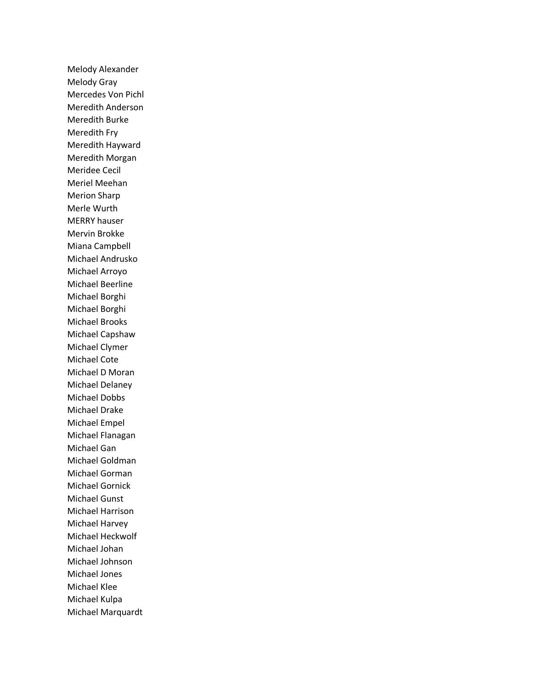Melody Alexander Melody Gray Mercedes Von Pichl Meredith Anderson Meredith Burke Meredith Fry Meredith Hayward Meredith Morgan Meridee Cecil Meriel Meehan Merion Sharp Merle Wurth MERRY hauser Mervin Brokke Miana Campbell Michael Andrusko Michael Arroyo Michael Beerline Michael Borghi Michael Borghi Michael Brooks Michael Capshaw Michael Clymer Michael Cote Michael D Moran Michael Delaney Michael Dobbs Michael Drake Michael Empel Michael Flanagan Michael Gan Michael Goldman Michael Gorman Michael Gornick Michael Gunst Michael Harrison Michael Harvey Michael Heckwolf Michael Johan Michael Johnson Michael Jones Michael Klee Michael Kulpa Michael Marquardt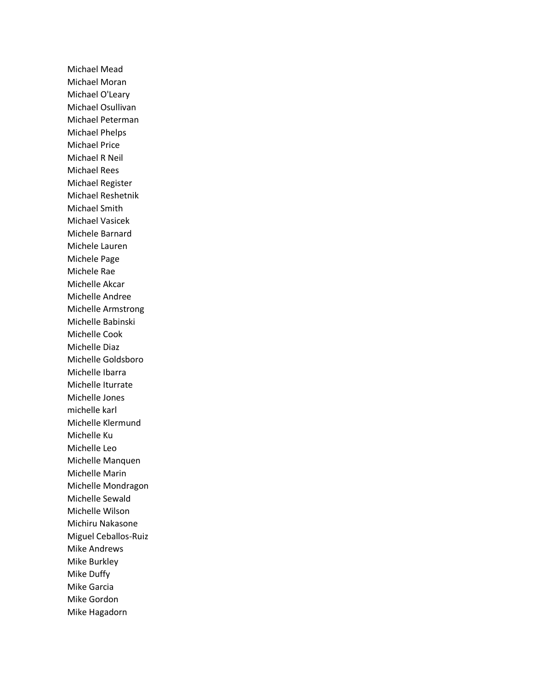Michael Mead Michael Moran Michael O'Leary Michael Osullivan Michael Peterman Michael Phelps Michael Price Michael R Neil Michael Rees Michael Register Michael Reshetnik Michael Smith Michael Vasicek Michele Barnard Michele Lauren Michele Page Michele Rae Michelle Akcar Michelle Andree Michelle Armstrong Michelle Babinski Michelle Cook Michelle Diaz Michelle Goldsboro Michelle Ibarra Michelle Iturrate Michelle Jones michelle karl Michelle Klermund Michelle Ku Michelle Leo Michelle Manquen Michelle Marin Michelle Mondragon Michelle Sewald Michelle Wilson Michiru Nakasone Miguel Ceballos-Ruiz Mike Andrews Mike Burkley Mike Duffy Mike Garcia Mike Gordon Mike Hagadorn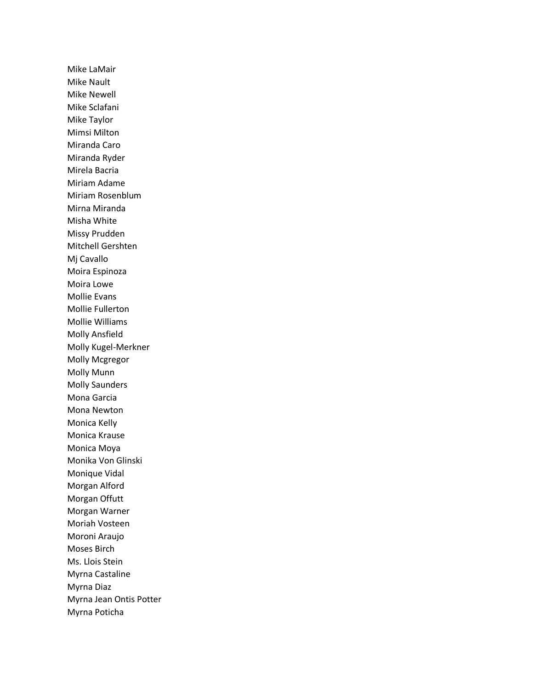Mike LaMair Mike Nault Mike Newell Mike Sclafani Mike Taylor Mimsi Milton Miranda Caro Miranda Ryder Mirela Bacria Miriam Adame Miriam Rosenblum Mirna Miranda Misha White Missy Prudden Mitchell Gershten Mj Cavallo Moira Espinoza Moira Lowe Mollie Evans Mollie Fullerton Mollie Williams Molly Ansfield Molly Kugel-Merkner Molly Mcgregor Molly Munn Molly Saunders Mona Garcia Mona Newton Monica Kelly Monica Krause Monica Moya Monika Von Glinski Monique Vidal Morgan Alford Morgan Offutt Morgan Warner Moriah Vosteen Moroni Araujo Moses Birch Ms. Llois Stein Myrna Castaline Myrna Diaz Myrna Jean Ontis Potter Myrna Poticha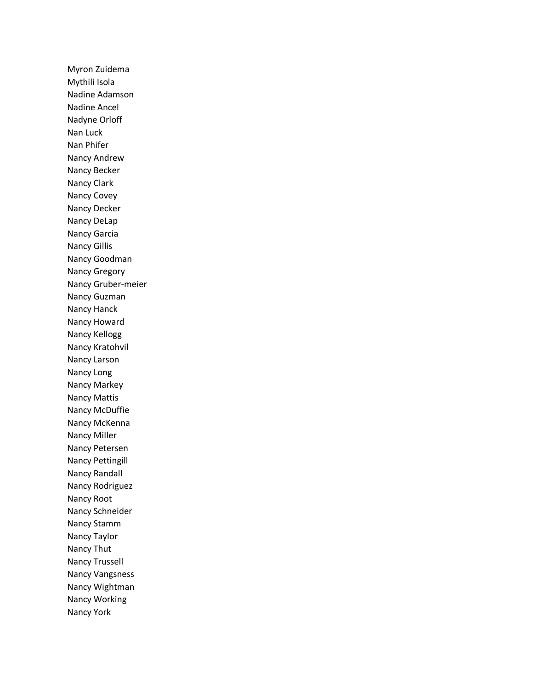Myron Zuidema Mythili Isola Nadine Adamson Nadine Ancel Nadyne Orloff Nan Luck Nan Phifer Nancy Andrew Nancy Becker Nancy Clark Nancy Covey Nancy Decker Nancy DeLap Nancy Garcia Nancy Gillis Nancy Goodman Nancy Gregory Nancy Gruber-meier Nancy Guzman Nancy Hanck Nancy Howard Nancy Kellogg Nancy Kratohvil Nancy Larson Nancy Long Nancy Markey Nancy Mattis Nancy McDuffie Nancy McKenna Nancy Miller Nancy Petersen Nancy Pettingill Nancy Randall Nancy Rodriguez Nancy Root Nancy Schneider Nancy Stamm Nancy Taylor Nancy Thut Nancy Trussell Nancy Vangsness Nancy Wightman Nancy Working Nancy York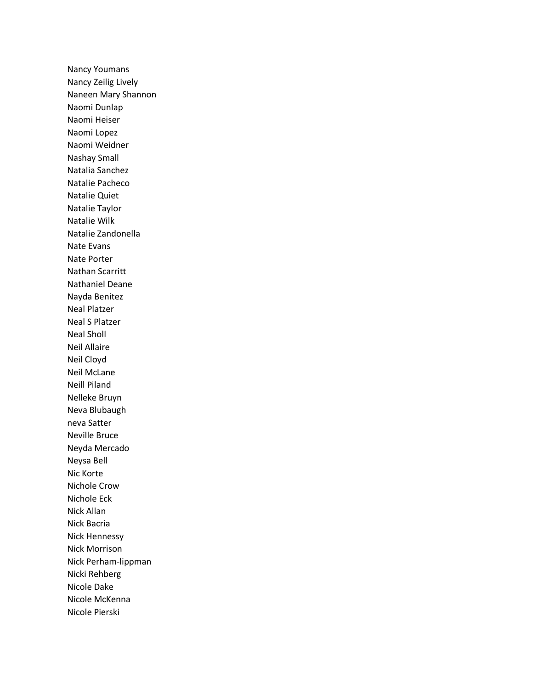Nancy Youmans Nancy Zeilig Lively Naneen Mary Shannon Naomi Dunlap Naomi Heiser Naomi Lopez Naomi Weidner Nashay Small Natalia Sanchez Natalie Pacheco Natalie Quiet Natalie Taylor Natalie Wilk Natalie Zandonella Nate Evans Nate Porter Nathan Scarritt Nathaniel Deane Nayda Benitez Neal Platzer Neal S Platzer Neal Sholl Neil Allaire Neil Cloyd Neil McLane Neill Piland Nelleke Bruyn Neva Blubaugh neva Satter Neville Bruce Neyda Mercado Neysa Bell Nic Korte Nichole Crow Nichole Eck Nick Allan Nick Bacria Nick Hennessy Nick Morrison Nick Perham-lippman Nicki Rehberg Nicole Dake Nicole McKenna Nicole Pierski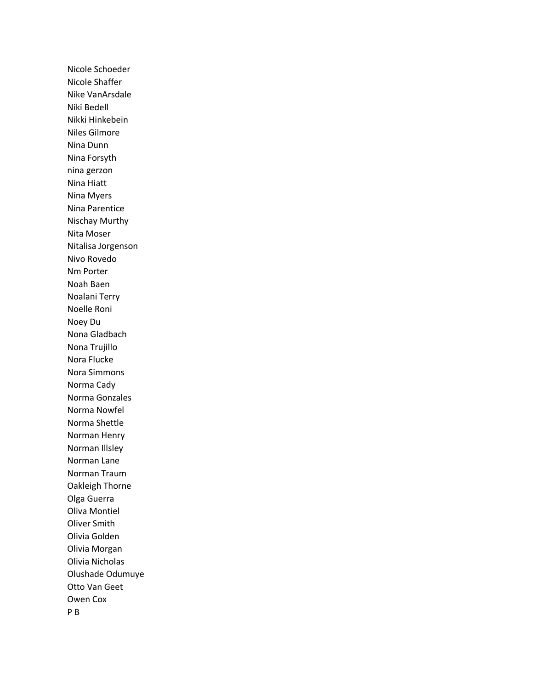Nicole Schoeder Nicole Shaffer Nike VanArsdale Niki Bedell Nikki Hinkebein Niles Gilmore Nina Dunn Nina Forsyth nina gerzon Nina Hiatt Nina Myers Nina Parentice Nischay Murthy Nita Moser Nitalisa Jorgenson Nivo Rovedo Nm Porter Noah Baen Noalani Terry Noelle Roni Noey Du Nona Gladbach Nona Trujillo Nora Flucke Nora Simmons Norma Cady Norma Gonzales Norma Nowfel Norma Shettle Norman Henry Norman Illsley Norman Lane Norman Traum Oakleigh Thorne Olga Guerra Oliva Montiel Oliver Smith Olivia Golden Olivia Morgan Olivia Nicholas Olushade Odumuye Otto Van Geet Owen Cox P B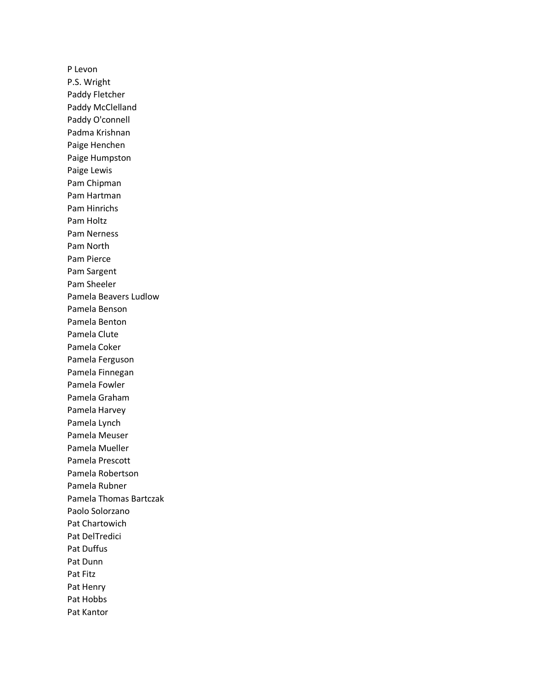P Levon P.S. Wright Paddy Fletcher Paddy McClelland Paddy O'connell Padma Krishnan Paige Henchen Paige Humpston Paige Lewis Pam Chipman Pam Hartman Pam Hinrichs Pam Holtz Pam Nerness Pam North Pam Pierce Pam Sargent Pam Sheeler Pamela Beavers Ludlow Pamela Benson Pamela Benton Pamela Clute Pamela Coker Pamela Ferguson Pamela Finnegan Pamela Fowler Pamela Graham Pamela Harvey Pamela Lynch Pamela Meuser Pamela Mueller Pamela Prescott Pamela Robertson Pamela Rubner Pamela Thomas Bartczak Paolo Solorzano Pat Chartowich Pat DelTredici Pat Duffus Pat Dunn Pat Fitz Pat Henry Pat Hobbs Pat Kantor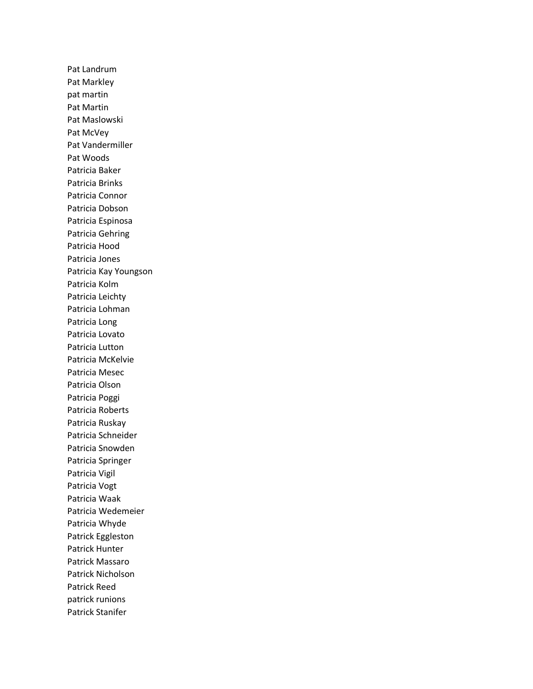Pat Landrum Pat Markley pat martin Pat Martin Pat Maslowski Pat McVey Pat Vandermiller Pat Woods Patricia Baker Patricia Brinks Patricia Connor Patricia Dobson Patricia Espinosa Patricia Gehring Patricia Hood Patricia Jones Patricia Kay Youngson Patricia Kolm Patricia Leichty Patricia Lohman Patricia Long Patricia Lovato Patricia Lutton Patricia McKelvie Patricia Mesec Patricia Olson Patricia Poggi Patricia Roberts Patricia Ruskay Patricia Schneider Patricia Snowden Patricia Springer Patricia Vigil Patricia Vogt Patricia Waak Patricia Wedemeier Patricia Whyde Patrick Eggleston Patrick Hunter Patrick Massaro Patrick Nicholson Patrick Reed patrick runions Patrick Stanifer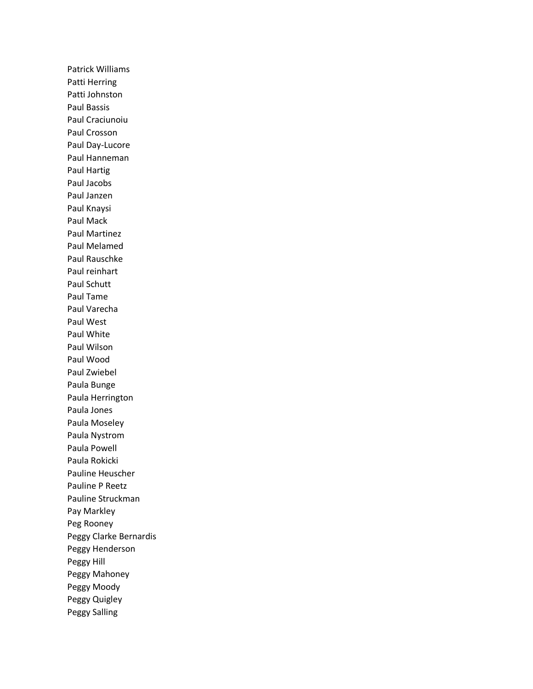Patrick Williams Patti Herring Patti Johnston Paul Bassis Paul Craciunoiu Paul Crosson Paul Day-Lucore Paul Hanneman Paul Hartig Paul Jacobs Paul Janzen Paul Knaysi Paul Mack Paul Martinez Paul Melamed Paul Rauschke Paul reinhart Paul Schutt Paul Tame Paul Varecha Paul West Paul White Paul Wilson Paul Wood Paul Zwiebel Paula Bunge Paula Herrington Paula Jones Paula Moseley Paula Nystrom Paula Powell Paula Rokicki Pauline Heuscher Pauline P Reetz Pauline Struckman Pay Markley Peg Rooney Peggy Clarke Bernardis Peggy Henderson Peggy Hill Peggy Mahoney Peggy Moody Peggy Quigley Peggy Salling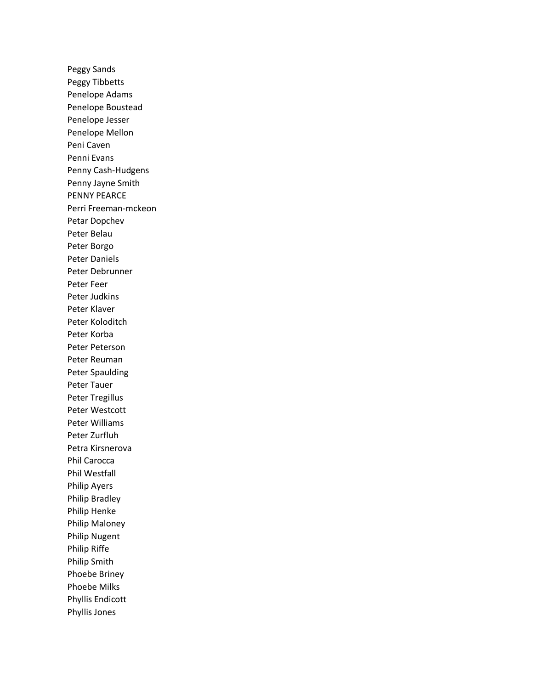Peggy Sands Peggy Tibbetts Penelope Adams Penelope Boustead Penelope Jesser Penelope Mellon Peni Caven Penni Evans Penny Cash-Hudgens Penny Jayne Smith PENNY PEARCE Perri Freeman-mckeon Petar Dopchev Peter Belau Peter Borgo Peter Daniels Peter Debrunner Peter Feer Peter Judkins Peter Klaver Peter Koloditch Peter Korba Peter Peterson Peter Reuman Peter Spaulding Peter Tauer Peter Tregillus Peter Westcott Peter Williams Peter Zurfluh Petra Kirsnerova Phil Carocca Phil Westfall Philip Ayers Philip Bradley Philip Henke Philip Maloney Philip Nugent Philip Riffe Philip Smith Phoebe Briney Phoebe Milks Phyllis Endicott Phyllis Jones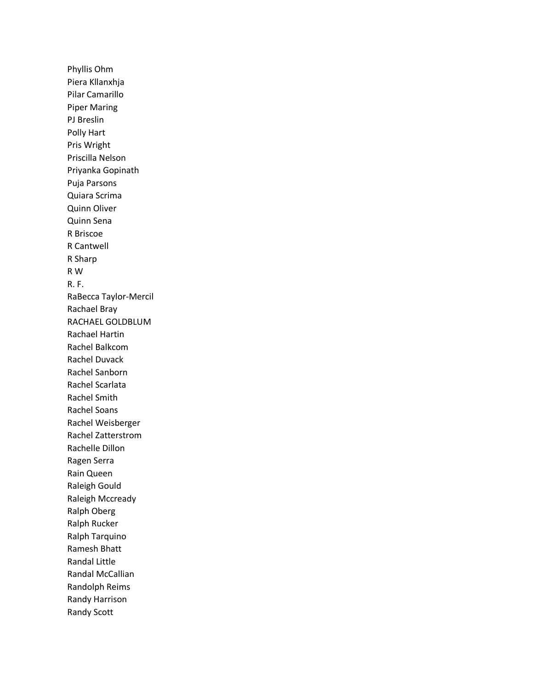Phyllis Ohm Piera Kllanxhja Pilar Camarillo Piper Maring PJ Breslin Polly Hart Pris Wright Priscilla Nelson Priyanka Gopinath Puja Parsons Quiara Scrima Quinn Oliver Quinn Sena R Briscoe R Cantwell R Sharp R W R. F. RaBecca Taylor-Mercil Rachael Bray RACHAEL GOLDBLUM Rachael Hartin Rachel Balkcom Rachel Duvack Rachel Sanborn Rachel Scarlata Rachel Smith Rachel Soans Rachel Weisberger Rachel Zatterstrom Rachelle Dillon Ragen Serra Rain Queen Raleigh Gould Raleigh Mccready Ralph Oberg Ralph Rucker Ralph Tarquino Ramesh Bhatt Randal Little Randal McCallian Randolph Reims Randy Harrison Randy Scott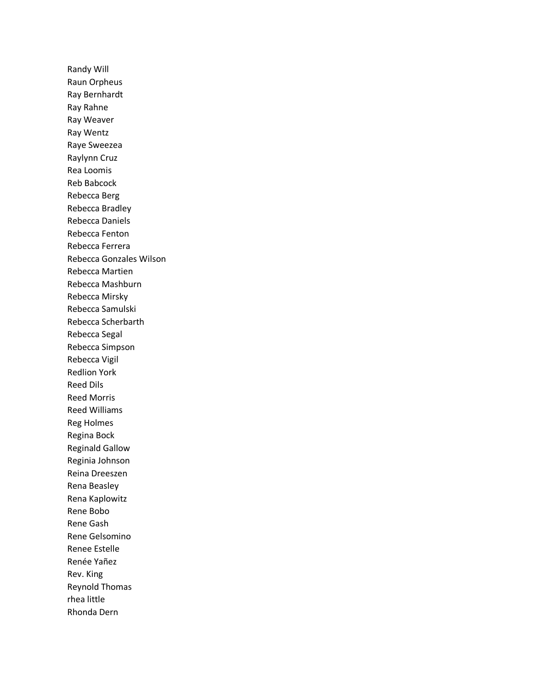Randy Will Raun Orpheus Ray Bernhardt Ray Rahne Ray Weaver Ray Wentz Raye Sweezea Raylynn Cruz Rea Loomis Reb Babcock Rebecca Berg Rebecca Bradley Rebecca Daniels Rebecca Fenton Rebecca Ferrera Rebecca Gonzales Wilson Rebecca Martien Rebecca Mashburn Rebecca Mirsky Rebecca Samulski Rebecca Scherbarth Rebecca Segal Rebecca Simpson Rebecca Vigil Redlion York Reed Dils Reed Morris Reed Williams Reg Holmes Regina Bock Reginald Gallow Reginia Johnson Reina Dreeszen Rena Beasley Rena Kaplowitz Rene Bobo Rene Gash Rene Gelsomino Renee Estelle Renée Yañez Rev. King Reynold Thomas rhea little Rhonda Dern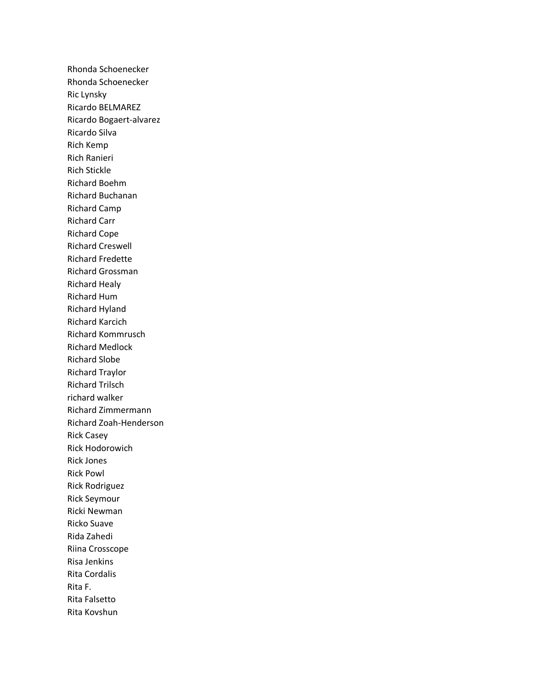Rhonda Schoenecker Rhonda Schoenecker Ric Lynsky Ricardo BELMAREZ Ricardo Bogaert-alvarez Ricardo Silva Rich Kemp Rich Ranieri Rich Stickle Richard Boehm Richard Buchanan Richard Camp Richard Carr Richard Cope Richard Creswell Richard Fredette Richard Grossman Richard Healy Richard Hum Richard Hyland Richard Karcich Richard Kommrusch Richard Medlock Richard Slobe Richard Traylor Richard Trilsch richard walker Richard Zimmermann Richard Zoah-Henderson Rick Casey Rick Hodorowich Rick Jones Rick Powl Rick Rodriguez Rick Seymour Ricki Newman Ricko Suave Rida Zahedi Riina Crosscope Risa Jenkins Rita Cordalis Rita F. Rita Falsetto Rita Kovshun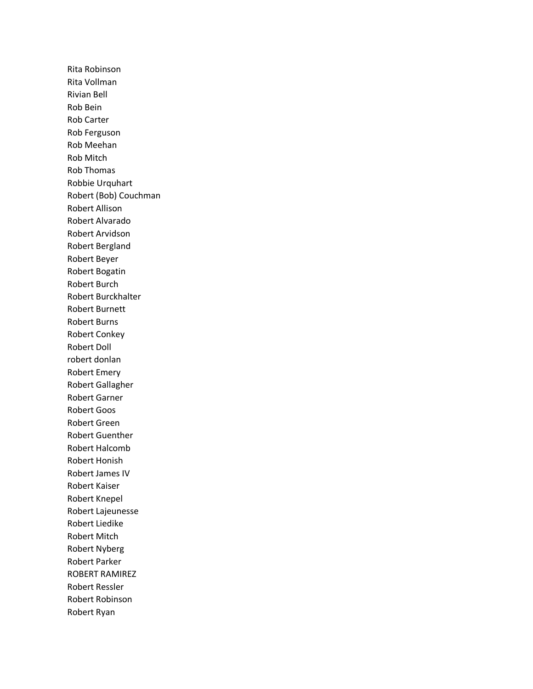Rita Robinson Rita Vollman Rivian Bell Rob Bein Rob Carter Rob Ferguson Rob Meehan Rob Mitch Rob Thomas Robbie Urquhart Robert (Bob) Couchman Robert Allison Robert Alvarado Robert Arvidson Robert Bergland Robert Beyer Robert Bogatin Robert Burch Robert Burckhalter Robert Burnett Robert Burns Robert Conkey Robert Doll robert donlan Robert Emery Robert Gallagher Robert Garner Robert Goos Robert Green Robert Guenther Robert Halcomb Robert Honish Robert James IV Robert Kaiser Robert Knepel Robert Lajeunesse Robert Liedike Robert Mitch Robert Nyberg Robert Parker ROBERT RAMIREZ Robert Ressler Robert Robinson Robert Ryan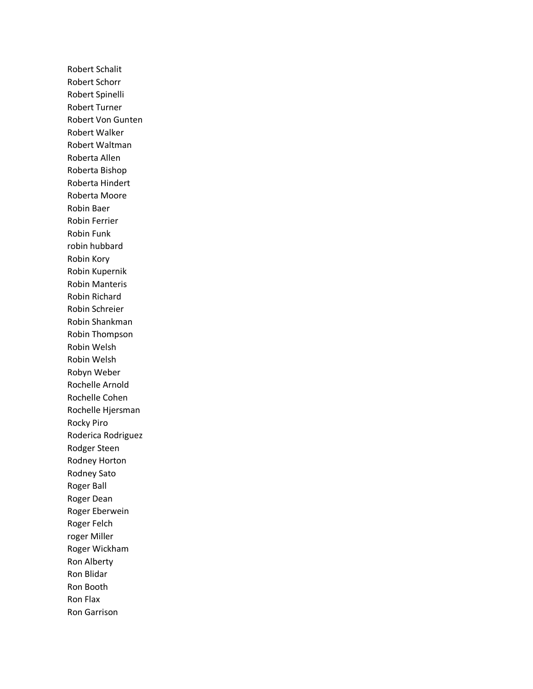Robert Schalit Robert Schorr Robert Spinelli Robert Turner Robert Von Gunten Robert Walker Robert Waltman Roberta Allen Roberta Bishop Roberta Hindert Roberta Moore Robin Baer Robin Ferrier Robin Funk robin hubbard Robin Kory Robin Kupernik Robin Manteris Robin Richard Robin Schreier Robin Shankman Robin Thompson Robin Welsh Robin Welsh Robyn Weber Rochelle Arnold Rochelle Cohen Rochelle Hjersman Rocky Piro Roderica Rodriguez Rodger Steen Rodney Horton Rodney Sato Roger Ball Roger Dean Roger Eberwein Roger Felch roger Miller Roger Wickham Ron Alberty Ron Blidar Ron Booth Ron Flax Ron Garrison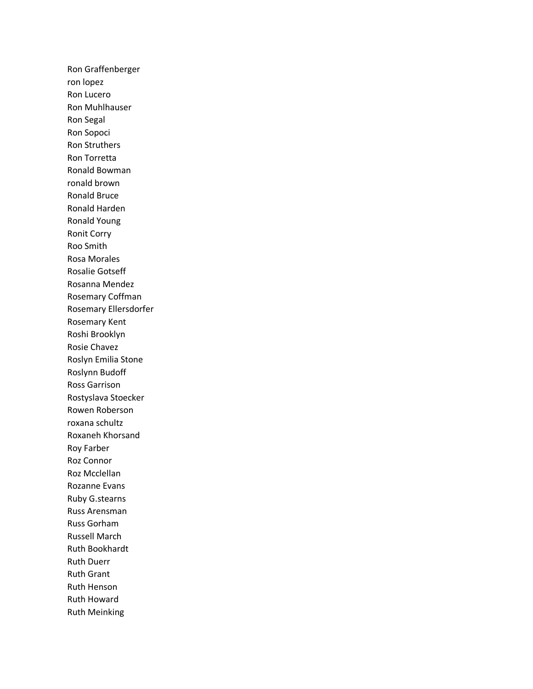Ron Graffenberger ron lopez Ron Lucero Ron Muhlhauser Ron Segal Ron Sopoci Ron Struthers Ron Torretta Ronald Bowman ronald brown Ronald Bruce Ronald Harden Ronald Young Ronit Corry Roo Smith Rosa Morales Rosalie Gotseff Rosanna Mendez Rosemary Coffman Rosemary Ellersdorfer Rosemary Kent Roshi Brooklyn Rosie Chavez Roslyn Emilia Stone Roslynn Budoff Ross Garrison Rostyslava Stoecker Rowen Roberson roxana schultz Roxaneh Khorsand Roy Farber Roz Connor Roz Mcclellan Rozanne Evans Ruby G.stearns Russ Arensman Russ Gorham Russell March Ruth Bookhardt Ruth Duerr Ruth Grant Ruth Henson Ruth Howard Ruth Meinking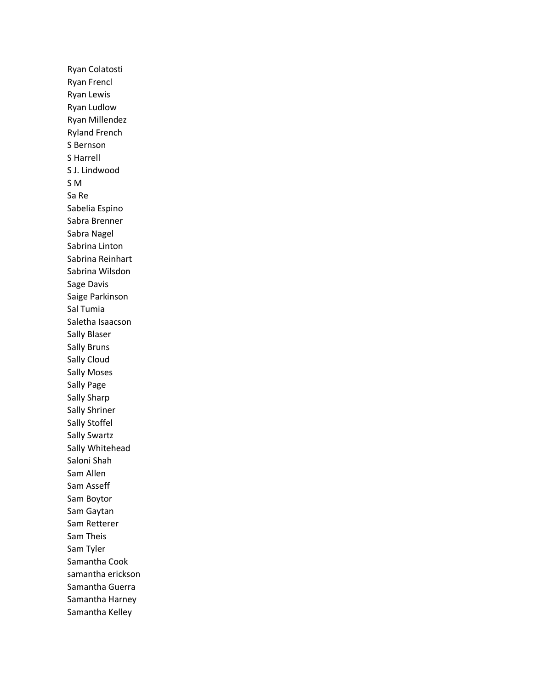Ryan Colatosti Ryan Frencl Ryan Lewis Ryan Ludlow Ryan Millendez Ryland French S Bernson S Harrell S J. Lindwood S M Sa Re Sabelia Espino Sabra Brenner Sabra Nagel Sabrina Linton Sabrina Reinhart Sabrina Wilsdon Sage Davis Saige Parkinson Sal Tumia Saletha Isaacson Sally Blaser Sally Bruns Sally Cloud Sally Moses Sally Page Sally Sharp Sally Shriner Sally Stoffel Sally Swartz Sally Whitehead Saloni Shah Sam Allen Sam Asseff Sam Boytor Sam Gaytan Sam Retterer Sam Theis Sam Tyler Samantha Cook samantha erickson Samantha Guerra Samantha Harney Samantha Kelley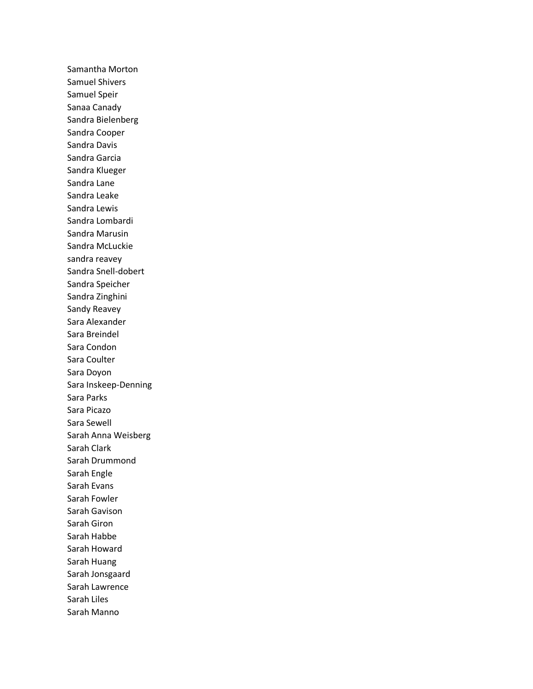Samantha Morton Samuel Shivers Samuel Speir Sanaa Canady Sandra Bielenberg Sandra Cooper Sandra Davis Sandra Garcia Sandra Klueger Sandra Lane Sandra Leake Sandra Lewis Sandra Lombardi Sandra Marusin Sandra McLuckie sandra reavey Sandra Snell-dobert Sandra Speicher Sandra Zinghini Sandy Reavey Sara Alexander Sara Breindel Sara Condon Sara Coulter Sara Doyon Sara Inskeep-Denning Sara Parks Sara Picazo Sara Sewell Sarah Anna Weisberg Sarah Clark Sarah Drummond Sarah Engle Sarah Evans Sarah Fowler Sarah Gavison Sarah Giron Sarah Habbe Sarah Howard Sarah Huang Sarah Jonsgaard Sarah Lawrence Sarah Liles Sarah Manno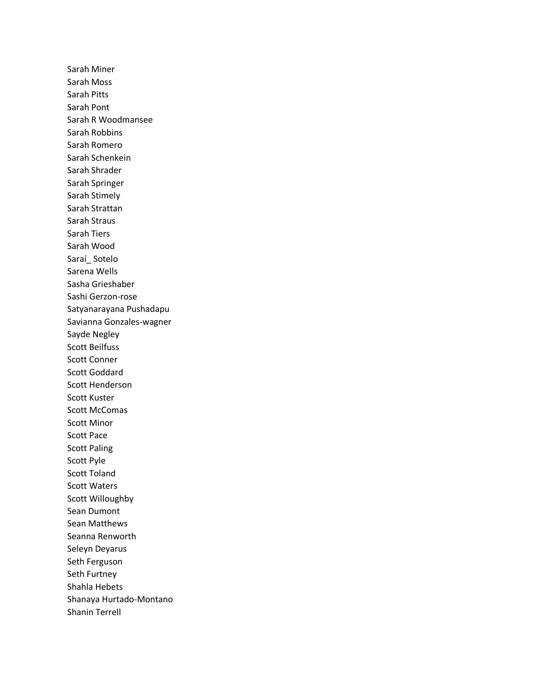Sarah Miner Sarah Moss Sarah Pitts Sarah Pont Sarah R Woodmansee Sarah Robbins Sarah Romero Sarah Schenkein Sarah Shrader Sarah Springer Sarah Stimely Sarah Strattan Sarah Straus Sarah Tiers Sarah Wood Saraí\_ Sotelo Sarena Wells Sasha Grieshaber Sashi Gerzon-rose Satyanarayana Pushadapu Savianna Gonzales-wagner Sayde Negley Scott Beilfuss Scott Conner Scott Goddard Scott Henderson Scott Kuster Scott McComas Scott Minor Scott Pace Scott Paling Scott Pyle Scott Toland Scott Waters Scott Willoughby Sean Dumont Sean Matthews Seanna Renworth Seleyn Deyarus Seth Ferguson Seth Furtney Shahla Hebets Shanaya Hurtado-Montano Shanin Terrell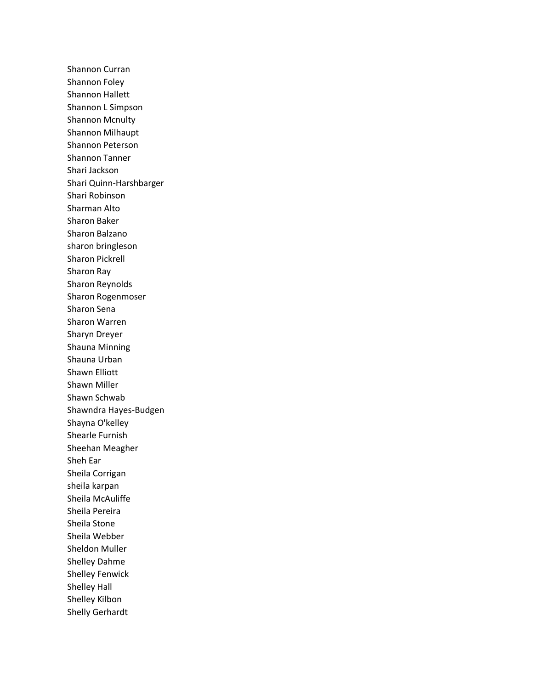Shannon Curran Shannon Foley Shannon Hallett Shannon L Simpson Shannon Mcnulty Shannon Milhaupt Shannon Peterson Shannon Tanner Shari Jackson Shari Quinn-Harshbarger Shari Robinson Sharman Alto Sharon Baker Sharon Balzano sharon bringleson Sharon Pickrell Sharon Ray Sharon Reynolds Sharon Rogenmoser Sharon Sena Sharon Warren Sharyn Dreyer Shauna Minning Shauna Urban Shawn Elliott Shawn Miller Shawn Schwab Shawndra Hayes-Budgen Shayna O'kelley Shearle Furnish Sheehan Meagher Sheh Ear Sheila Corrigan sheila karpan Sheila McAuliffe Sheila Pereira Sheila Stone Sheila Webber Sheldon Muller Shelley Dahme Shelley Fenwick Shelley Hall Shelley Kilbon Shelly Gerhardt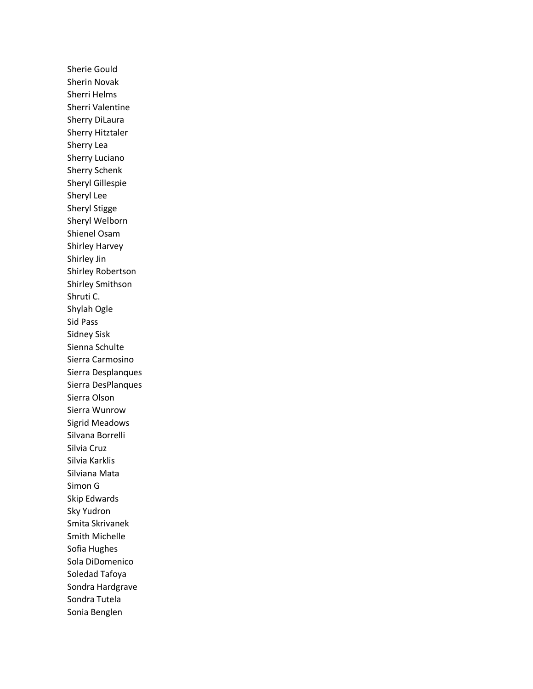Sherie Gould Sherin Novak Sherri Helms Sherri Valentine Sherry DiLaura Sherry Hitztaler Sherry Lea Sherry Luciano Sherry Schenk Sheryl Gillespie Sheryl Lee Sheryl Stigge Sheryl Welborn Shienel Osam Shirley Harvey Shirley Jin Shirley Robertson Shirley Smithson Shruti C. Shylah Ogle Sid Pass Sidney Sisk Sienna Schulte Sierra Carmosino Sierra Desplanques Sierra DesPlanques Sierra Olson Sierra Wunrow Sigrid Meadows Silvana Borrelli Silvia Cruz Silvia Karklis Silviana Mata Simon G Skip Edwards Sky Yudron Smita Skrivanek Smith Michelle Sofia Hughes Sola DiDomenico Soledad Tafoya Sondra Hardgrave Sondra Tutela Sonia Benglen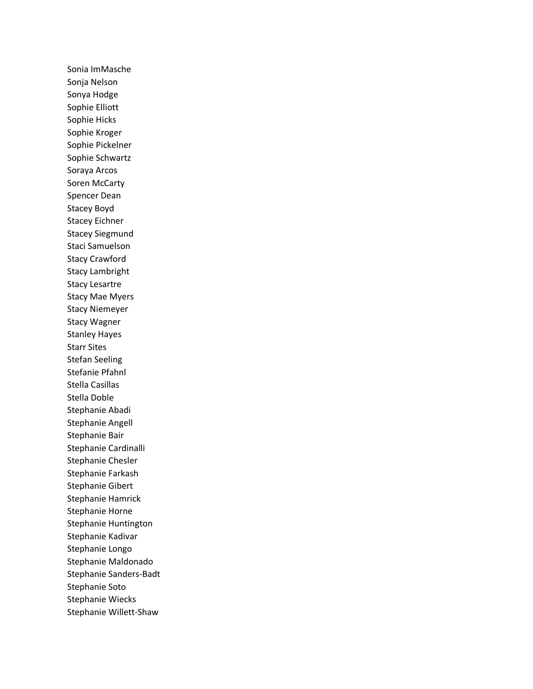Sonia ImMasche Sonja Nelson Sonya Hodge Sophie Elliott Sophie Hicks Sophie Kroger Sophie Pickelner Sophie Schwartz Soraya Arcos Soren McCarty Spencer Dean Stacey Boyd Stacey Eichner Stacey Siegmund Staci Samuelson Stacy Crawford Stacy Lambright Stacy Lesartre Stacy Mae Myers Stacy Niemeyer Stacy Wagner Stanley Hayes Starr Sites Stefan Seeling Stefanie Pfahnl Stella Casillas Stella Doble Stephanie Abadi Stephanie Angell Stephanie Bair Stephanie Cardinalli Stephanie Chesler Stephanie Farkash Stephanie Gibert Stephanie Hamrick Stephanie Horne Stephanie Huntington Stephanie Kadivar Stephanie Longo Stephanie Maldonado Stephanie Sanders-Badt Stephanie Soto Stephanie Wiecks Stephanie Willett-Shaw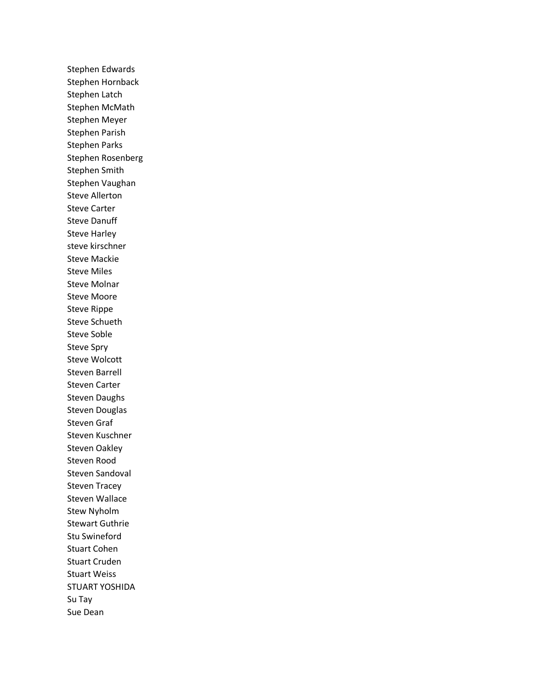Stephen Edwards Stephen Hornback Stephen Latch Stephen McMath Stephen Meyer Stephen Parish Stephen Parks Stephen Rosenberg Stephen Smith Stephen Vaughan Steve Allerton Steve Carter Steve Danuff Steve Harley steve kirschner Steve Mackie Steve Miles Steve Molnar Steve Moore Steve Rippe Steve Schueth Steve Soble Steve Spry Steve Wolcott Steven Barrell Steven Carter Steven Daughs Steven Douglas Steven Graf Steven Kuschner Steven Oakley Steven Rood Steven Sandoval Steven Tracey Steven Wallace Stew Nyholm Stewart Guthrie Stu Swineford Stuart Cohen Stuart Cruden Stuart Weiss STUART YOSHIDA Su Tay Sue Dean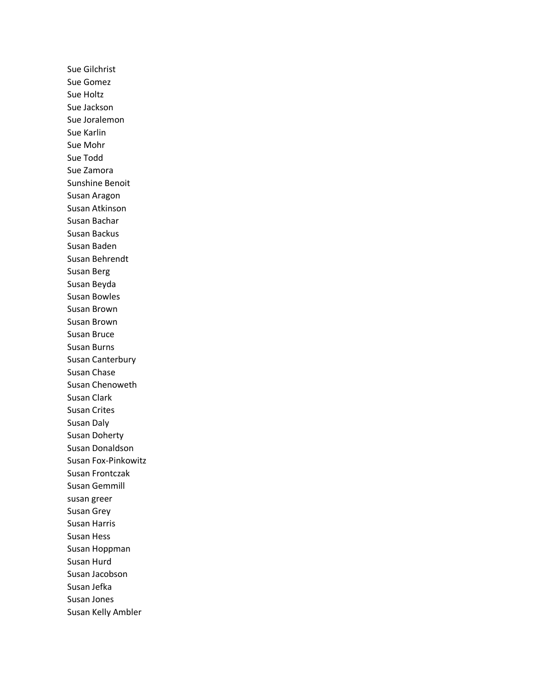Sue Gilchrist Sue Gomez Sue Holtz Sue Jackson Sue Joralemon Sue Karlin Sue Mohr Sue Todd Sue Zamora Sunshine Benoit Susan Aragon Susan Atkinson Susan Bachar Susan Backus Susan Baden Susan Behrendt Susan Berg Susan Beyda Susan Bowles Susan Brown Susan Brown Susan Bruce Susan Burns Susan Canterbury Susan Chase Susan Chenoweth Susan Clark Susan Crites Susan Daly Susan Doherty Susan Donaldson Susan Fox-Pinkowitz Susan Frontczak Susan Gemmill susan greer Susan Grey Susan Harris Susan Hess Susan Hoppman Susan Hurd Susan Jacobson Susan Jefka Susan Jones Susan Kelly Ambler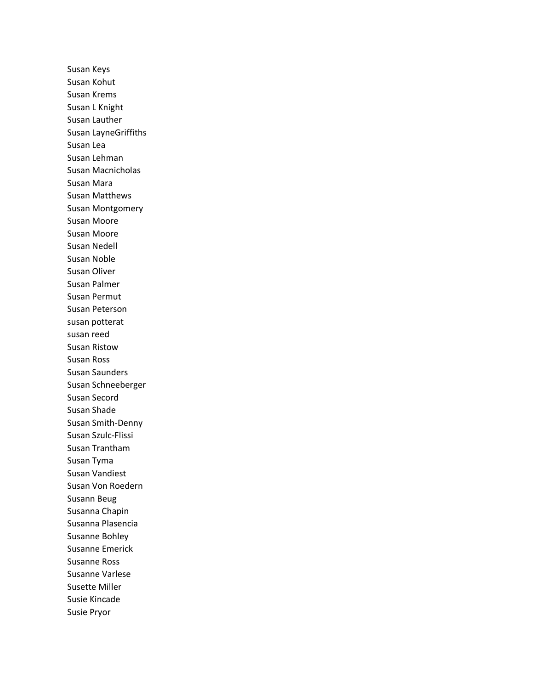Susan Keys Susan Kohut Susan Krems Susan L Knight Susan Lauther Susan LayneGriffiths Susan Lea Susan Lehman Susan Macnicholas Susan Mara Susan Matthews Susan Montgomery Susan Moore Susan Moore Susan Nedell Susan Noble Susan Oliver Susan Palmer Susan Permut Susan Peterson susan potterat susan reed Susan Ristow Susan Ross Susan Saunders Susan Schneeberger Susan Secord Susan Shade Susan Smith-Denny Susan Szulc-Flissi Susan Trantham Susan Tyma Susan Vandiest Susan Von Roedern Susann Beug Susanna Chapin Susanna Plasencia Susanne Bohley Susanne Emerick Susanne Ross Susanne Varlese Susette Miller Susie Kincade Susie Pryor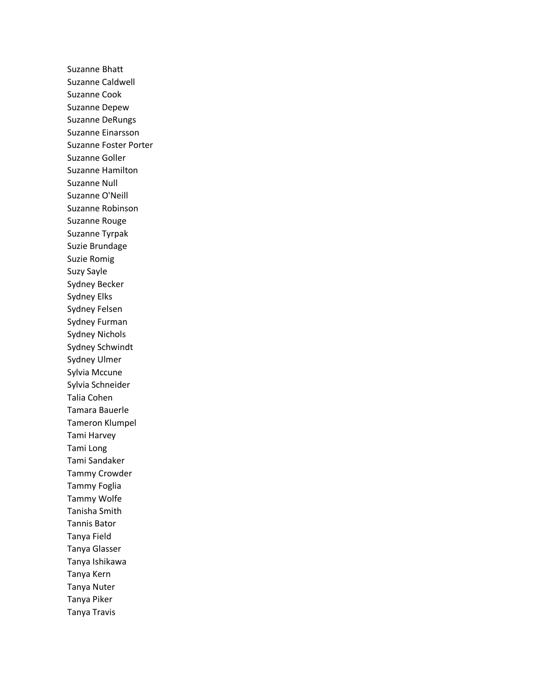Suzanne Bhatt Suzanne Caldwell Suzanne Cook Suzanne Depew Suzanne DeRungs Suzanne Einarsson Suzanne Foster Porter Suzanne Goller Suzanne Hamilton Suzanne Null Suzanne O'Neill Suzanne Robinson Suzanne Rouge Suzanne Tyrpak Suzie Brundage Suzie Romig Suzy Sayle Sydney Becker Sydney Elks Sydney Felsen Sydney Furman Sydney Nichols Sydney Schwindt Sydney Ulmer Sylvia Mccune Sylvia Schneider Talia Cohen Tamara Bauerle Tameron Klumpel Tami Harvey Tami Long Tami Sandaker Tammy Crowder Tammy Foglia Tammy Wolfe Tanisha Smith Tannis Bator Tanya Field Tanya Glasser Tanya Ishikawa Tanya Kern Tanya Nuter Tanya Piker Tanya Travis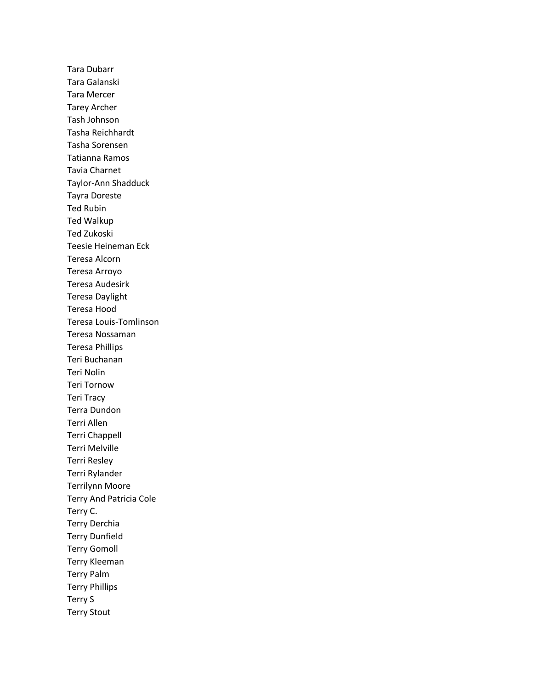Tara Dubarr Tara Galanski Tara Mercer Tarey Archer Tash Johnson Tasha Reichhardt Tasha Sorensen Tatianna Ramos Tavia Charnet Taylor-Ann Shadduck Tayra Doreste Ted Rubin Ted Walkup Ted Zukoski Teesie Heineman Eck Teresa Alcorn Teresa Arroyo Teresa Audesirk Teresa Daylight Teresa Hood Teresa Louis-Tomlinson Teresa Nossaman Teresa Phillips Teri Buchanan Teri Nolin Teri Tornow Teri Tracy Terra Dundon Terri Allen Terri Chappell Terri Melville Terri Resley Terri Rylander Terrilynn Moore Terry And Patricia Cole Terry C. Terry Derchia Terry Dunfield Terry Gomoll Terry Kleeman Terry Palm Terry Phillips Terry S Terry Stout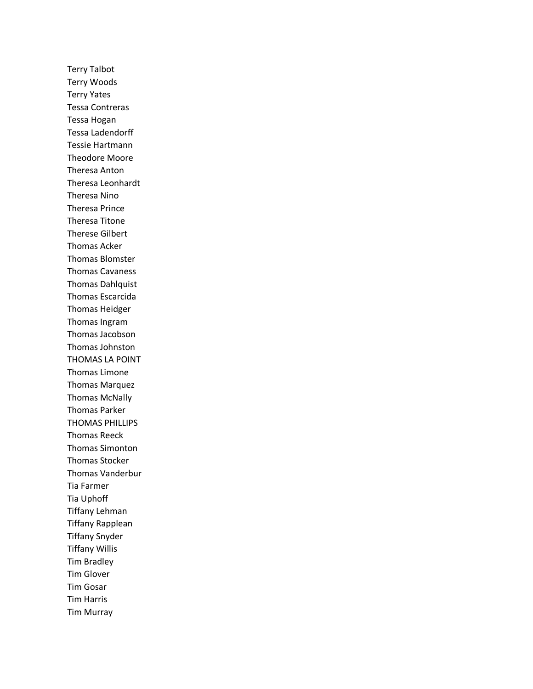Terry Talbot Terry Woods Terry Yates Tessa Contreras Tessa Hogan Tessa Ladendorff Tessie Hartmann Theodore Moore Theresa Anton Theresa Leonhardt Theresa Nino Theresa Prince Theresa Titone Therese Gilbert Thomas Acker Thomas Blomster Thomas Cavaness Thomas Dahlquist Thomas Escarcida Thomas Heidger Thomas Ingram Thomas Jacobson Thomas Johnston THOMAS LA POINT Thomas Limone Thomas Marquez Thomas McNally Thomas Parker THOMAS PHILLIPS Thomas Reeck Thomas Simonton Thomas Stocker Thomas Vanderbur Tia Farmer Tia Uphoff Tiffany Lehman Tiffany Rapplean Tiffany Snyder Tiffany Willis Tim Bradley Tim Glover Tim Gosar Tim Harris Tim Murray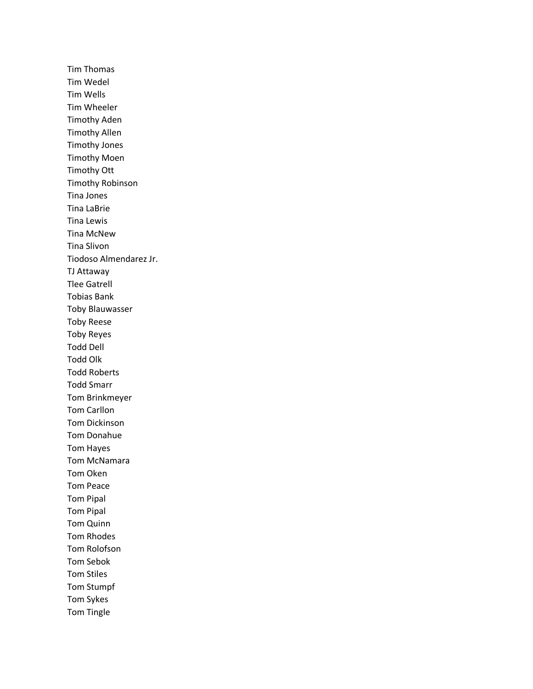Tim Thomas Tim Wedel Tim Wells Tim Wheeler Timothy Aden Timothy Allen Timothy Jones Timothy Moen Timothy Ott Timothy Robinson Tina Jones Tina LaBrie Tina Lewis Tina McNew Tina Slivon Tiodoso Almendarez Jr. TJ Attaway Tlee Gatrell Tobias Bank Toby Blauwasser Toby Reese Toby Reyes Todd Dell Todd Olk Todd Roberts Todd Smarr Tom Brinkmeyer Tom Carllon Tom Dickinson Tom Donahue Tom Hayes Tom McNamara Tom Oken Tom Peace Tom Pipal Tom Pipal Tom Quinn Tom Rhodes Tom Rolofson Tom Sebok Tom Stiles Tom Stumpf Tom Sykes Tom Tingle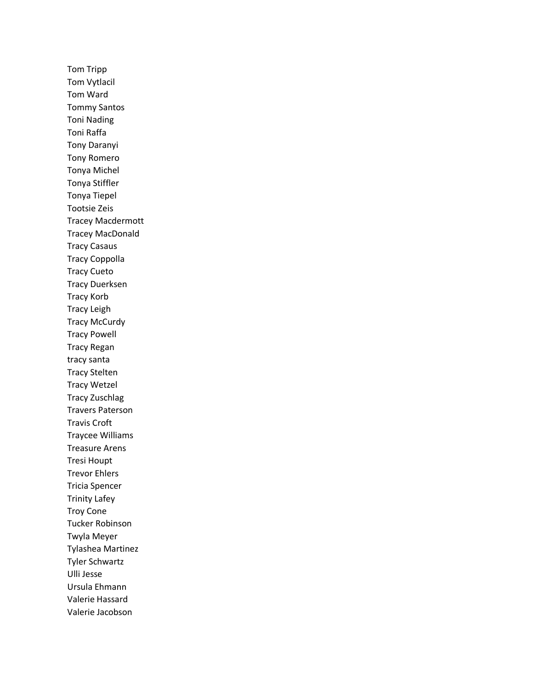Tom Tripp Tom Vytlacil Tom Ward Tommy Santos Toni Nading Toni Raffa Tony Daranyi Tony Romero Tonya Michel Tonya Stiffler Tonya Tiepel Tootsie Zeis Tracey Macdermott Tracey MacDonald Tracy Casaus Tracy Coppolla Tracy Cueto Tracy Duerksen Tracy Korb Tracy Leigh Tracy McCurdy Tracy Powell Tracy Regan tracy santa Tracy Stelten Tracy Wetzel Tracy Zuschlag Travers Paterson Travis Croft Traycee Williams Treasure Arens Tresi Houpt Trevor Ehlers Tricia Spencer Trinity Lafey Troy Cone Tucker Robinson Twyla Meyer Tylashea Martinez Tyler Schwartz Ulli Jesse Ursula Ehmann Valerie Hassard Valerie Jacobson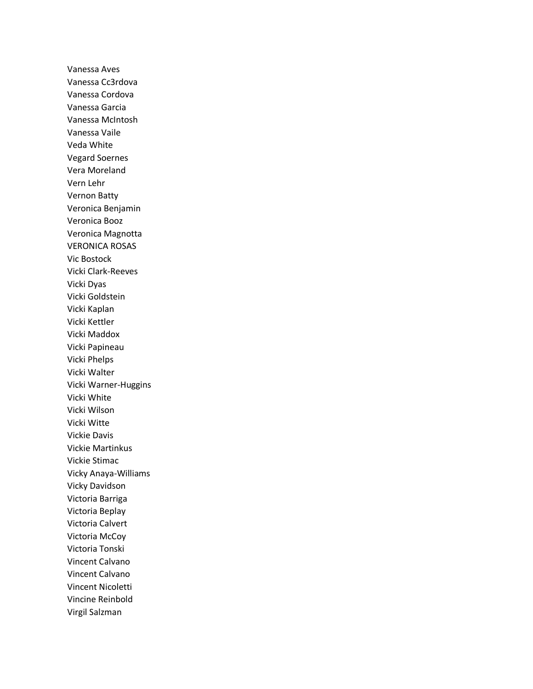Vanessa Aves Vanessa Cc3rdova Vanessa Cordova Vanessa Garcia Vanessa McIntosh Vanessa Vaile Veda White Vegard Soernes Vera Moreland Vern Lehr Vernon Batty Veronica Benjamin Veronica Booz Veronica Magnotta VERONICA ROSAS Vic Bostock Vicki Clark-Reeves Vicki Dyas Vicki Goldstein Vicki Kaplan Vicki Kettler Vicki Maddox Vicki Papineau Vicki Phelps Vicki Walter Vicki Warner-Huggins Vicki White Vicki Wilson Vicki Witte Vickie Davis Vickie Martinkus Vickie Stimac Vicky Anaya-Williams Vicky Davidson Victoria Barriga Victoria Beplay Victoria Calvert Victoria McCoy Victoria Tonski Vincent Calvano Vincent Calvano Vincent Nicoletti Vincine Reinbold Virgil Salzman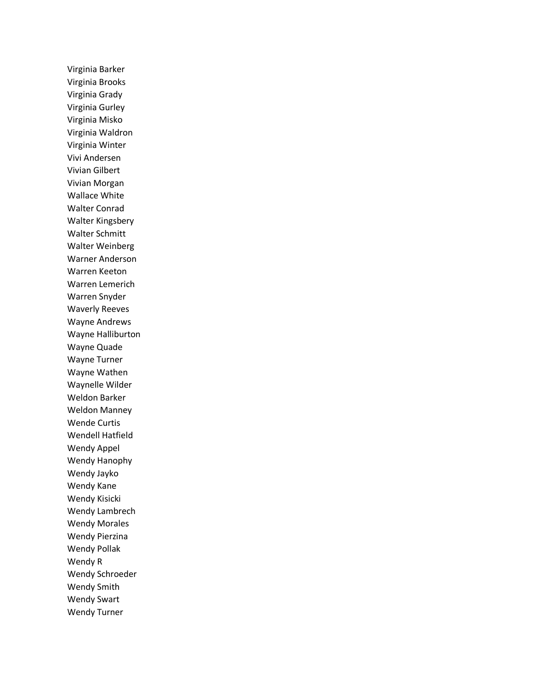Virginia Barker Virginia Brooks Virginia Grady Virginia Gurley Virginia Misko Virginia Waldron Virginia Winter Vivi Andersen Vivian Gilbert Vivian Morgan Wallace White Walter Conrad Walter Kingsbery Walter Schmitt Walter Weinberg Warner Anderson Warren Keeton Warren Lemerich Warren Snyder Waverly Reeves Wayne Andrews Wayne Halliburton Wayne Quade Wayne Turner Wayne Wathen Waynelle Wilder Weldon Barker Weldon Manney Wende Curtis Wendell Hatfield Wendy Appel Wendy Hanophy Wendy Jayko Wendy Kane Wendy Kisicki Wendy Lambrech Wendy Morales Wendy Pierzina Wendy Pollak Wendy R Wendy Schroeder Wendy Smith Wendy Swart Wendy Turner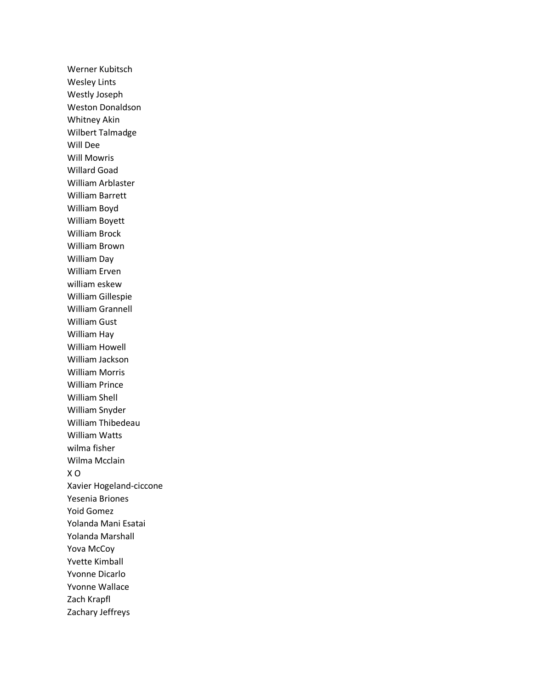Werner Kubitsch Wesley Lints Westly Joseph Weston Donaldson Whitney Akin Wilbert Talmadge Will Dee Will Mowris Willard Goad William Arblaster William Barrett William Boyd William Boyett William Brock William Brown William Day William Erven william eskew William Gillespie William Grannell William Gust William Hay William Howell William Jackson William Morris William Prince William Shell William Snyder William Thibedeau William Watts wilma fisher Wilma Mcclain X O Xavier Hogeland-ciccone Yesenia Briones Yoid Gomez Yolanda Mani Esatai Yolanda Marshall Yova McCoy Yvette Kimball Yvonne Dicarlo Yvonne Wallace Zach Krapfl Zachary Jeffreys